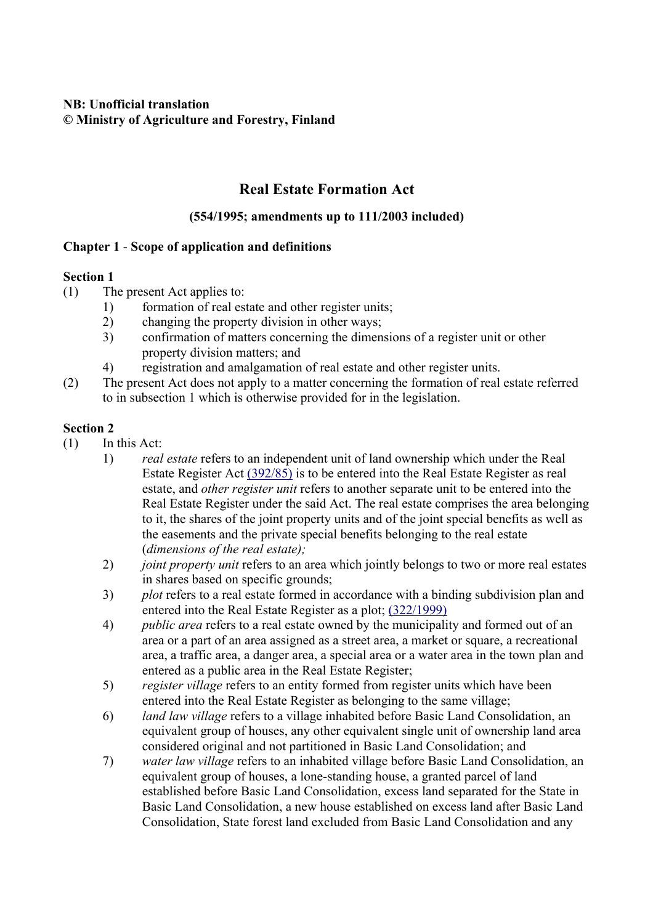# **NB: Unofficial translation © Ministry of Agriculture and Forestry, Finland**

# **Real Estate Formation Act**

# **(554/1995; amendments up to 111/2003 included)**

# **Chapter 1** - **Scope of application and definitions**

## **Section 1**

- (1) The present Act applies to:
	- 1) formation of real estate and other register units;
	- 2) changing the property division in other ways;
	- 3) confirmation of matters concerning the dimensions of a register unit or other property division matters; and
	- 4) registration and amalgamation of real estate and other register units.
- (2) The present Act does not apply to a matter concerning the formation of real estate referred to in subsection 1 which is otherwise provided for in the legislation.

- (1) In this Act:
	- 1) *real estate* refers to an independent unit of land ownership which under the Real Estate Register Act (392/85) is to be entered into the Real Estate Register as real estate, and *other register unit* refers to another separate unit to be entered into the Real Estate Register under the said Act. The real estate comprises the area belonging to it, the shares of the joint property units and of the joint special benefits as well as the easements and the private special benefits belonging to the real estate (*dimensions of the real estate);*
	- 2) *joint property unit* refers to an area which jointly belongs to two or more real estates in shares based on specific grounds;
	- 3) *plot* refers to a real estate formed in accordance with a binding subdivision plan and entered into the Real Estate Register as a plot; (322/1999)
	- 4) *public area* refers to a real estate owned by the municipality and formed out of an area or a part of an area assigned as a street area, a market or square, a recreational area, a traffic area, a danger area, a special area or a water area in the town plan and entered as a public area in the Real Estate Register;
	- 5) *register village* refers to an entity formed from register units which have been entered into the Real Estate Register as belonging to the same village;
	- 6) *land law village* refers to a village inhabited before Basic Land Consolidation, an equivalent group of houses, any other equivalent single unit of ownership land area considered original and not partitioned in Basic Land Consolidation; and
	- 7) *water law village* refers to an inhabited village before Basic Land Consolidation, an equivalent group of houses, a lone-standing house, a granted parcel of land established before Basic Land Consolidation, excess land separated for the State in Basic Land Consolidation, a new house established on excess land after Basic Land Consolidation, State forest land excluded from Basic Land Consolidation and any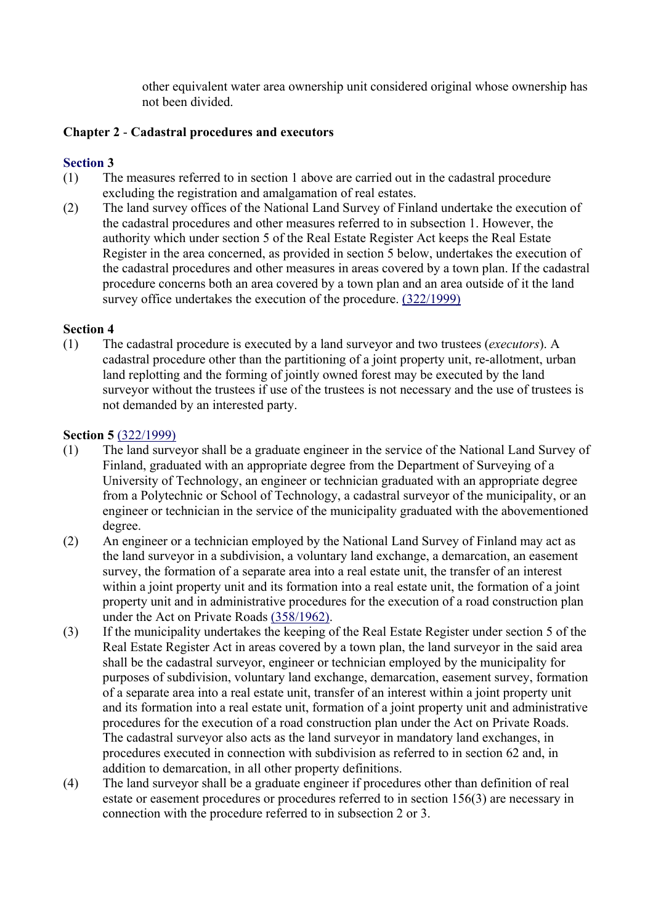other equivalent water area ownership unit considered original whose ownership has not been divided.

# **Chapter 2** - **Cadastral procedures and executors**

# **Section 3**

- (1) The measures referred to in section 1 above are carried out in the cadastral procedure excluding the registration and amalgamation of real estates.
- (2) The land survey offices of the National Land Survey of Finland undertake the execution of the cadastral procedures and other measures referred to in subsection 1. However, the authority which under section 5 of the Real Estate Register Act keeps the Real Estate Register in the area concerned, as provided in section 5 below, undertakes the execution of the cadastral procedures and other measures in areas covered by a town plan. If the cadastral procedure concerns both an area covered by a town plan and an area outside of it the land survey office undertakes the execution of the procedure. (322/1999)

## **Section 4**

(1) The cadastral procedure is executed by a land surveyor and two trustees (*executors*). A cadastral procedure other than the partitioning of a joint property unit, re-allotment, urban land replotting and the forming of jointly owned forest may be executed by the land surveyor without the trustees if use of the trustees is not necessary and the use of trustees is not demanded by an interested party.

## **Section 5** (322/1999)

- (1) The land surveyor shall be a graduate engineer in the service of the National Land Survey of Finland, graduated with an appropriate degree from the Department of Surveying of a University of Technology, an engineer or technician graduated with an appropriate degree from a Polytechnic or School of Technology, a cadastral surveyor of the municipality, or an engineer or technician in the service of the municipality graduated with the abovementioned degree.
- (2) An engineer or a technician employed by the National Land Survey of Finland may act as the land surveyor in a subdivision, a voluntary land exchange, a demarcation, an easement survey, the formation of a separate area into a real estate unit, the transfer of an interest within a joint property unit and its formation into a real estate unit, the formation of a joint property unit and in administrative procedures for the execution of a road construction plan under the Act on Private Roads (358/1962).
- (3) If the municipality undertakes the keeping of the Real Estate Register under section 5 of the Real Estate Register Act in areas covered by a town plan, the land surveyor in the said area shall be the cadastral surveyor, engineer or technician employed by the municipality for purposes of subdivision, voluntary land exchange, demarcation, easement survey, formation of a separate area into a real estate unit, transfer of an interest within a joint property unit and its formation into a real estate unit, formation of a joint property unit and administrative procedures for the execution of a road construction plan under the Act on Private Roads. The cadastral surveyor also acts as the land surveyor in mandatory land exchanges, in procedures executed in connection with subdivision as referred to in section 62 and, in addition to demarcation, in all other property definitions.
- (4) The land surveyor shall be a graduate engineer if procedures other than definition of real estate or easement procedures or procedures referred to in section 156(3) are necessary in connection with the procedure referred to in subsection 2 or 3.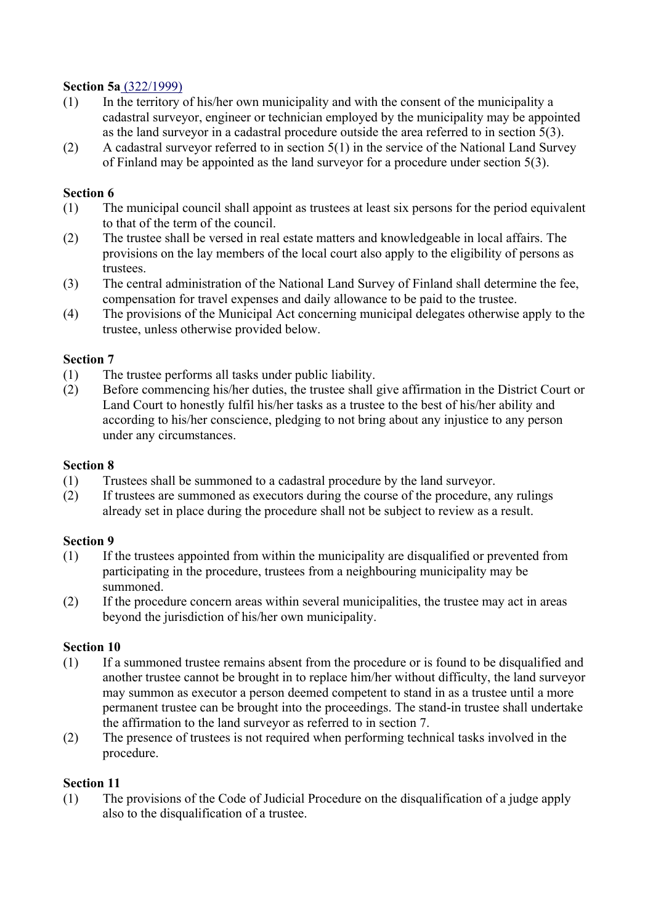#### **Section 5a** (322/1999)

- (1) In the territory of his/her own municipality and with the consent of the municipality a cadastral surveyor, engineer or technician employed by the municipality may be appointed as the land surveyor in a cadastral procedure outside the area referred to in section 5(3).
- (2) A cadastral surveyor referred to in section 5(1) in the service of the National Land Survey of Finland may be appointed as the land surveyor for a procedure under section 5(3).

#### **Section 6**

- (1) The municipal council shall appoint as trustees at least six persons for the period equivalent to that of the term of the council.
- (2) The trustee shall be versed in real estate matters and knowledgeable in local affairs. The provisions on the lay members of the local court also apply to the eligibility of persons as trustees.
- (3) The central administration of the National Land Survey of Finland shall determine the fee, compensation for travel expenses and daily allowance to be paid to the trustee.
- (4) The provisions of the Municipal Act concerning municipal delegates otherwise apply to the trustee, unless otherwise provided below.

#### **Section 7**

- (1) The trustee performs all tasks under public liability.
- (2) Before commencing his/her duties, the trustee shall give affirmation in the District Court or Land Court to honestly fulfil his/her tasks as a trustee to the best of his/her ability and according to his/her conscience, pledging to not bring about any injustice to any person under any circumstances.

#### **Section 8**

- (1) Trustees shall be summoned to a cadastral procedure by the land surveyor.
- (2) If trustees are summoned as executors during the course of the procedure, any rulings already set in place during the procedure shall not be subject to review as a result.

#### **Section 9**

- (1) If the trustees appointed from within the municipality are disqualified or prevented from participating in the procedure, trustees from a neighbouring municipality may be summoned.
- (2) If the procedure concern areas within several municipalities, the trustee may act in areas beyond the jurisdiction of his/her own municipality.

#### **Section 10**

- (1) If a summoned trustee remains absent from the procedure or is found to be disqualified and another trustee cannot be brought in to replace him/her without difficulty, the land surveyor may summon as executor a person deemed competent to stand in as a trustee until a more permanent trustee can be brought into the proceedings. The stand-in trustee shall undertake the affirmation to the land surveyor as referred to in section 7.
- (2) The presence of trustees is not required when performing technical tasks involved in the procedure.

## **Section 11**

(1) The provisions of the Code of Judicial Procedure on the disqualification of a judge apply also to the disqualification of a trustee.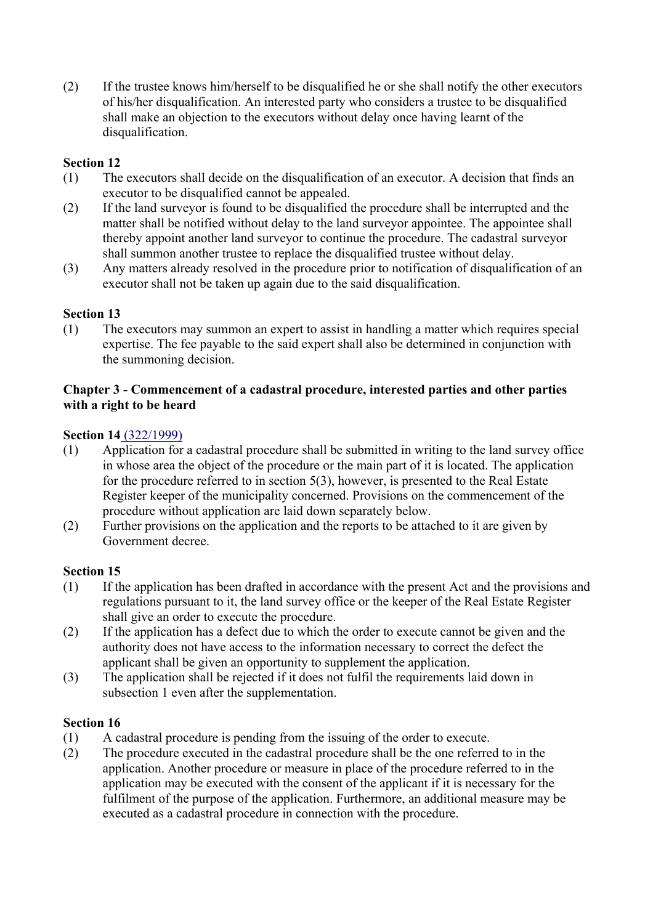(2) If the trustee knows him/herself to be disqualified he or she shall notify the other executors of his/her disqualification. An interested party who considers a trustee to be disqualified shall make an objection to the executors without delay once having learnt of the disqualification.

# **Section 12**

- (1) The executors shall decide on the disqualification of an executor. A decision that finds an executor to be disqualified cannot be appealed.
- (2) If the land surveyor is found to be disqualified the procedure shall be interrupted and the matter shall be notified without delay to the land surveyor appointee. The appointee shall thereby appoint another land surveyor to continue the procedure. The cadastral surveyor shall summon another trustee to replace the disqualified trustee without delay.
- (3) Any matters already resolved in the procedure prior to notification of disqualification of an executor shall not be taken up again due to the said disqualification.

# **Section 13**

(1) The executors may summon an expert to assist in handling a matter which requires special expertise. The fee payable to the said expert shall also be determined in conjunction with the summoning decision.

## **Chapter 3 - Commencement of a cadastral procedure, interested parties and other parties with a right to be heard**

## **Section 14** (322/1999)

- (1) Application for a cadastral procedure shall be submitted in writing to the land survey office in whose area the object of the procedure or the main part of it is located. The application for the procedure referred to in section 5(3), however, is presented to the Real Estate Register keeper of the municipality concerned. Provisions on the commencement of the procedure without application are laid down separately below.
- (2) Further provisions on the application and the reports to be attached to it are given by Government decree.

## **Section 15**

- (1) If the application has been drafted in accordance with the present Act and the provisions and regulations pursuant to it, the land survey office or the keeper of the Real Estate Register shall give an order to execute the procedure.
- (2) If the application has a defect due to which the order to execute cannot be given and the authority does not have access to the information necessary to correct the defect the applicant shall be given an opportunity to supplement the application.
- (3) The application shall be rejected if it does not fulfil the requirements laid down in subsection 1 even after the supplementation.

- (1) A cadastral procedure is pending from the issuing of the order to execute.
- (2) The procedure executed in the cadastral procedure shall be the one referred to in the application. Another procedure or measure in place of the procedure referred to in the application may be executed with the consent of the applicant if it is necessary for the fulfilment of the purpose of the application. Furthermore, an additional measure may be executed as a cadastral procedure in connection with the procedure.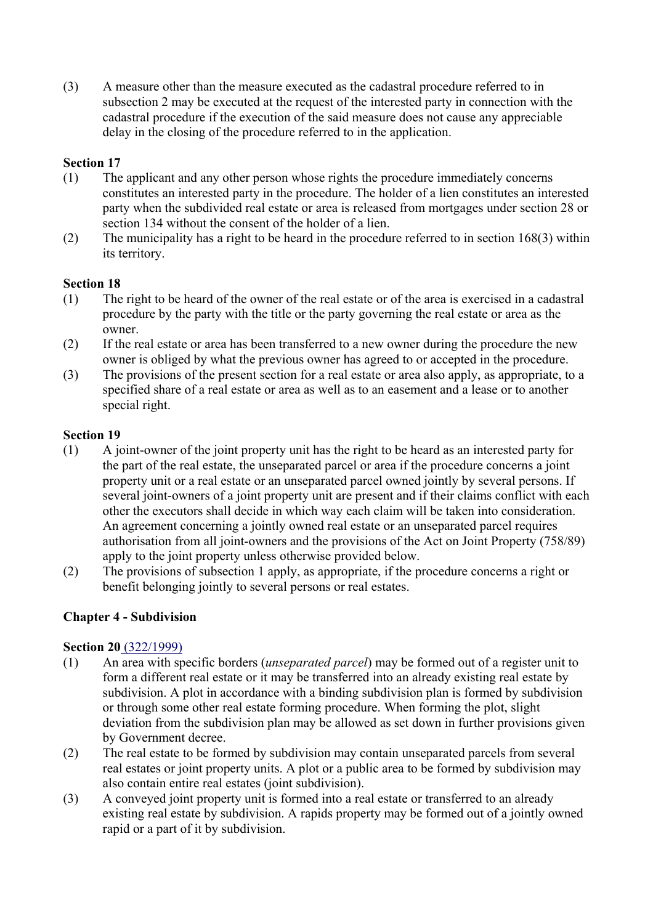(3) A measure other than the measure executed as the cadastral procedure referred to in subsection 2 may be executed at the request of the interested party in connection with the cadastral procedure if the execution of the said measure does not cause any appreciable delay in the closing of the procedure referred to in the application.

# **Section 17**

- (1) The applicant and any other person whose rights the procedure immediately concerns constitutes an interested party in the procedure. The holder of a lien constitutes an interested party when the subdivided real estate or area is released from mortgages under section 28 or section 134 without the consent of the holder of a lien.
- (2) The municipality has a right to be heard in the procedure referred to in section 168(3) within its territory.

## **Section 18**

- (1) The right to be heard of the owner of the real estate or of the area is exercised in a cadastral procedure by the party with the title or the party governing the real estate or area as the owner.
- (2) If the real estate or area has been transferred to a new owner during the procedure the new owner is obliged by what the previous owner has agreed to or accepted in the procedure.
- (3) The provisions of the present section for a real estate or area also apply, as appropriate, to a specified share of a real estate or area as well as to an easement and a lease or to another special right.

#### **Section 19**

- (1) A joint-owner of the joint property unit has the right to be heard as an interested party for the part of the real estate, the unseparated parcel or area if the procedure concerns a joint property unit or a real estate or an unseparated parcel owned jointly by several persons. If several joint-owners of a joint property unit are present and if their claims conflict with each other the executors shall decide in which way each claim will be taken into consideration. An agreement concerning a jointly owned real estate or an unseparated parcel requires authorisation from all joint-owners and the provisions of the Act on Joint Property (758/89) apply to the joint property unless otherwise provided below.
- (2) The provisions of subsection 1 apply, as appropriate, if the procedure concerns a right or benefit belonging jointly to several persons or real estates.

## **Chapter 4 - Subdivision**

#### **Section 20** (322/1999)

- (1) An area with specific borders (*unseparated parcel*) may be formed out of a register unit to form a different real estate or it may be transferred into an already existing real estate by subdivision. A plot in accordance with a binding subdivision plan is formed by subdivision or through some other real estate forming procedure. When forming the plot, slight deviation from the subdivision plan may be allowed as set down in further provisions given by Government decree.
- (2) The real estate to be formed by subdivision may contain unseparated parcels from several real estates or joint property units. A plot or a public area to be formed by subdivision may also contain entire real estates (joint subdivision).
- (3) A conveyed joint property unit is formed into a real estate or transferred to an already existing real estate by subdivision. A rapids property may be formed out of a jointly owned rapid or a part of it by subdivision.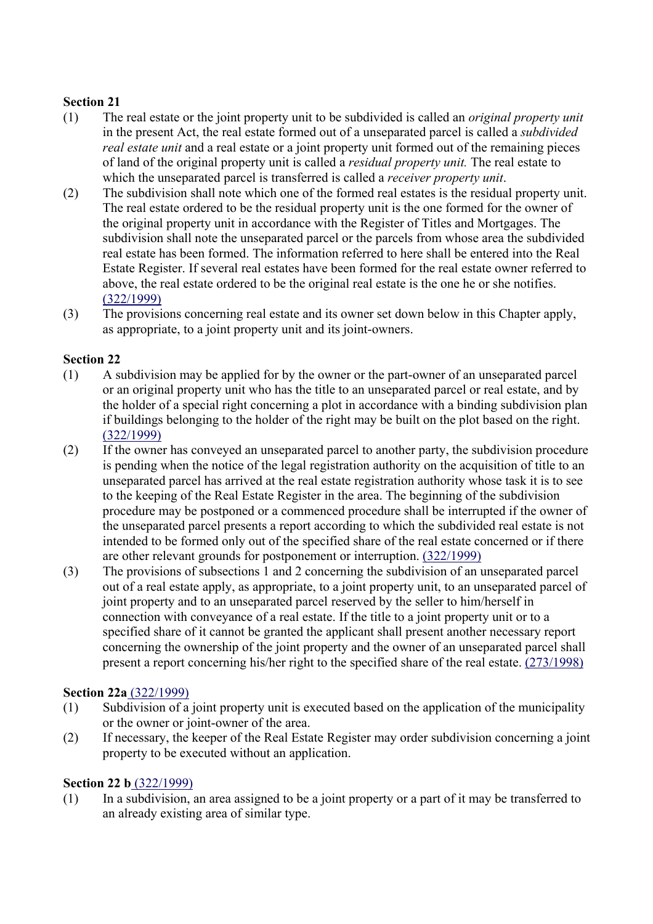- (1) The real estate or the joint property unit to be subdivided is called an *original property unit* in the present Act, the real estate formed out of a unseparated parcel is called a *subdivided real estate unit* and a real estate or a joint property unit formed out of the remaining pieces of land of the original property unit is called a *residual property unit.* The real estate to which the unseparated parcel is transferred is called a *receiver property unit*.
- (2) The subdivision shall note which one of the formed real estates is the residual property unit. The real estate ordered to be the residual property unit is the one formed for the owner of the original property unit in accordance with the Register of Titles and Mortgages. The subdivision shall note the unseparated parcel or the parcels from whose area the subdivided real estate has been formed. The information referred to here shall be entered into the Real Estate Register. If several real estates have been formed for the real estate owner referred to above, the real estate ordered to be the original real estate is the one he or she notifies. (322/1999)
- (3) The provisions concerning real estate and its owner set down below in this Chapter apply, as appropriate, to a joint property unit and its joint-owners.

# **Section 22**

- (1) A subdivision may be applied for by the owner or the part-owner of an unseparated parcel or an original property unit who has the title to an unseparated parcel or real estate, and by the holder of a special right concerning a plot in accordance with a binding subdivision plan if buildings belonging to the holder of the right may be built on the plot based on the right. (322/1999)
- (2) If the owner has conveyed an unseparated parcel to another party, the subdivision procedure is pending when the notice of the legal registration authority on the acquisition of title to an unseparated parcel has arrived at the real estate registration authority whose task it is to see to the keeping of the Real Estate Register in the area. The beginning of the subdivision procedure may be postponed or a commenced procedure shall be interrupted if the owner of the unseparated parcel presents a report according to which the subdivided real estate is not intended to be formed only out of the specified share of the real estate concerned or if there are other relevant grounds for postponement or interruption. (322/1999)
- (3) The provisions of subsections 1 and 2 concerning the subdivision of an unseparated parcel out of a real estate apply, as appropriate, to a joint property unit, to an unseparated parcel of joint property and to an unseparated parcel reserved by the seller to him/herself in connection with conveyance of a real estate. If the title to a joint property unit or to a specified share of it cannot be granted the applicant shall present another necessary report concerning the ownership of the joint property and the owner of an unseparated parcel shall present a report concerning his/her right to the specified share of the real estate. (273/1998)

## **Section 22a** (322/1999)

- (1) Subdivision of a joint property unit is executed based on the application of the municipality or the owner or joint-owner of the area.
- (2) If necessary, the keeper of the Real Estate Register may order subdivision concerning a joint property to be executed without an application.

## **Section 22 b** (322/1999)

(1) In a subdivision, an area assigned to be a joint property or a part of it may be transferred to an already existing area of similar type.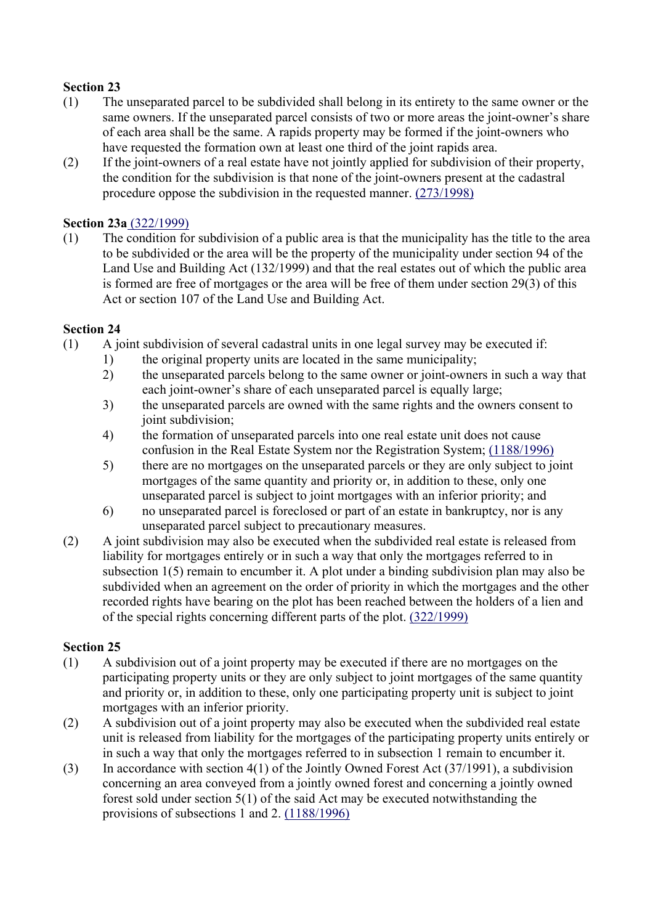- (1) The unseparated parcel to be subdivided shall belong in its entirety to the same owner or the same owners. If the unseparated parcel consists of two or more areas the joint-owner's share of each area shall be the same. A rapids property may be formed if the joint-owners who have requested the formation own at least one third of the joint rapids area.
- (2) If the joint-owners of a real estate have not jointly applied for subdivision of their property, the condition for the subdivision is that none of the joint-owners present at the cadastral procedure oppose the subdivision in the requested manner. (273/1998)

## **Section 23a** (322/1999)

(1) The condition for subdivision of a public area is that the municipality has the title to the area to be subdivided or the area will be the property of the municipality under section 94 of the Land Use and Building Act (132/1999) and that the real estates out of which the public area is formed are free of mortgages or the area will be free of them under section 29(3) of this Act or section 107 of the Land Use and Building Act.

#### **Section 24**

- (1) A joint subdivision of several cadastral units in one legal survey may be executed if:
	- 1) the original property units are located in the same municipality;
	- 2) the unseparated parcels belong to the same owner or joint-owners in such a way that each joint-owner's share of each unseparated parcel is equally large;
	- 3) the unseparated parcels are owned with the same rights and the owners consent to joint subdivision;
	- 4) the formation of unseparated parcels into one real estate unit does not cause confusion in the Real Estate System nor the Registration System; (1188/1996)
	- 5) there are no mortgages on the unseparated parcels or they are only subject to joint mortgages of the same quantity and priority or, in addition to these, only one unseparated parcel is subject to joint mortgages with an inferior priority; and
	- 6) no unseparated parcel is foreclosed or part of an estate in bankruptcy, nor is any unseparated parcel subject to precautionary measures.
- (2) A joint subdivision may also be executed when the subdivided real estate is released from liability for mortgages entirely or in such a way that only the mortgages referred to in subsection 1(5) remain to encumber it. A plot under a binding subdivision plan may also be subdivided when an agreement on the order of priority in which the mortgages and the other recorded rights have bearing on the plot has been reached between the holders of a lien and of the special rights concerning different parts of the plot. (322/1999)

- (1) A subdivision out of a joint property may be executed if there are no mortgages on the participating property units or they are only subject to joint mortgages of the same quantity and priority or, in addition to these, only one participating property unit is subject to joint mortgages with an inferior priority.
- (2) A subdivision out of a joint property may also be executed when the subdivided real estate unit is released from liability for the mortgages of the participating property units entirely or in such a way that only the mortgages referred to in subsection 1 remain to encumber it.
- (3) In accordance with section 4(1) of the Jointly Owned Forest Act (37/1991), a subdivision concerning an area conveyed from a jointly owned forest and concerning a jointly owned forest sold under section 5(1) of the said Act may be executed notwithstanding the provisions of subsections 1 and 2. (1188/1996)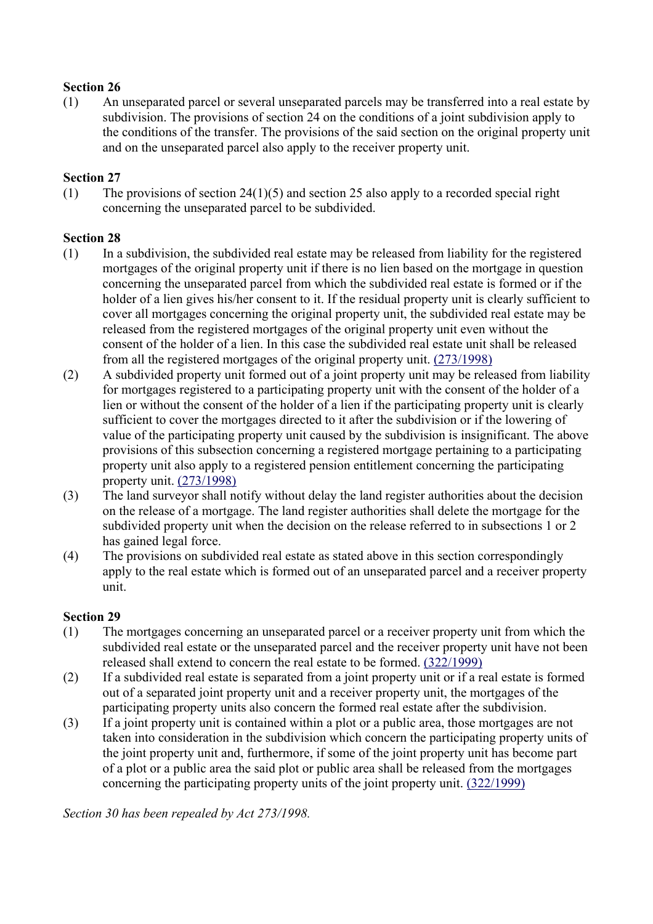(1) An unseparated parcel or several unseparated parcels may be transferred into a real estate by subdivision. The provisions of section 24 on the conditions of a joint subdivision apply to the conditions of the transfer. The provisions of the said section on the original property unit and on the unseparated parcel also apply to the receiver property unit.

#### **Section 27**

(1) The provisions of section  $24(1)(5)$  and section 25 also apply to a recorded special right concerning the unseparated parcel to be subdivided.

## **Section 28**

- (1) In a subdivision, the subdivided real estate may be released from liability for the registered mortgages of the original property unit if there is no lien based on the mortgage in question concerning the unseparated parcel from which the subdivided real estate is formed or if the holder of a lien gives his/her consent to it. If the residual property unit is clearly sufficient to cover all mortgages concerning the original property unit, the subdivided real estate may be released from the registered mortgages of the original property unit even without the consent of the holder of a lien. In this case the subdivided real estate unit shall be released from all the registered mortgages of the original property unit. (273/1998)
- (2) A subdivided property unit formed out of a joint property unit may be released from liability for mortgages registered to a participating property unit with the consent of the holder of a lien or without the consent of the holder of a lien if the participating property unit is clearly sufficient to cover the mortgages directed to it after the subdivision or if the lowering of value of the participating property unit caused by the subdivision is insignificant. The above provisions of this subsection concerning a registered mortgage pertaining to a participating property unit also apply to a registered pension entitlement concerning the participating property unit. (273/1998)
- (3) The land surveyor shall notify without delay the land register authorities about the decision on the release of a mortgage. The land register authorities shall delete the mortgage for the subdivided property unit when the decision on the release referred to in subsections 1 or 2 has gained legal force.
- (4) The provisions on subdivided real estate as stated above in this section correspondingly apply to the real estate which is formed out of an unseparated parcel and a receiver property unit.

#### **Section 29**

- (1) The mortgages concerning an unseparated parcel or a receiver property unit from which the subdivided real estate or the unseparated parcel and the receiver property unit have not been released shall extend to concern the real estate to be formed. (322/1999)
- (2) If a subdivided real estate is separated from a joint property unit or if a real estate is formed out of a separated joint property unit and a receiver property unit, the mortgages of the participating property units also concern the formed real estate after the subdivision.
- (3) If a joint property unit is contained within a plot or a public area, those mortgages are not taken into consideration in the subdivision which concern the participating property units of the joint property unit and, furthermore, if some of the joint property unit has become part of a plot or a public area the said plot or public area shall be released from the mortgages concerning the participating property units of the joint property unit. (322/1999)

*Section 30 has been repealed by Act 273/1998.*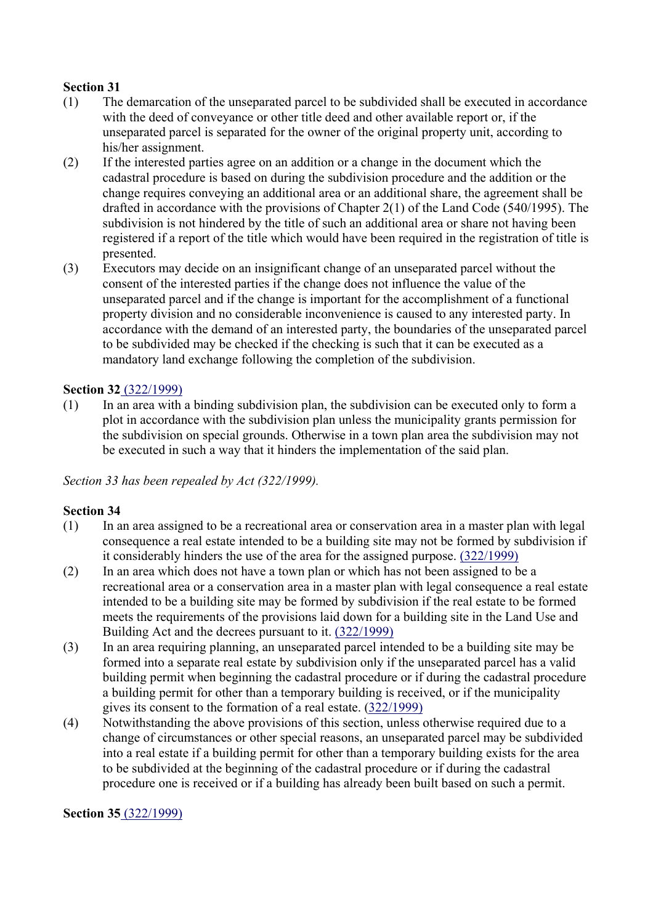- (1) The demarcation of the unseparated parcel to be subdivided shall be executed in accordance with the deed of conveyance or other title deed and other available report or, if the unseparated parcel is separated for the owner of the original property unit, according to his/her assignment.
- (2) If the interested parties agree on an addition or a change in the document which the cadastral procedure is based on during the subdivision procedure and the addition or the change requires conveying an additional area or an additional share, the agreement shall be drafted in accordance with the provisions of Chapter 2(1) of the Land Code (540/1995). The subdivision is not hindered by the title of such an additional area or share not having been registered if a report of the title which would have been required in the registration of title is presented.
- (3) Executors may decide on an insignificant change of an unseparated parcel without the consent of the interested parties if the change does not influence the value of the unseparated parcel and if the change is important for the accomplishment of a functional property division and no considerable inconvenience is caused to any interested party. In accordance with the demand of an interested party, the boundaries of the unseparated parcel to be subdivided may be checked if the checking is such that it can be executed as a mandatory land exchange following the completion of the subdivision.

## **Section 32** (322/1999)

 $(1)$  In an area with a binding subdivision plan, the subdivision can be executed only to form a plot in accordance with the subdivision plan unless the municipality grants permission for the subdivision on special grounds. Otherwise in a town plan area the subdivision may not be executed in such a way that it hinders the implementation of the said plan.

*Section 33 has been repealed by Act (322/1999).*

## **Section 34**

- (1) In an area assigned to be a recreational area or conservation area in a master plan with legal consequence a real estate intended to be a building site may not be formed by subdivision if it considerably hinders the use of the area for the assigned purpose. (322/1999)
- (2) In an area which does not have a town plan or which has not been assigned to be a recreational area or a conservation area in a master plan with legal consequence a real estate intended to be a building site may be formed by subdivision if the real estate to be formed meets the requirements of the provisions laid down for a building site in the Land Use and Building Act and the decrees pursuant to it. (322/1999)
- (3) In an area requiring planning, an unseparated parcel intended to be a building site may be formed into a separate real estate by subdivision only if the unseparated parcel has a valid building permit when beginning the cadastral procedure or if during the cadastral procedure a building permit for other than a temporary building is received, or if the municipality gives its consent to the formation of a real estate. (322/1999)
- (4) Notwithstanding the above provisions of this section, unless otherwise required due to a change of circumstances or other special reasons, an unseparated parcel may be subdivided into a real estate if a building permit for other than a temporary building exists for the area to be subdivided at the beginning of the cadastral procedure or if during the cadastral procedure one is received or if a building has already been built based on such a permit.

#### **Section 35** (322/1999)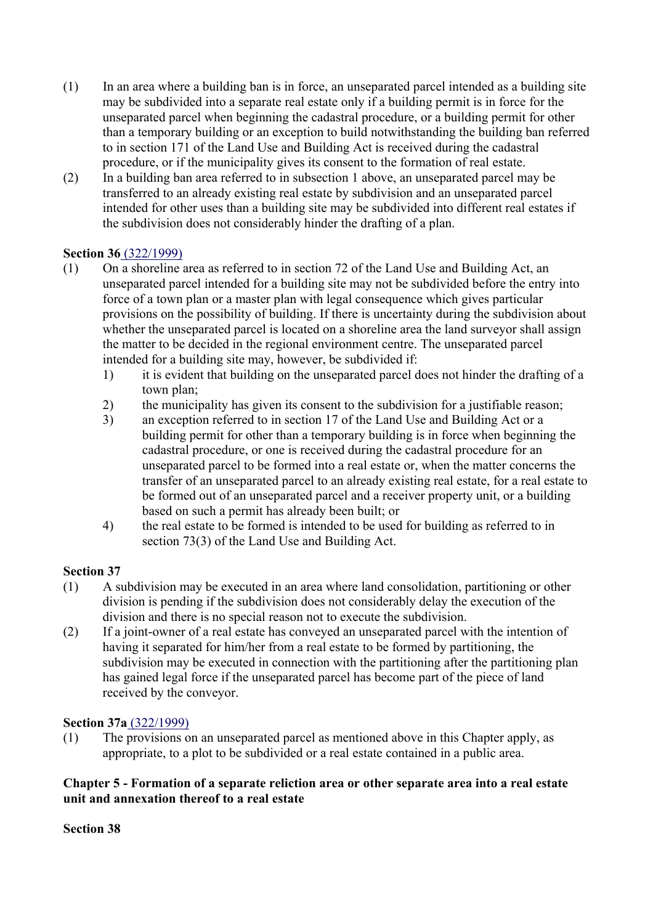- (1) In an area where a building ban is in force, an unseparated parcel intended as a building site may be subdivided into a separate real estate only if a building permit is in force for the unseparated parcel when beginning the cadastral procedure, or a building permit for other than a temporary building or an exception to build notwithstanding the building ban referred to in section 171 of the Land Use and Building Act is received during the cadastral procedure, or if the municipality gives its consent to the formation of real estate.
- (2) In a building ban area referred to in subsection 1 above, an unseparated parcel may be transferred to an already existing real estate by subdivision and an unseparated parcel intended for other uses than a building site may be subdivided into different real estates if the subdivision does not considerably hinder the drafting of a plan.

## **Section 36** (322/1999)

- (1) On a shoreline area as referred to in section 72 of the Land Use and Building Act, an unseparated parcel intended for a building site may not be subdivided before the entry into force of a town plan or a master plan with legal consequence which gives particular provisions on the possibility of building. If there is uncertainty during the subdivision about whether the unseparated parcel is located on a shoreline area the land surveyor shall assign the matter to be decided in the regional environment centre. The unseparated parcel intended for a building site may, however, be subdivided if:
	- 1) it is evident that building on the unseparated parcel does not hinder the drafting of a town plan;
	- 2) the municipality has given its consent to the subdivision for a justifiable reason;
	- 3) an exception referred to in section 17 of the Land Use and Building Act or a building permit for other than a temporary building is in force when beginning the cadastral procedure, or one is received during the cadastral procedure for an unseparated parcel to be formed into a real estate or, when the matter concerns the transfer of an unseparated parcel to an already existing real estate, for a real estate to be formed out of an unseparated parcel and a receiver property unit, or a building based on such a permit has already been built; or
	- 4) the real estate to be formed is intended to be used for building as referred to in section 73(3) of the Land Use and Building Act.

# **Section 37**

- (1) A subdivision may be executed in an area where land consolidation, partitioning or other division is pending if the subdivision does not considerably delay the execution of the division and there is no special reason not to execute the subdivision.
- (2) If a joint-owner of a real estate has conveyed an unseparated parcel with the intention of having it separated for him/her from a real estate to be formed by partitioning, the subdivision may be executed in connection with the partitioning after the partitioning plan has gained legal force if the unseparated parcel has become part of the piece of land received by the conveyor.

## **Section 37a** (322/1999)

(1) The provisions on an unseparated parcel as mentioned above in this Chapter apply, as appropriate, to a plot to be subdivided or a real estate contained in a public area.

## **Chapter 5 - Formation of a separate reliction area or other separate area into a real estate unit and annexation thereof to a real estate**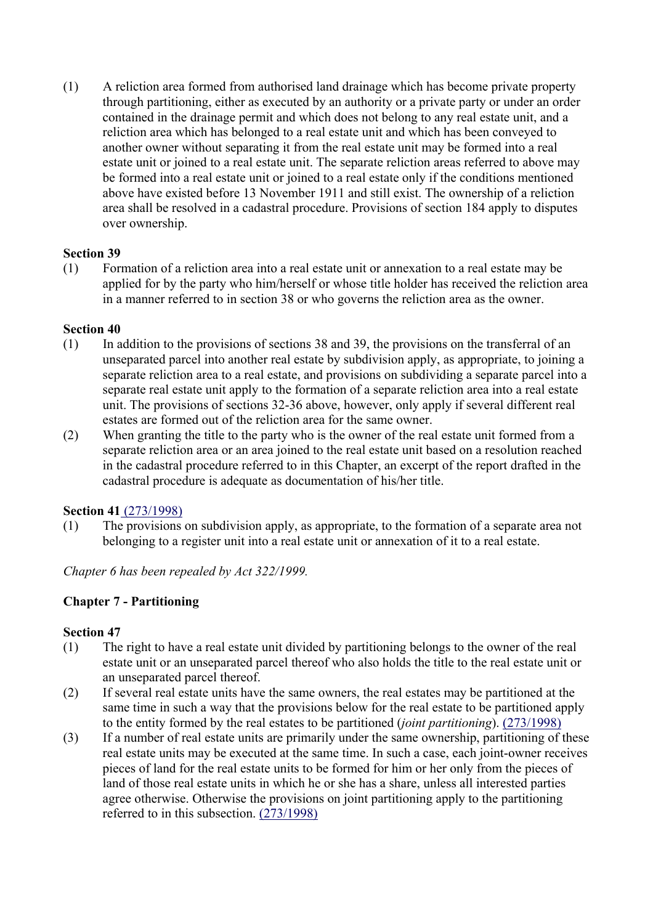(1) A reliction area formed from authorised land drainage which has become private property through partitioning, either as executed by an authority or a private party or under an order contained in the drainage permit and which does not belong to any real estate unit, and a reliction area which has belonged to a real estate unit and which has been conveyed to another owner without separating it from the real estate unit may be formed into a real estate unit or joined to a real estate unit. The separate reliction areas referred to above may be formed into a real estate unit or joined to a real estate only if the conditions mentioned above have existed before 13 November 1911 and still exist. The ownership of a reliction area shall be resolved in a cadastral procedure. Provisions of section 184 apply to disputes over ownership.

#### **Section 39**

(1) Formation of a reliction area into a real estate unit or annexation to a real estate may be applied for by the party who him/herself or whose title holder has received the reliction area in a manner referred to in section 38 or who governs the reliction area as the owner.

#### **Section 40**

- (1) In addition to the provisions of sections 38 and 39, the provisions on the transferral of an unseparated parcel into another real estate by subdivision apply, as appropriate, to joining a separate reliction area to a real estate, and provisions on subdividing a separate parcel into a separate real estate unit apply to the formation of a separate reliction area into a real estate unit. The provisions of sections 32-36 above, however, only apply if several different real estates are formed out of the reliction area for the same owner.
- (2) When granting the title to the party who is the owner of the real estate unit formed from a separate reliction area or an area joined to the real estate unit based on a resolution reached in the cadastral procedure referred to in this Chapter, an excerpt of the report drafted in the cadastral procedure is adequate as documentation of his/her title.

## **Section 41** (273/1998)

(1) The provisions on subdivision apply, as appropriate, to the formation of a separate area not belonging to a register unit into a real estate unit or annexation of it to a real estate.

*Chapter 6 has been repealed by Act 322/1999.*

# **Chapter 7 - Partitioning**

- (1) The right to have a real estate unit divided by partitioning belongs to the owner of the real estate unit or an unseparated parcel thereof who also holds the title to the real estate unit or an unseparated parcel thereof.
- (2) If several real estate units have the same owners, the real estates may be partitioned at the same time in such a way that the provisions below for the real estate to be partitioned apply to the entity formed by the real estates to be partitioned (*joint partitioning*). (273/1998)
- (3) If a number of real estate units are primarily under the same ownership, partitioning of these real estate units may be executed at the same time. In such a case, each joint-owner receives pieces of land for the real estate units to be formed for him or her only from the pieces of land of those real estate units in which he or she has a share, unless all interested parties agree otherwise. Otherwise the provisions on joint partitioning apply to the partitioning referred to in this subsection. (273/1998)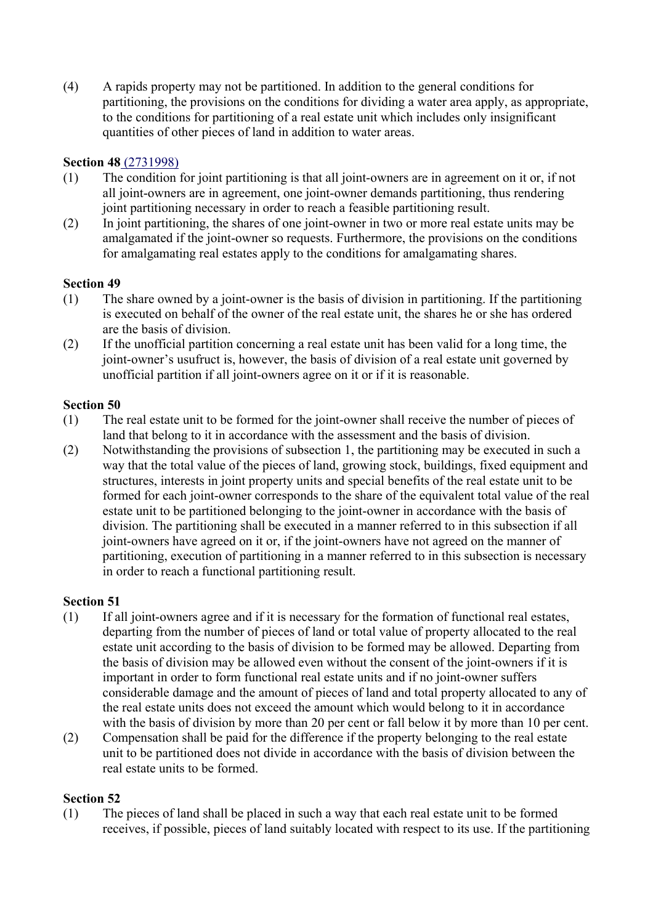(4) A rapids property may not be partitioned. In addition to the general conditions for partitioning, the provisions on the conditions for dividing a water area apply, as appropriate, to the conditions for partitioning of a real estate unit which includes only insignificant quantities of other pieces of land in addition to water areas.

#### **Section 48** (2731998)

- (1) The condition for joint partitioning is that all joint-owners are in agreement on it or, if not all joint-owners are in agreement, one joint-owner demands partitioning, thus rendering joint partitioning necessary in order to reach a feasible partitioning result.
- (2) In joint partitioning, the shares of one joint-owner in two or more real estate units may be amalgamated if the joint-owner so requests. Furthermore, the provisions on the conditions for amalgamating real estates apply to the conditions for amalgamating shares.

#### **Section 49**

- (1) The share owned by a joint-owner is the basis of division in partitioning. If the partitioning is executed on behalf of the owner of the real estate unit, the shares he or she has ordered are the basis of division.
- (2) If the unofficial partition concerning a real estate unit has been valid for a long time, the joint-owner's usufruct is, however, the basis of division of a real estate unit governed by unofficial partition if all joint-owners agree on it or if it is reasonable.

#### **Section 50**

- (1) The real estate unit to be formed for the joint-owner shall receive the number of pieces of land that belong to it in accordance with the assessment and the basis of division.
- (2) Notwithstanding the provisions of subsection 1, the partitioning may be executed in such a way that the total value of the pieces of land, growing stock, buildings, fixed equipment and structures, interests in joint property units and special benefits of the real estate unit to be formed for each joint-owner corresponds to the share of the equivalent total value of the real estate unit to be partitioned belonging to the joint-owner in accordance with the basis of division. The partitioning shall be executed in a manner referred to in this subsection if all joint-owners have agreed on it or, if the joint-owners have not agreed on the manner of partitioning, execution of partitioning in a manner referred to in this subsection is necessary in order to reach a functional partitioning result.

#### **Section 51**

- (1) If all joint-owners agree and if it is necessary for the formation of functional real estates, departing from the number of pieces of land or total value of property allocated to the real estate unit according to the basis of division to be formed may be allowed. Departing from the basis of division may be allowed even without the consent of the joint-owners if it is important in order to form functional real estate units and if no joint-owner suffers considerable damage and the amount of pieces of land and total property allocated to any of the real estate units does not exceed the amount which would belong to it in accordance with the basis of division by more than 20 per cent or fall below it by more than 10 per cent.
- (2) Compensation shall be paid for the difference if the property belonging to the real estate unit to be partitioned does not divide in accordance with the basis of division between the real estate units to be formed.

#### **Section 52**

(1) The pieces of land shall be placed in such a way that each real estate unit to be formed receives, if possible, pieces of land suitably located with respect to its use. If the partitioning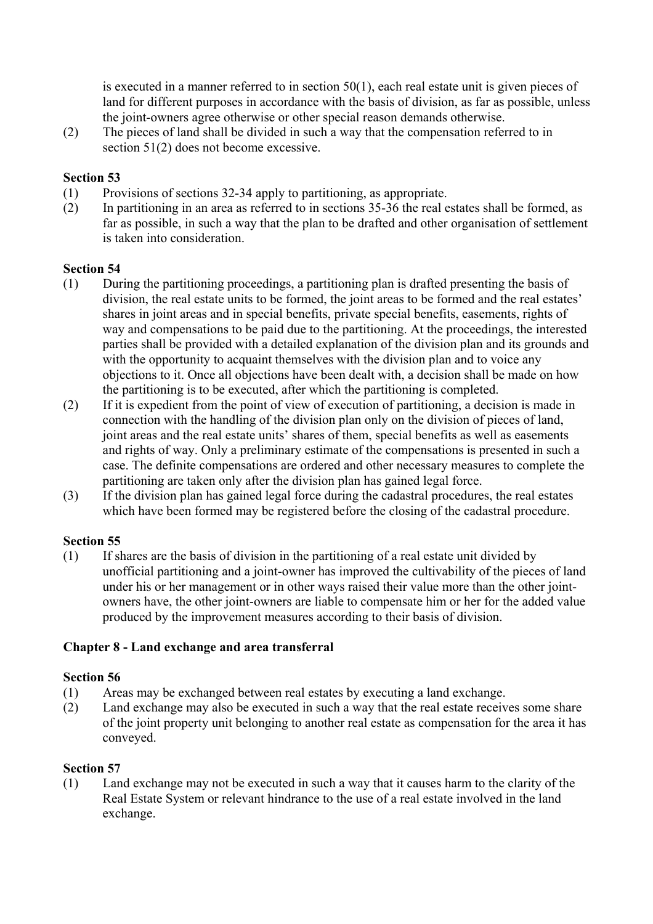is executed in a manner referred to in section 50(1), each real estate unit is given pieces of land for different purposes in accordance with the basis of division, as far as possible, unless the joint-owners agree otherwise or other special reason demands otherwise.

(2) The pieces of land shall be divided in such a way that the compensation referred to in section 51(2) does not become excessive.

#### **Section 53**

- (1) Provisions of sections 32-34 apply to partitioning, as appropriate.
- (2) In partitioning in an area as referred to in sections 35-36 the real estates shall be formed, as far as possible, in such a way that the plan to be drafted and other organisation of settlement is taken into consideration.

#### **Section 54**

- (1) During the partitioning proceedings, a partitioning plan is drafted presenting the basis of division, the real estate units to be formed, the joint areas to be formed and the real estates' shares in joint areas and in special benefits, private special benefits, easements, rights of way and compensations to be paid due to the partitioning. At the proceedings, the interested parties shall be provided with a detailed explanation of the division plan and its grounds and with the opportunity to acquaint themselves with the division plan and to voice any objections to it. Once all objections have been dealt with, a decision shall be made on how the partitioning is to be executed, after which the partitioning is completed.
- (2) If it is expedient from the point of view of execution of partitioning, a decision is made in connection with the handling of the division plan only on the division of pieces of land, joint areas and the real estate units' shares of them, special benefits as well as easements and rights of way. Only a preliminary estimate of the compensations is presented in such a case. The definite compensations are ordered and other necessary measures to complete the partitioning are taken only after the division plan has gained legal force.
- (3) If the division plan has gained legal force during the cadastral procedures, the real estates which have been formed may be registered before the closing of the cadastral procedure.

#### **Section 55**

(1) If shares are the basis of division in the partitioning of a real estate unit divided by unofficial partitioning and a joint-owner has improved the cultivability of the pieces of land under his or her management or in other ways raised their value more than the other jointowners have, the other joint-owners are liable to compensate him or her for the added value produced by the improvement measures according to their basis of division.

## **Chapter 8 - Land exchange and area transferral**

#### **Section 56**

- (1) Areas may be exchanged between real estates by executing a land exchange.
- (2) Land exchange may also be executed in such a way that the real estate receives some share of the joint property unit belonging to another real estate as compensation for the area it has conveyed.

#### **Section 57**

(1) Land exchange may not be executed in such a way that it causes harm to the clarity of the Real Estate System or relevant hindrance to the use of a real estate involved in the land exchange.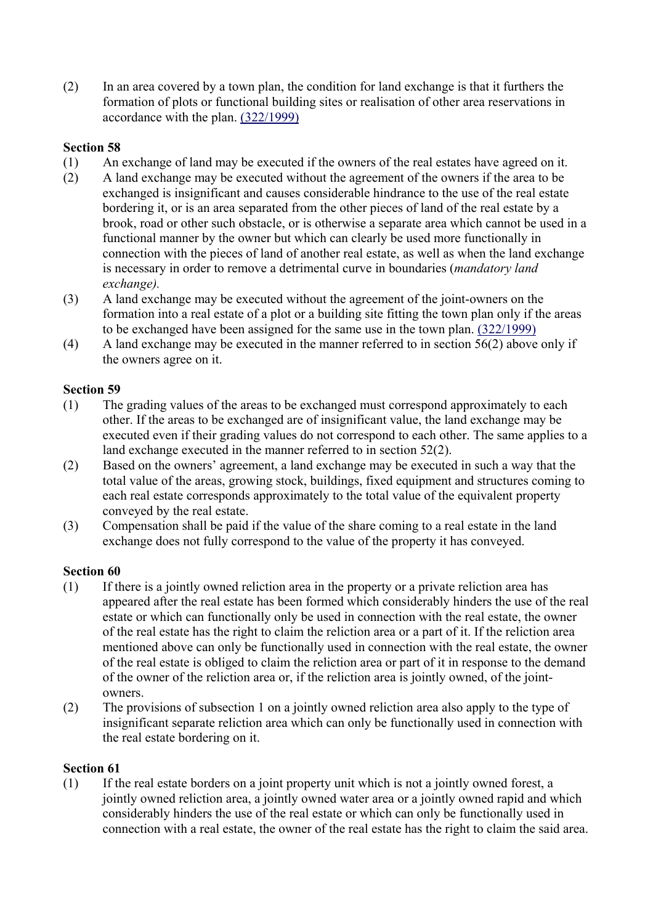(2) In an area covered by a town plan, the condition for land exchange is that it furthers the formation of plots or functional building sites or realisation of other area reservations in accordance with the plan. (322/1999)

# **Section 58**

- (1) An exchange of land may be executed if the owners of the real estates have agreed on it.
- (2) A land exchange may be executed without the agreement of the owners if the area to be exchanged is insignificant and causes considerable hindrance to the use of the real estate bordering it, or is an area separated from the other pieces of land of the real estate by a brook, road or other such obstacle, or is otherwise a separate area which cannot be used in a functional manner by the owner but which can clearly be used more functionally in connection with the pieces of land of another real estate, as well as when the land exchange is necessary in order to remove a detrimental curve in boundaries (*mandatory land exchange).*
- (3) A land exchange may be executed without the agreement of the joint-owners on the formation into a real estate of a plot or a building site fitting the town plan only if the areas to be exchanged have been assigned for the same use in the town plan. (322/1999)
- (4) A land exchange may be executed in the manner referred to in section 56(2) above only if the owners agree on it.

#### **Section 59**

- (1) The grading values of the areas to be exchanged must correspond approximately to each other. If the areas to be exchanged are of insignificant value, the land exchange may be executed even if their grading values do not correspond to each other. The same applies to a land exchange executed in the manner referred to in section 52(2).
- (2) Based on the owners' agreement, a land exchange may be executed in such a way that the total value of the areas, growing stock, buildings, fixed equipment and structures coming to each real estate corresponds approximately to the total value of the equivalent property conveyed by the real estate.
- (3) Compensation shall be paid if the value of the share coming to a real estate in the land exchange does not fully correspond to the value of the property it has conveyed.

## **Section 60**

- (1) If there is a jointly owned reliction area in the property or a private reliction area has appeared after the real estate has been formed which considerably hinders the use of the real estate or which can functionally only be used in connection with the real estate, the owner of the real estate has the right to claim the reliction area or a part of it. If the reliction area mentioned above can only be functionally used in connection with the real estate, the owner of the real estate is obliged to claim the reliction area or part of it in response to the demand of the owner of the reliction area or, if the reliction area is jointly owned, of the jointowners.
- (2) The provisions of subsection 1 on a jointly owned reliction area also apply to the type of insignificant separate reliction area which can only be functionally used in connection with the real estate bordering on it.

#### **Section 61**

(1) If the real estate borders on a joint property unit which is not a jointly owned forest, a jointly owned reliction area, a jointly owned water area or a jointly owned rapid and which considerably hinders the use of the real estate or which can only be functionally used in connection with a real estate, the owner of the real estate has the right to claim the said area.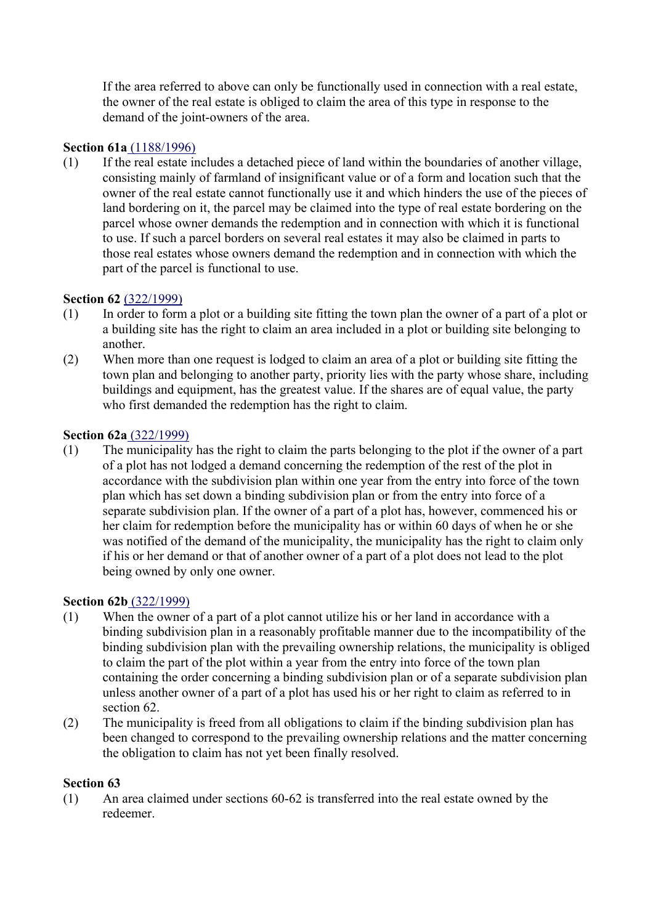If the area referred to above can only be functionally used in connection with a real estate, the owner of the real estate is obliged to claim the area of this type in response to the demand of the joint-owners of the area.

# **Section 61a** (1188/1996)

(1) If the real estate includes a detached piece of land within the boundaries of another village, consisting mainly of farmland of insignificant value or of a form and location such that the owner of the real estate cannot functionally use it and which hinders the use of the pieces of land bordering on it, the parcel may be claimed into the type of real estate bordering on the parcel whose owner demands the redemption and in connection with which it is functional to use. If such a parcel borders on several real estates it may also be claimed in parts to those real estates whose owners demand the redemption and in connection with which the part of the parcel is functional to use.

## **Section 62** (322/1999)

- (1) In order to form a plot or a building site fitting the town plan the owner of a part of a plot or a building site has the right to claim an area included in a plot or building site belonging to another.
- (2) When more than one request is lodged to claim an area of a plot or building site fitting the town plan and belonging to another party, priority lies with the party whose share, including buildings and equipment, has the greatest value. If the shares are of equal value, the party who first demanded the redemption has the right to claim.

#### **Section 62a** (322/1999)

(1) The municipality has the right to claim the parts belonging to the plot if the owner of a part of a plot has not lodged a demand concerning the redemption of the rest of the plot in accordance with the subdivision plan within one year from the entry into force of the town plan which has set down a binding subdivision plan or from the entry into force of a separate subdivision plan. If the owner of a part of a plot has, however, commenced his or her claim for redemption before the municipality has or within 60 days of when he or she was notified of the demand of the municipality, the municipality has the right to claim only if his or her demand or that of another owner of a part of a plot does not lead to the plot being owned by only one owner.

#### **Section 62b** (322/1999)

- (1) When the owner of a part of a plot cannot utilize his or her land in accordance with a binding subdivision plan in a reasonably profitable manner due to the incompatibility of the binding subdivision plan with the prevailing ownership relations, the municipality is obliged to claim the part of the plot within a year from the entry into force of the town plan containing the order concerning a binding subdivision plan or of a separate subdivision plan unless another owner of a part of a plot has used his or her right to claim as referred to in section 62.
- (2) The municipality is freed from all obligations to claim if the binding subdivision plan has been changed to correspond to the prevailing ownership relations and the matter concerning the obligation to claim has not yet been finally resolved.

## **Section 63**

(1) An area claimed under sections 60-62 is transferred into the real estate owned by the redeemer.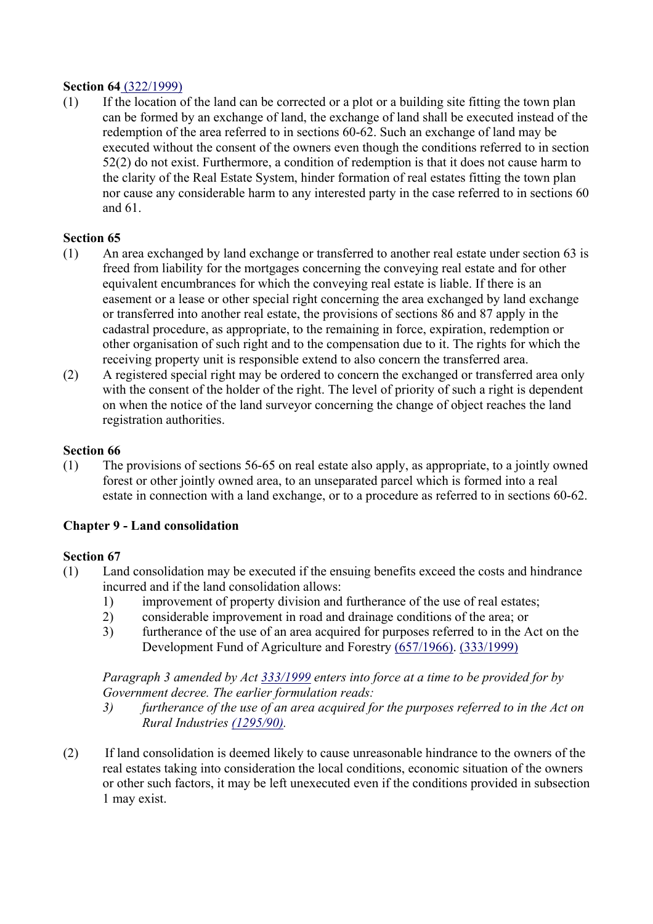#### **Section 64** (322/1999)

(1) If the location of the land can be corrected or a plot or a building site fitting the town plan can be formed by an exchange of land, the exchange of land shall be executed instead of the redemption of the area referred to in sections 60-62. Such an exchange of land may be executed without the consent of the owners even though the conditions referred to in section 52(2) do not exist. Furthermore, a condition of redemption is that it does not cause harm to the clarity of the Real Estate System, hinder formation of real estates fitting the town plan nor cause any considerable harm to any interested party in the case referred to in sections 60 and 61.

# **Section 65**

- (1) An area exchanged by land exchange or transferred to another real estate under section 63 is freed from liability for the mortgages concerning the conveying real estate and for other equivalent encumbrances for which the conveying real estate is liable. If there is an easement or a lease or other special right concerning the area exchanged by land exchange or transferred into another real estate, the provisions of sections 86 and 87 apply in the cadastral procedure, as appropriate, to the remaining in force, expiration, redemption or other organisation of such right and to the compensation due to it. The rights for which the receiving property unit is responsible extend to also concern the transferred area.
- (2) A registered special right may be ordered to concern the exchanged or transferred area only with the consent of the holder of the right. The level of priority of such a right is dependent on when the notice of the land surveyor concerning the change of object reaches the land registration authorities.

## **Section 66**

(1) The provisions of sections 56-65 on real estate also apply, as appropriate, to a jointly owned forest or other jointly owned area, to an unseparated parcel which is formed into a real estate in connection with a land exchange, or to a procedure as referred to in sections 60-62.

## **Chapter 9 - Land consolidation**

## **Section 67**

- (1) Land consolidation may be executed if the ensuing benefits exceed the costs and hindrance incurred and if the land consolidation allows:
	- 1) improvement of property division and furtherance of the use of real estates;
	- 2) considerable improvement in road and drainage conditions of the area; or
	- 3) furtherance of the use of an area acquired for purposes referred to in the Act on the Development Fund of Agriculture and Forestry (657/1966). (333/1999)

 *Paragraph 3 amended by Act 333/1999 enters into force at a time to be provided for by Government decree. The earlier formulation reads:* 

- *3) furtherance of the use of an area acquired for the purposes referred to in the Act on Rural Industries (1295/90).*
- (2) If land consolidation is deemed likely to cause unreasonable hindrance to the owners of the real estates taking into consideration the local conditions, economic situation of the owners or other such factors, it may be left unexecuted even if the conditions provided in subsection 1 may exist.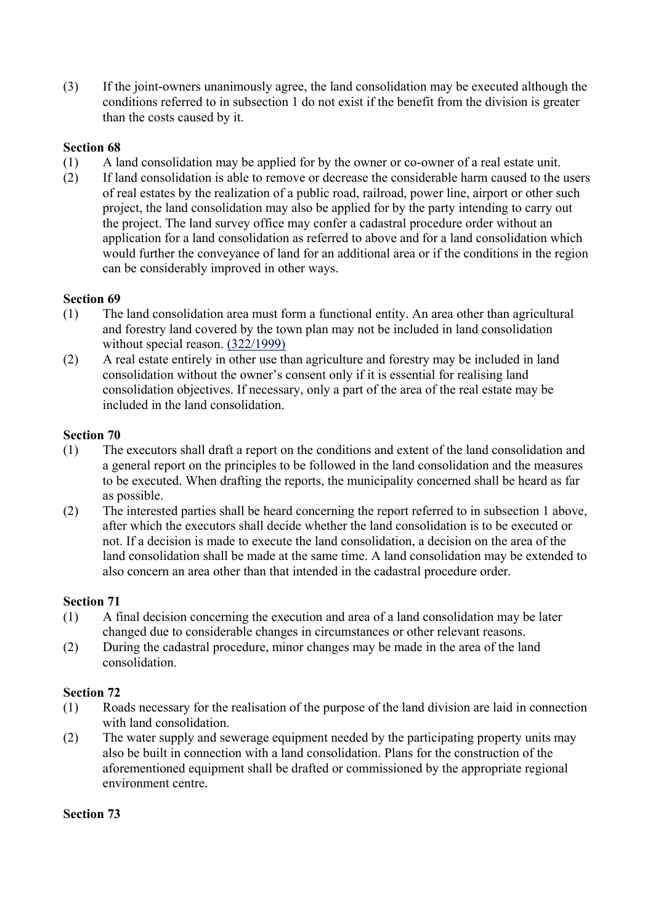(3) If the joint-owners unanimously agree, the land consolidation may be executed although the conditions referred to in subsection 1 do not exist if the benefit from the division is greater than the costs caused by it.

#### **Section 68**

- (1) A land consolidation may be applied for by the owner or co-owner of a real estate unit.
- (2) If land consolidation is able to remove or decrease the considerable harm caused to the users of real estates by the realization of a public road, railroad, power line, airport or other such project, the land consolidation may also be applied for by the party intending to carry out the project. The land survey office may confer a cadastral procedure order without an application for a land consolidation as referred to above and for a land consolidation which would further the conveyance of land for an additional area or if the conditions in the region can be considerably improved in other ways.

#### **Section 69**

- (1) The land consolidation area must form a functional entity. An area other than agricultural and forestry land covered by the town plan may not be included in land consolidation without special reason. (322/1999)
- (2) A real estate entirely in other use than agriculture and forestry may be included in land consolidation without the owner's consent only if it is essential for realising land consolidation objectives. If necessary, only a part of the area of the real estate may be included in the land consolidation.

#### **Section 70**

- (1) The executors shall draft a report on the conditions and extent of the land consolidation and a general report on the principles to be followed in the land consolidation and the measures to be executed. When drafting the reports, the municipality concerned shall be heard as far as possible.
- (2) The interested parties shall be heard concerning the report referred to in subsection 1 above, after which the executors shall decide whether the land consolidation is to be executed or not. If a decision is made to execute the land consolidation, a decision on the area of the land consolidation shall be made at the same time. A land consolidation may be extended to also concern an area other than that intended in the cadastral procedure order.

#### **Section 71**

- (1) A final decision concerning the execution and area of a land consolidation may be later changed due to considerable changes in circumstances or other relevant reasons.
- (2) During the cadastral procedure, minor changes may be made in the area of the land consolidation.

#### **Section 72**

- (1) Roads necessary for the realisation of the purpose of the land division are laid in connection with land consolidation.
- (2) The water supply and sewerage equipment needed by the participating property units may also be built in connection with a land consolidation. Plans for the construction of the aforementioned equipment shall be drafted or commissioned by the appropriate regional environment centre.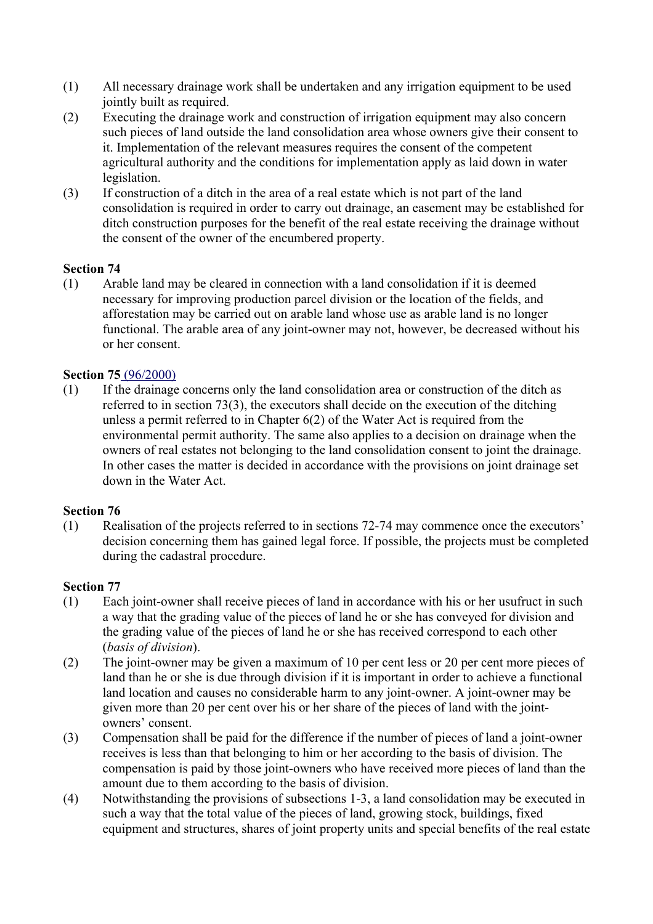- (1) All necessary drainage work shall be undertaken and any irrigation equipment to be used jointly built as required.
- (2) Executing the drainage work and construction of irrigation equipment may also concern such pieces of land outside the land consolidation area whose owners give their consent to it. Implementation of the relevant measures requires the consent of the competent agricultural authority and the conditions for implementation apply as laid down in water legislation.
- (3) If construction of a ditch in the area of a real estate which is not part of the land consolidation is required in order to carry out drainage, an easement may be established for ditch construction purposes for the benefit of the real estate receiving the drainage without the consent of the owner of the encumbered property.

(1) Arable land may be cleared in connection with a land consolidation if it is deemed necessary for improving production parcel division or the location of the fields, and afforestation may be carried out on arable land whose use as arable land is no longer functional. The arable area of any joint-owner may not, however, be decreased without his or her consent.

#### **Section 75** (96/2000)

(1) If the drainage concerns only the land consolidation area or construction of the ditch as referred to in section 73(3), the executors shall decide on the execution of the ditching unless a permit referred to in Chapter 6(2) of the Water Act is required from the environmental permit authority. The same also applies to a decision on drainage when the owners of real estates not belonging to the land consolidation consent to joint the drainage. In other cases the matter is decided in accordance with the provisions on joint drainage set down in the Water Act.

#### **Section 76**

(1) Realisation of the projects referred to in sections 72-74 may commence once the executors' decision concerning them has gained legal force. If possible, the projects must be completed during the cadastral procedure.

- (1) Each joint-owner shall receive pieces of land in accordance with his or her usufruct in such a way that the grading value of the pieces of land he or she has conveyed for division and the grading value of the pieces of land he or she has received correspond to each other (*basis of division*).
- (2) The joint-owner may be given a maximum of 10 per cent less or 20 per cent more pieces of land than he or she is due through division if it is important in order to achieve a functional land location and causes no considerable harm to any joint-owner. A joint-owner may be given more than 20 per cent over his or her share of the pieces of land with the jointowners' consent.
- (3) Compensation shall be paid for the difference if the number of pieces of land a joint-owner receives is less than that belonging to him or her according to the basis of division. The compensation is paid by those joint-owners who have received more pieces of land than the amount due to them according to the basis of division.
- (4) Notwithstanding the provisions of subsections 1-3, a land consolidation may be executed in such a way that the total value of the pieces of land, growing stock, buildings, fixed equipment and structures, shares of joint property units and special benefits of the real estate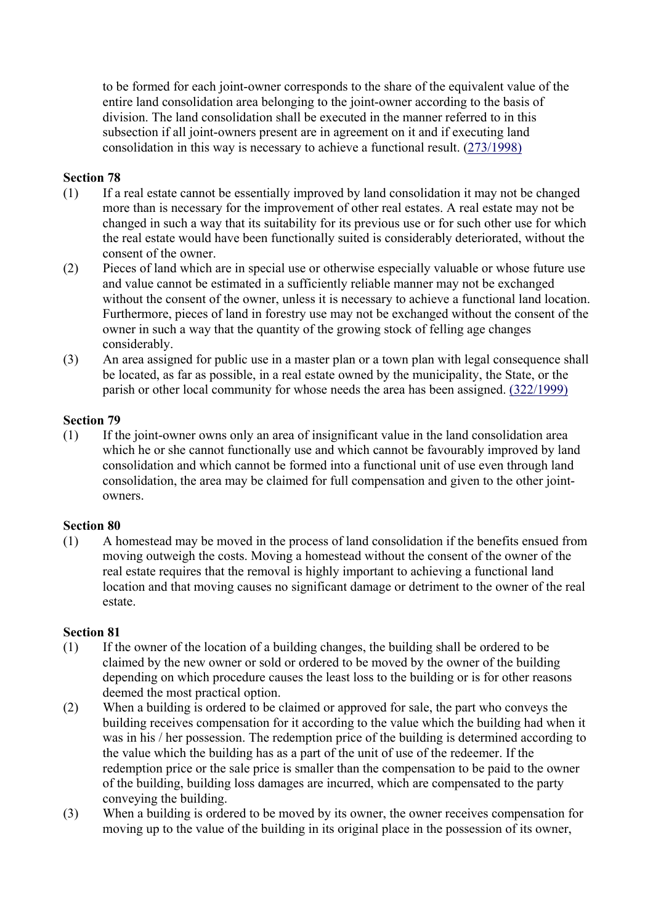to be formed for each joint-owner corresponds to the share of the equivalent value of the entire land consolidation area belonging to the joint-owner according to the basis of division. The land consolidation shall be executed in the manner referred to in this subsection if all joint-owners present are in agreement on it and if executing land consolidation in this way is necessary to achieve a functional result. (273/1998)

#### **Section 78**

- (1) If a real estate cannot be essentially improved by land consolidation it may not be changed more than is necessary for the improvement of other real estates. A real estate may not be changed in such a way that its suitability for its previous use or for such other use for which the real estate would have been functionally suited is considerably deteriorated, without the consent of the owner.
- (2) Pieces of land which are in special use or otherwise especially valuable or whose future use and value cannot be estimated in a sufficiently reliable manner may not be exchanged without the consent of the owner, unless it is necessary to achieve a functional land location. Furthermore, pieces of land in forestry use may not be exchanged without the consent of the owner in such a way that the quantity of the growing stock of felling age changes considerably.
- (3) An area assigned for public use in a master plan or a town plan with legal consequence shall be located, as far as possible, in a real estate owned by the municipality, the State, or the parish or other local community for whose needs the area has been assigned. (322/1999)

#### **Section 79**

(1) If the joint-owner owns only an area of insignificant value in the land consolidation area which he or she cannot functionally use and which cannot be favourably improved by land consolidation and which cannot be formed into a functional unit of use even through land consolidation, the area may be claimed for full compensation and given to the other jointowners.

#### **Section 80**

(1) A homestead may be moved in the process of land consolidation if the benefits ensued from moving outweigh the costs. Moving a homestead without the consent of the owner of the real estate requires that the removal is highly important to achieving a functional land location and that moving causes no significant damage or detriment to the owner of the real estate.

- (1) If the owner of the location of a building changes, the building shall be ordered to be claimed by the new owner or sold or ordered to be moved by the owner of the building depending on which procedure causes the least loss to the building or is for other reasons deemed the most practical option.
- (2) When a building is ordered to be claimed or approved for sale, the part who conveys the building receives compensation for it according to the value which the building had when it was in his / her possession. The redemption price of the building is determined according to the value which the building has as a part of the unit of use of the redeemer. If the redemption price or the sale price is smaller than the compensation to be paid to the owner of the building, building loss damages are incurred, which are compensated to the party conveying the building.
- (3) When a building is ordered to be moved by its owner, the owner receives compensation for moving up to the value of the building in its original place in the possession of its owner,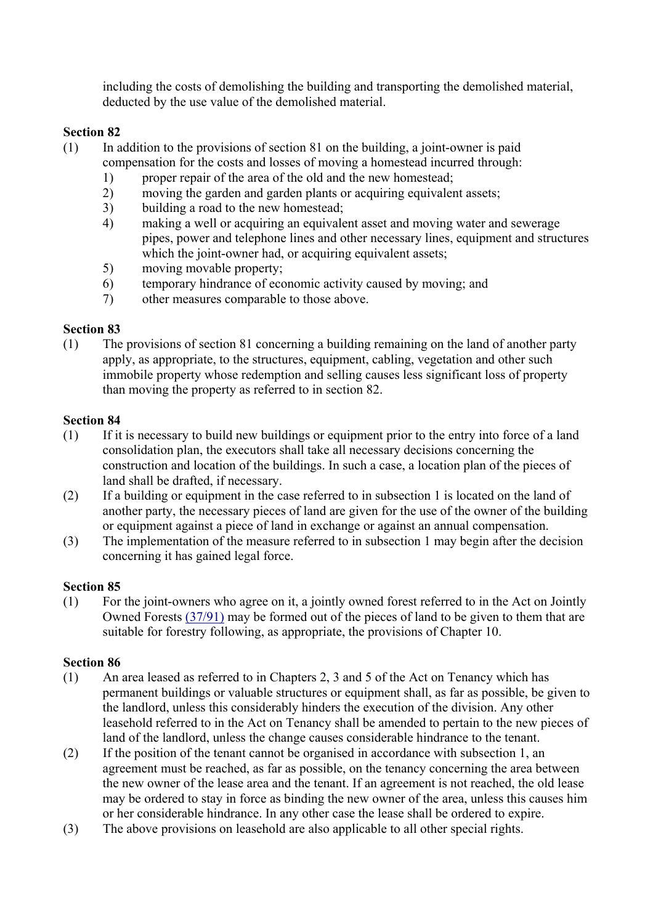including the costs of demolishing the building and transporting the demolished material, deducted by the use value of the demolished material.

## **Section 82**

- (1) In addition to the provisions of section 81 on the building, a joint-owner is paid
	- compensation for the costs and losses of moving a homestead incurred through:
		- 1) proper repair of the area of the old and the new homestead;
		- 2) moving the garden and garden plants or acquiring equivalent assets;
		- 3) building a road to the new homestead;
		- 4) making a well or acquiring an equivalent asset and moving water and sewerage pipes, power and telephone lines and other necessary lines, equipment and structures which the joint-owner had, or acquiring equivalent assets;
		- 5) moving movable property;
		- 6) temporary hindrance of economic activity caused by moving; and
		- 7) other measures comparable to those above.

# **Section 83**

(1) The provisions of section 81 concerning a building remaining on the land of another party apply, as appropriate, to the structures, equipment, cabling, vegetation and other such immobile property whose redemption and selling causes less significant loss of property than moving the property as referred to in section 82.

# **Section 84**

- (1) If it is necessary to build new buildings or equipment prior to the entry into force of a land consolidation plan, the executors shall take all necessary decisions concerning the construction and location of the buildings. In such a case, a location plan of the pieces of land shall be drafted, if necessary.
- (2) If a building or equipment in the case referred to in subsection 1 is located on the land of another party, the necessary pieces of land are given for the use of the owner of the building or equipment against a piece of land in exchange or against an annual compensation.
- (3) The implementation of the measure referred to in subsection 1 may begin after the decision concerning it has gained legal force.

## **Section 85**

(1) For the joint-owners who agree on it, a jointly owned forest referred to in the Act on Jointly Owned Forests (37/91) may be formed out of the pieces of land to be given to them that are suitable for forestry following, as appropriate, the provisions of Chapter 10.

- (1) An area leased as referred to in Chapters 2, 3 and 5 of the Act on Tenancy which has permanent buildings or valuable structures or equipment shall, as far as possible, be given to the landlord, unless this considerably hinders the execution of the division. Any other leasehold referred to in the Act on Tenancy shall be amended to pertain to the new pieces of land of the landlord, unless the change causes considerable hindrance to the tenant.
- (2) If the position of the tenant cannot be organised in accordance with subsection 1, an agreement must be reached, as far as possible, on the tenancy concerning the area between the new owner of the lease area and the tenant. If an agreement is not reached, the old lease may be ordered to stay in force as binding the new owner of the area, unless this causes him or her considerable hindrance. In any other case the lease shall be ordered to expire.
- (3) The above provisions on leasehold are also applicable to all other special rights.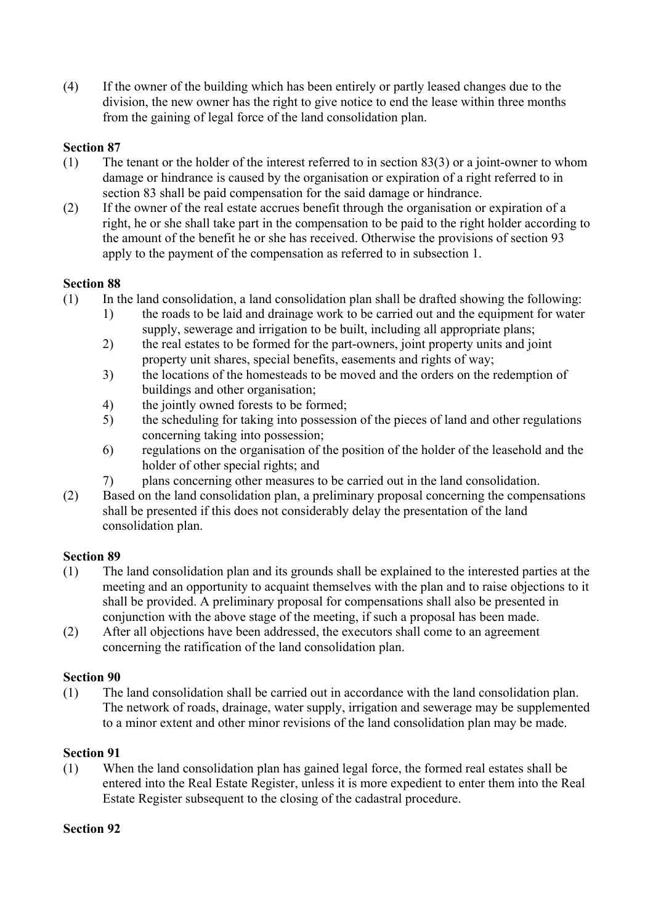(4) If the owner of the building which has been entirely or partly leased changes due to the division, the new owner has the right to give notice to end the lease within three months from the gaining of legal force of the land consolidation plan.

# **Section 87**

- (1) The tenant or the holder of the interest referred to in section 83(3) or a joint-owner to whom damage or hindrance is caused by the organisation or expiration of a right referred to in section 83 shall be paid compensation for the said damage or hindrance.
- (2) If the owner of the real estate accrues benefit through the organisation or expiration of a right, he or she shall take part in the compensation to be paid to the right holder according to the amount of the benefit he or she has received. Otherwise the provisions of section 93 apply to the payment of the compensation as referred to in subsection 1.

## **Section 88**

- (1) In the land consolidation, a land consolidation plan shall be drafted showing the following:
	- 1) the roads to be laid and drainage work to be carried out and the equipment for water supply, sewerage and irrigation to be built, including all appropriate plans;
	- 2) the real estates to be formed for the part-owners, joint property units and joint property unit shares, special benefits, easements and rights of way;
	- 3) the locations of the homesteads to be moved and the orders on the redemption of buildings and other organisation;
	- 4) the jointly owned forests to be formed;
	- 5) the scheduling for taking into possession of the pieces of land and other regulations concerning taking into possession;
	- 6) regulations on the organisation of the position of the holder of the leasehold and the holder of other special rights; and
	- 7) plans concerning other measures to be carried out in the land consolidation.
- (2) Based on the land consolidation plan, a preliminary proposal concerning the compensations shall be presented if this does not considerably delay the presentation of the land consolidation plan.

## **Section 89**

- (1) The land consolidation plan and its grounds shall be explained to the interested parties at the meeting and an opportunity to acquaint themselves with the plan and to raise objections to it shall be provided. A preliminary proposal for compensations shall also be presented in conjunction with the above stage of the meeting, if such a proposal has been made.
- (2) After all objections have been addressed, the executors shall come to an agreement concerning the ratification of the land consolidation plan.

## **Section 90**

(1) The land consolidation shall be carried out in accordance with the land consolidation plan. The network of roads, drainage, water supply, irrigation and sewerage may be supplemented to a minor extent and other minor revisions of the land consolidation plan may be made.

## **Section 91**

(1) When the land consolidation plan has gained legal force, the formed real estates shall be entered into the Real Estate Register, unless it is more expedient to enter them into the Real Estate Register subsequent to the closing of the cadastral procedure.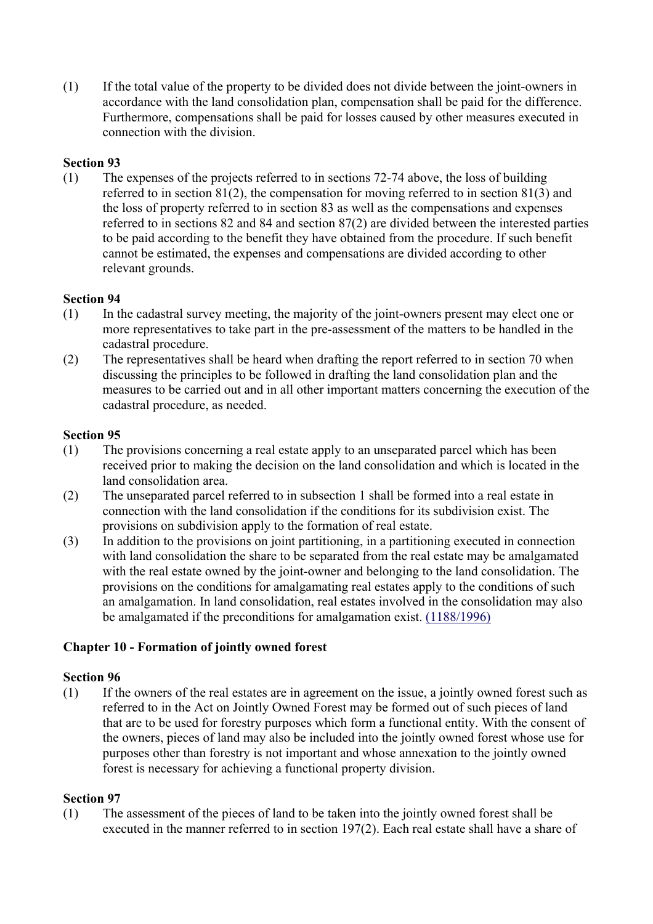(1) If the total value of the property to be divided does not divide between the joint-owners in accordance with the land consolidation plan, compensation shall be paid for the difference. Furthermore, compensations shall be paid for losses caused by other measures executed in connection with the division.

# **Section 93**

(1) The expenses of the projects referred to in sections 72-74 above, the loss of building referred to in section 81(2), the compensation for moving referred to in section 81(3) and the loss of property referred to in section 83 as well as the compensations and expenses referred to in sections 82 and 84 and section 87(2) are divided between the interested parties to be paid according to the benefit they have obtained from the procedure. If such benefit cannot be estimated, the expenses and compensations are divided according to other relevant grounds.

## **Section 94**

- (1) In the cadastral survey meeting, the majority of the joint-owners present may elect one or more representatives to take part in the pre-assessment of the matters to be handled in the cadastral procedure.
- (2) The representatives shall be heard when drafting the report referred to in section 70 when discussing the principles to be followed in drafting the land consolidation plan and the measures to be carried out and in all other important matters concerning the execution of the cadastral procedure, as needed.

#### **Section 95**

- (1) The provisions concerning a real estate apply to an unseparated parcel which has been received prior to making the decision on the land consolidation and which is located in the land consolidation area.
- (2) The unseparated parcel referred to in subsection 1 shall be formed into a real estate in connection with the land consolidation if the conditions for its subdivision exist. The provisions on subdivision apply to the formation of real estate.
- (3) In addition to the provisions on joint partitioning, in a partitioning executed in connection with land consolidation the share to be separated from the real estate may be amalgamated with the real estate owned by the joint-owner and belonging to the land consolidation. The provisions on the conditions for amalgamating real estates apply to the conditions of such an amalgamation. In land consolidation, real estates involved in the consolidation may also be amalgamated if the preconditions for amalgamation exist. (1188/1996)

## **Chapter 10 - Formation of jointly owned forest**

#### **Section 96**

(1) If the owners of the real estates are in agreement on the issue, a jointly owned forest such as referred to in the Act on Jointly Owned Forest may be formed out of such pieces of land that are to be used for forestry purposes which form a functional entity. With the consent of the owners, pieces of land may also be included into the jointly owned forest whose use for purposes other than forestry is not important and whose annexation to the jointly owned forest is necessary for achieving a functional property division.

#### **Section 97**

(1) The assessment of the pieces of land to be taken into the jointly owned forest shall be executed in the manner referred to in section 197(2). Each real estate shall have a share of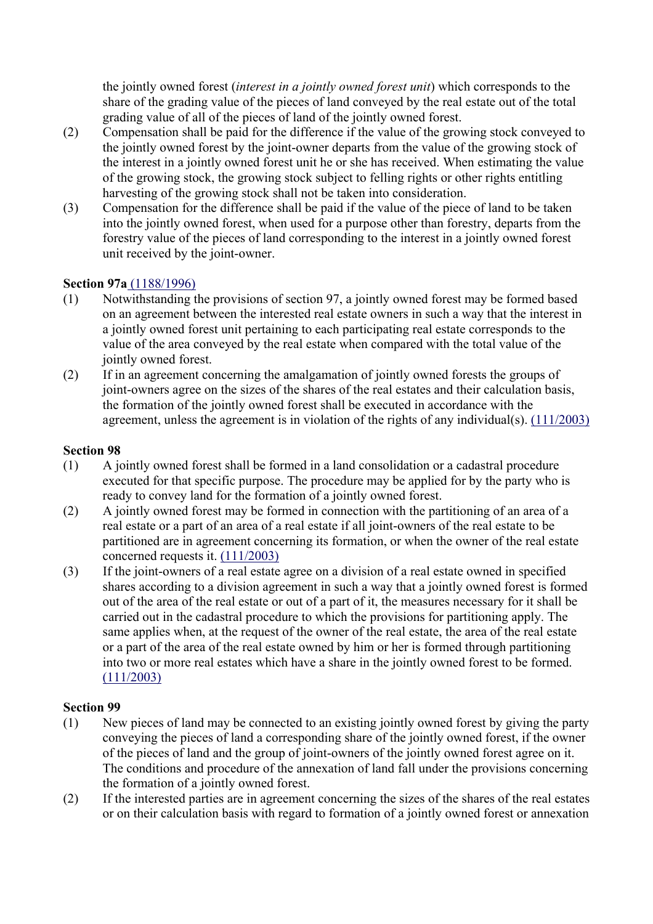the jointly owned forest (*interest in a jointly owned forest unit*) which corresponds to the share of the grading value of the pieces of land conveyed by the real estate out of the total grading value of all of the pieces of land of the jointly owned forest.

- (2) Compensation shall be paid for the difference if the value of the growing stock conveyed to the jointly owned forest by the joint-owner departs from the value of the growing stock of the interest in a jointly owned forest unit he or she has received. When estimating the value of the growing stock, the growing stock subject to felling rights or other rights entitling harvesting of the growing stock shall not be taken into consideration.
- (3) Compensation for the difference shall be paid if the value of the piece of land to be taken into the jointly owned forest, when used for a purpose other than forestry, departs from the forestry value of the pieces of land corresponding to the interest in a jointly owned forest unit received by the joint-owner.

## **Section 97a** (1188/1996)

- (1) Notwithstanding the provisions of section 97, a jointly owned forest may be formed based on an agreement between the interested real estate owners in such a way that the interest in a jointly owned forest unit pertaining to each participating real estate corresponds to the value of the area conveyed by the real estate when compared with the total value of the jointly owned forest.
- (2) If in an agreement concerning the amalgamation of jointly owned forests the groups of joint-owners agree on the sizes of the shares of the real estates and their calculation basis, the formation of the jointly owned forest shall be executed in accordance with the agreement, unless the agreement is in violation of the rights of any individual(s). (111/2003)

#### **Section 98**

- (1) A jointly owned forest shall be formed in a land consolidation or a cadastral procedure executed for that specific purpose. The procedure may be applied for by the party who is ready to convey land for the formation of a jointly owned forest.
- (2) A jointly owned forest may be formed in connection with the partitioning of an area of a real estate or a part of an area of a real estate if all joint-owners of the real estate to be partitioned are in agreement concerning its formation, or when the owner of the real estate concerned requests it. (111/2003)
- (3) If the joint-owners of a real estate agree on a division of a real estate owned in specified shares according to a division agreement in such a way that a jointly owned forest is formed out of the area of the real estate or out of a part of it, the measures necessary for it shall be carried out in the cadastral procedure to which the provisions for partitioning apply. The same applies when, at the request of the owner of the real estate, the area of the real estate or a part of the area of the real estate owned by him or her is formed through partitioning into two or more real estates which have a share in the jointly owned forest to be formed. (111/2003)

- (1) New pieces of land may be connected to an existing jointly owned forest by giving the party conveying the pieces of land a corresponding share of the jointly owned forest, if the owner of the pieces of land and the group of joint-owners of the jointly owned forest agree on it. The conditions and procedure of the annexation of land fall under the provisions concerning the formation of a jointly owned forest.
- (2) If the interested parties are in agreement concerning the sizes of the shares of the real estates or on their calculation basis with regard to formation of a jointly owned forest or annexation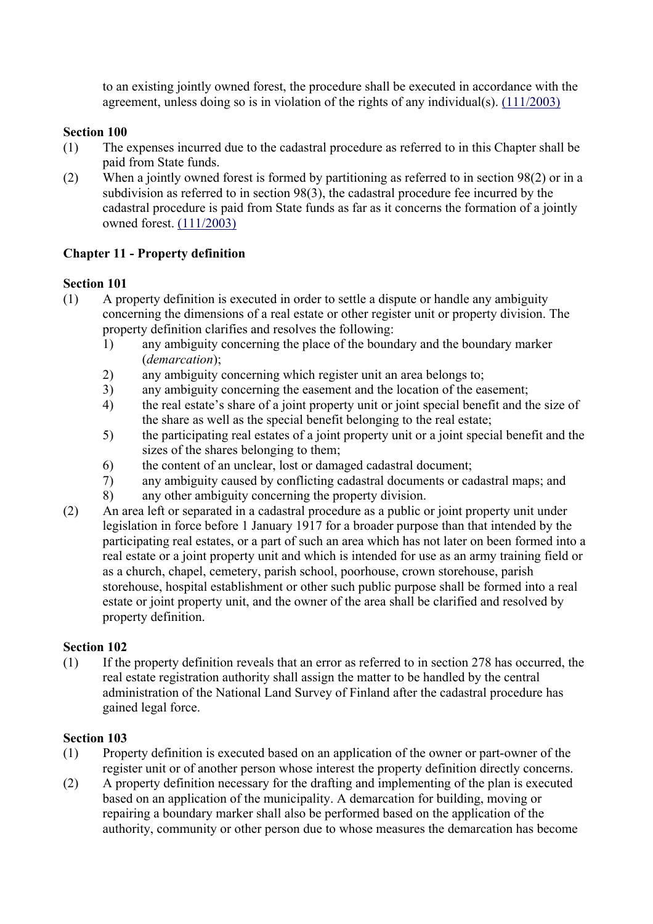to an existing jointly owned forest, the procedure shall be executed in accordance with the agreement, unless doing so is in violation of the rights of any individual(s). (111/2003)

# **Section 100**

- (1) The expenses incurred due to the cadastral procedure as referred to in this Chapter shall be paid from State funds.
- (2) When a jointly owned forest is formed by partitioning as referred to in section 98(2) or in a subdivision as referred to in section 98(3), the cadastral procedure fee incurred by the cadastral procedure is paid from State funds as far as it concerns the formation of a jointly owned forest. (111/2003)

# **Chapter 11 - Property definition**

## **Section 101**

- (1) A property definition is executed in order to settle a dispute or handle any ambiguity concerning the dimensions of a real estate or other register unit or property division. The property definition clarifies and resolves the following:
	- 1) any ambiguity concerning the place of the boundary and the boundary marker (*demarcation*);
	- 2) any ambiguity concerning which register unit an area belongs to;
	- 3) any ambiguity concerning the easement and the location of the easement;
	- 4) the real estate's share of a joint property unit or joint special benefit and the size of the share as well as the special benefit belonging to the real estate;
	- 5) the participating real estates of a joint property unit or a joint special benefit and the sizes of the shares belonging to them;
	- 6) the content of an unclear, lost or damaged cadastral document;
	- 7) any ambiguity caused by conflicting cadastral documents or cadastral maps; and
	- 8) any other ambiguity concerning the property division.
- (2) An area left or separated in a cadastral procedure as a public or joint property unit under legislation in force before 1 January 1917 for a broader purpose than that intended by the participating real estates, or a part of such an area which has not later on been formed into a real estate or a joint property unit and which is intended for use as an army training field or as a church, chapel, cemetery, parish school, poorhouse, crown storehouse, parish storehouse, hospital establishment or other such public purpose shall be formed into a real estate or joint property unit, and the owner of the area shall be clarified and resolved by property definition.

## **Section 102**

(1) If the property definition reveals that an error as referred to in section 278 has occurred, the real estate registration authority shall assign the matter to be handled by the central administration of the National Land Survey of Finland after the cadastral procedure has gained legal force.

- (1) Property definition is executed based on an application of the owner or part-owner of the register unit or of another person whose interest the property definition directly concerns.
- (2) A property definition necessary for the drafting and implementing of the plan is executed based on an application of the municipality. A demarcation for building, moving or repairing a boundary marker shall also be performed based on the application of the authority, community or other person due to whose measures the demarcation has become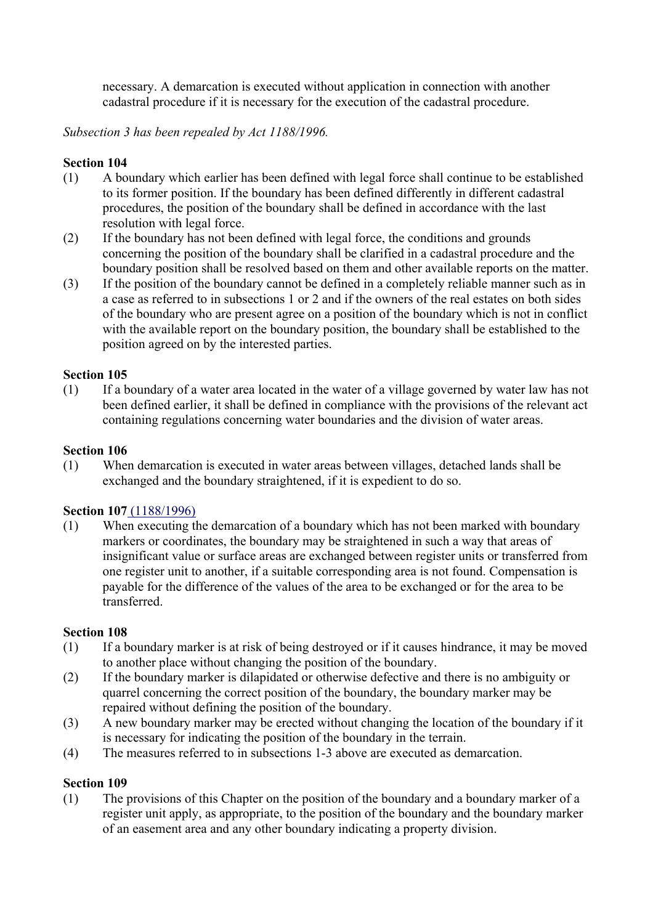necessary. A demarcation is executed without application in connection with another cadastral procedure if it is necessary for the execution of the cadastral procedure.

## *Subsection 3 has been repealed by Act 1188/1996.*

## **Section 104**

- (1) A boundary which earlier has been defined with legal force shall continue to be established to its former position. If the boundary has been defined differently in different cadastral procedures, the position of the boundary shall be defined in accordance with the last resolution with legal force.
- (2) If the boundary has not been defined with legal force, the conditions and grounds concerning the position of the boundary shall be clarified in a cadastral procedure and the boundary position shall be resolved based on them and other available reports on the matter.
- (3) If the position of the boundary cannot be defined in a completely reliable manner such as in a case as referred to in subsections 1 or 2 and if the owners of the real estates on both sides of the boundary who are present agree on a position of the boundary which is not in conflict with the available report on the boundary position, the boundary shall be established to the position agreed on by the interested parties.

## **Section 105**

(1) If a boundary of a water area located in the water of a village governed by water law has not been defined earlier, it shall be defined in compliance with the provisions of the relevant act containing regulations concerning water boundaries and the division of water areas.

#### **Section 106**

(1) When demarcation is executed in water areas between villages, detached lands shall be exchanged and the boundary straightened, if it is expedient to do so.

#### **Section 107** (1188/1996)

(1) When executing the demarcation of a boundary which has not been marked with boundary markers or coordinates, the boundary may be straightened in such a way that areas of insignificant value or surface areas are exchanged between register units or transferred from one register unit to another, if a suitable corresponding area is not found. Compensation is payable for the difference of the values of the area to be exchanged or for the area to be transferred.

## **Section 108**

- (1) If a boundary marker is at risk of being destroyed or if it causes hindrance, it may be moved to another place without changing the position of the boundary.
- (2) If the boundary marker is dilapidated or otherwise defective and there is no ambiguity or quarrel concerning the correct position of the boundary, the boundary marker may be repaired without defining the position of the boundary.
- (3) A new boundary marker may be erected without changing the location of the boundary if it is necessary for indicating the position of the boundary in the terrain.
- (4) The measures referred to in subsections 1-3 above are executed as demarcation.

#### **Section 109**

(1) The provisions of this Chapter on the position of the boundary and a boundary marker of a register unit apply, as appropriate, to the position of the boundary and the boundary marker of an easement area and any other boundary indicating a property division.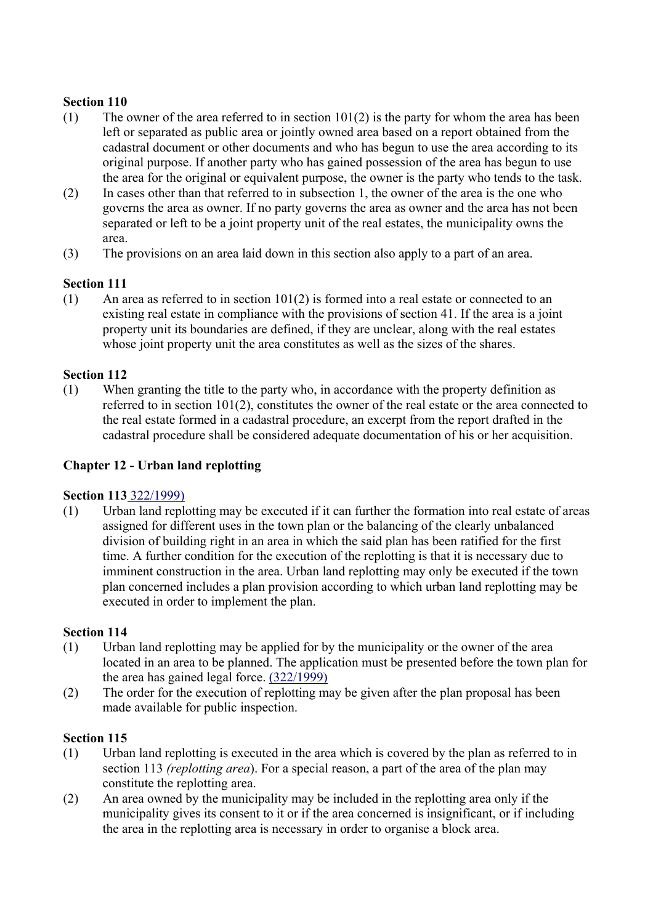- (1) The owner of the area referred to in section  $101(2)$  is the party for whom the area has been left or separated as public area or jointly owned area based on a report obtained from the cadastral document or other documents and who has begun to use the area according to its original purpose. If another party who has gained possession of the area has begun to use the area for the original or equivalent purpose, the owner is the party who tends to the task.
- (2) In cases other than that referred to in subsection 1, the owner of the area is the one who governs the area as owner. If no party governs the area as owner and the area has not been separated or left to be a joint property unit of the real estates, the municipality owns the area.
- (3) The provisions on an area laid down in this section also apply to a part of an area.

# **Section 111**

(1) An area as referred to in section 101(2) is formed into a real estate or connected to an existing real estate in compliance with the provisions of section 41. If the area is a joint property unit its boundaries are defined, if they are unclear, along with the real estates whose joint property unit the area constitutes as well as the sizes of the shares.

## **Section 112**

(1) When granting the title to the party who, in accordance with the property definition as referred to in section 101(2), constitutes the owner of the real estate or the area connected to the real estate formed in a cadastral procedure, an excerpt from the report drafted in the cadastral procedure shall be considered adequate documentation of his or her acquisition.

## **Chapter 12 - Urban land replotting**

## **Section 113** 322/1999)

(1) Urban land replotting may be executed if it can further the formation into real estate of areas assigned for different uses in the town plan or the balancing of the clearly unbalanced division of building right in an area in which the said plan has been ratified for the first time. A further condition for the execution of the replotting is that it is necessary due to imminent construction in the area. Urban land replotting may only be executed if the town plan concerned includes a plan provision according to which urban land replotting may be executed in order to implement the plan.

## **Section 114**

- (1) Urban land replotting may be applied for by the municipality or the owner of the area located in an area to be planned. The application must be presented before the town plan for the area has gained legal force. (322/1999)
- (2) The order for the execution of replotting may be given after the plan proposal has been made available for public inspection.

- (1) Urban land replotting is executed in the area which is covered by the plan as referred to in section 113 *(replotting area*). For a special reason, a part of the area of the plan may constitute the replotting area.
- (2) An area owned by the municipality may be included in the replotting area only if the municipality gives its consent to it or if the area concerned is insignificant, or if including the area in the replotting area is necessary in order to organise a block area.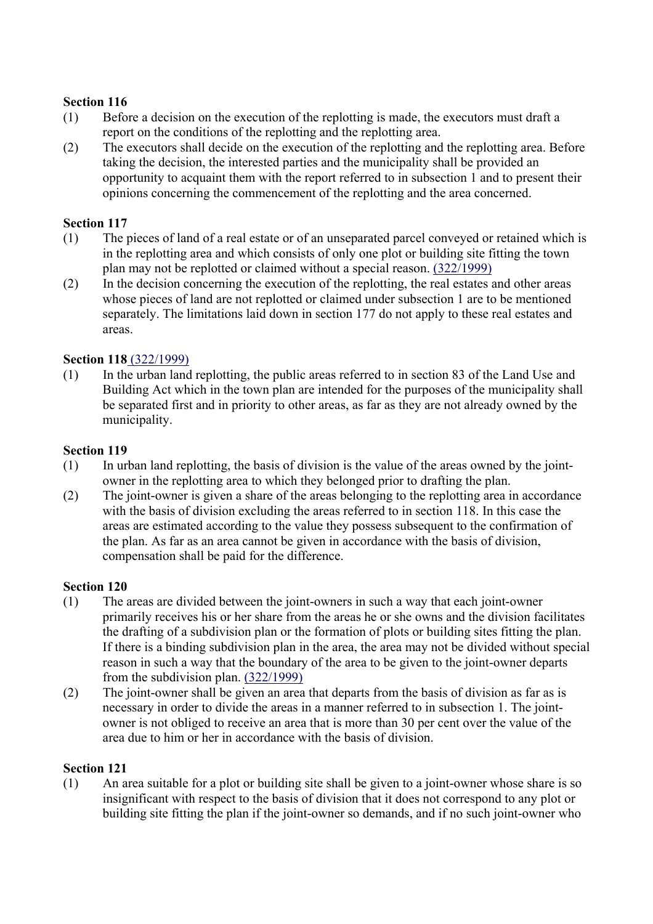- (1) Before a decision on the execution of the replotting is made, the executors must draft a report on the conditions of the replotting and the replotting area.
- (2) The executors shall decide on the execution of the replotting and the replotting area. Before taking the decision, the interested parties and the municipality shall be provided an opportunity to acquaint them with the report referred to in subsection 1 and to present their opinions concerning the commencement of the replotting and the area concerned.

#### **Section 117**

- (1) The pieces of land of a real estate or of an unseparated parcel conveyed or retained which is in the replotting area and which consists of only one plot or building site fitting the town plan may not be replotted or claimed without a special reason. (322/1999)
- (2) In the decision concerning the execution of the replotting, the real estates and other areas whose pieces of land are not replotted or claimed under subsection 1 are to be mentioned separately. The limitations laid down in section 177 do not apply to these real estates and areas.

#### **Section 118** (322/1999)

(1) In the urban land replotting, the public areas referred to in section 83 of the Land Use and Building Act which in the town plan are intended for the purposes of the municipality shall be separated first and in priority to other areas, as far as they are not already owned by the municipality.

#### **Section 119**

- (1) In urban land replotting, the basis of division is the value of the areas owned by the jointowner in the replotting area to which they belonged prior to drafting the plan.
- (2) The joint-owner is given a share of the areas belonging to the replotting area in accordance with the basis of division excluding the areas referred to in section 118. In this case the areas are estimated according to the value they possess subsequent to the confirmation of the plan. As far as an area cannot be given in accordance with the basis of division, compensation shall be paid for the difference.

#### **Section 120**

- (1) The areas are divided between the joint-owners in such a way that each joint-owner primarily receives his or her share from the areas he or she owns and the division facilitates the drafting of a subdivision plan or the formation of plots or building sites fitting the plan. If there is a binding subdivision plan in the area, the area may not be divided without special reason in such a way that the boundary of the area to be given to the joint-owner departs from the subdivision plan. (322/1999)
- (2) The joint-owner shall be given an area that departs from the basis of division as far as is necessary in order to divide the areas in a manner referred to in subsection 1. The jointowner is not obliged to receive an area that is more than 30 per cent over the value of the area due to him or her in accordance with the basis of division.

#### **Section 121**

(1) An area suitable for a plot or building site shall be given to a joint-owner whose share is so insignificant with respect to the basis of division that it does not correspond to any plot or building site fitting the plan if the joint-owner so demands, and if no such joint-owner who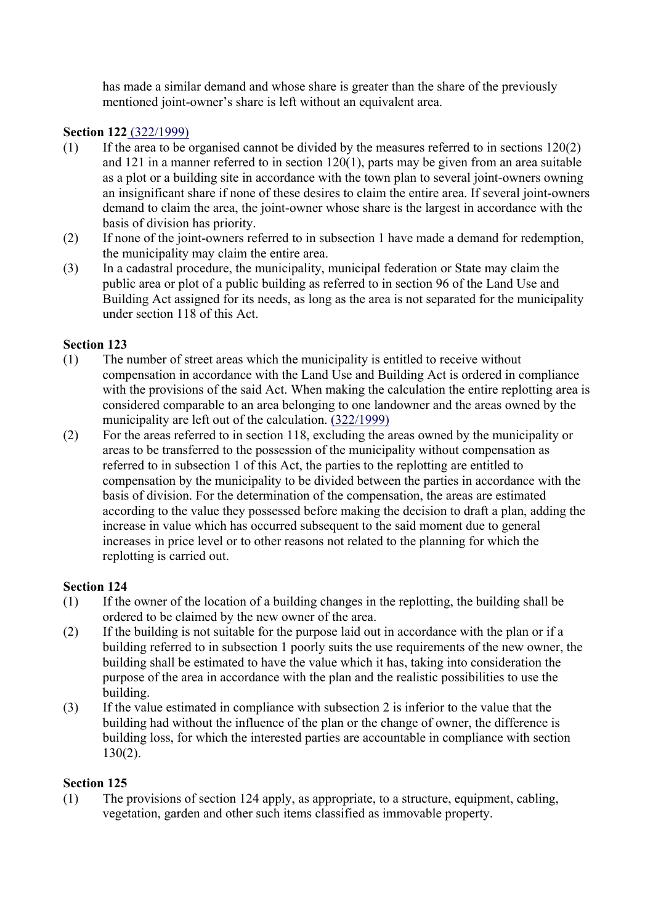has made a similar demand and whose share is greater than the share of the previously mentioned joint-owner's share is left without an equivalent area.

# **Section 122** (322/1999)

- (1) If the area to be organised cannot be divided by the measures referred to in sections 120(2) and 121 in a manner referred to in section 120(1), parts may be given from an area suitable as a plot or a building site in accordance with the town plan to several joint-owners owning an insignificant share if none of these desires to claim the entire area. If several joint-owners demand to claim the area, the joint-owner whose share is the largest in accordance with the basis of division has priority.
- (2) If none of the joint-owners referred to in subsection 1 have made a demand for redemption, the municipality may claim the entire area.
- (3) In a cadastral procedure, the municipality, municipal federation or State may claim the public area or plot of a public building as referred to in section 96 of the Land Use and Building Act assigned for its needs, as long as the area is not separated for the municipality under section 118 of this Act.

# **Section 123**

- (1) The number of street areas which the municipality is entitled to receive without compensation in accordance with the Land Use and Building Act is ordered in compliance with the provisions of the said Act. When making the calculation the entire replotting area is considered comparable to an area belonging to one landowner and the areas owned by the municipality are left out of the calculation. (322/1999)
- (2) For the areas referred to in section 118, excluding the areas owned by the municipality or areas to be transferred to the possession of the municipality without compensation as referred to in subsection 1 of this Act, the parties to the replotting are entitled to compensation by the municipality to be divided between the parties in accordance with the basis of division. For the determination of the compensation, the areas are estimated according to the value they possessed before making the decision to draft a plan, adding the increase in value which has occurred subsequent to the said moment due to general increases in price level or to other reasons not related to the planning for which the replotting is carried out.

## **Section 124**

- (1) If the owner of the location of a building changes in the replotting, the building shall be ordered to be claimed by the new owner of the area.
- (2) If the building is not suitable for the purpose laid out in accordance with the plan or if a building referred to in subsection 1 poorly suits the use requirements of the new owner, the building shall be estimated to have the value which it has, taking into consideration the purpose of the area in accordance with the plan and the realistic possibilities to use the building.
- (3) If the value estimated in compliance with subsection 2 is inferior to the value that the building had without the influence of the plan or the change of owner, the difference is building loss, for which the interested parties are accountable in compliance with section 130(2).

# **Section 125**

(1) The provisions of section 124 apply, as appropriate, to a structure, equipment, cabling, vegetation, garden and other such items classified as immovable property.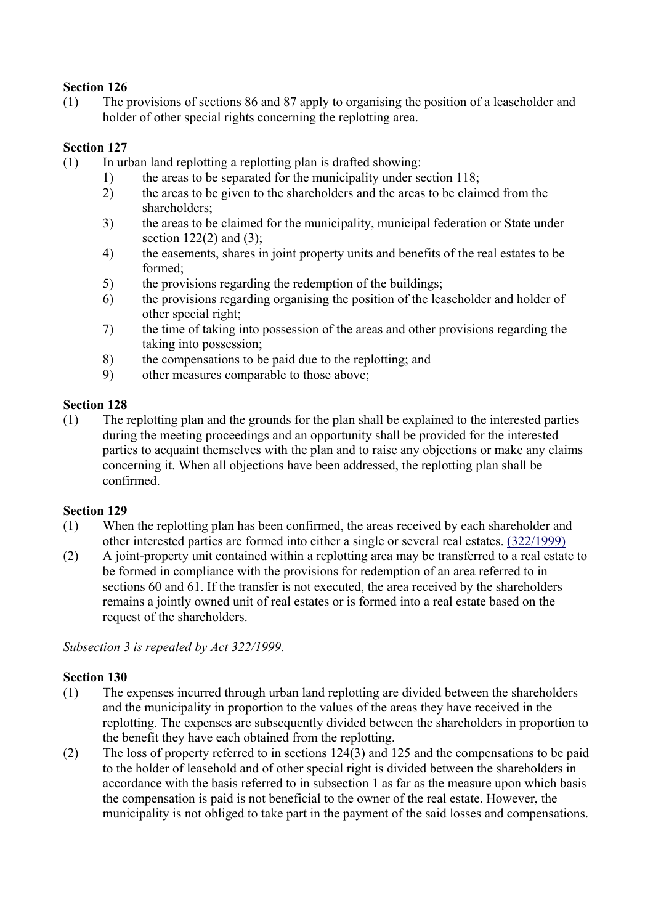(1) The provisions of sections 86 and 87 apply to organising the position of a leaseholder and holder of other special rights concerning the replotting area.

# **Section 127**

- (1) In urban land replotting a replotting plan is drafted showing:
	- 1) the areas to be separated for the municipality under section 118;
	- 2) the areas to be given to the shareholders and the areas to be claimed from the shareholders;
	- 3) the areas to be claimed for the municipality, municipal federation or State under section  $122(2)$  and  $(3)$ ;
	- 4) the easements, shares in joint property units and benefits of the real estates to be formed;
	- 5) the provisions regarding the redemption of the buildings;
	- 6) the provisions regarding organising the position of the leaseholder and holder of other special right;
	- 7) the time of taking into possession of the areas and other provisions regarding the taking into possession;
	- 8) the compensations to be paid due to the replotting; and
	- 9) other measures comparable to those above;

# **Section 128**

(1) The replotting plan and the grounds for the plan shall be explained to the interested parties during the meeting proceedings and an opportunity shall be provided for the interested parties to acquaint themselves with the plan and to raise any objections or make any claims concerning it. When all objections have been addressed, the replotting plan shall be confirmed.

## **Section 129**

- (1) When the replotting plan has been confirmed, the areas received by each shareholder and other interested parties are formed into either a single or several real estates. (322/1999)
- (2) A joint-property unit contained within a replotting area may be transferred to a real estate to be formed in compliance with the provisions for redemption of an area referred to in sections 60 and 61. If the transfer is not executed, the area received by the shareholders remains a jointly owned unit of real estates or is formed into a real estate based on the request of the shareholders.

*Subsection 3 is repealed by Act 322/1999.*

- (1) The expenses incurred through urban land replotting are divided between the shareholders and the municipality in proportion to the values of the areas they have received in the replotting. The expenses are subsequently divided between the shareholders in proportion to the benefit they have each obtained from the replotting.
- (2) The loss of property referred to in sections 124(3) and 125 and the compensations to be paid to the holder of leasehold and of other special right is divided between the shareholders in accordance with the basis referred to in subsection 1 as far as the measure upon which basis the compensation is paid is not beneficial to the owner of the real estate. However, the municipality is not obliged to take part in the payment of the said losses and compensations.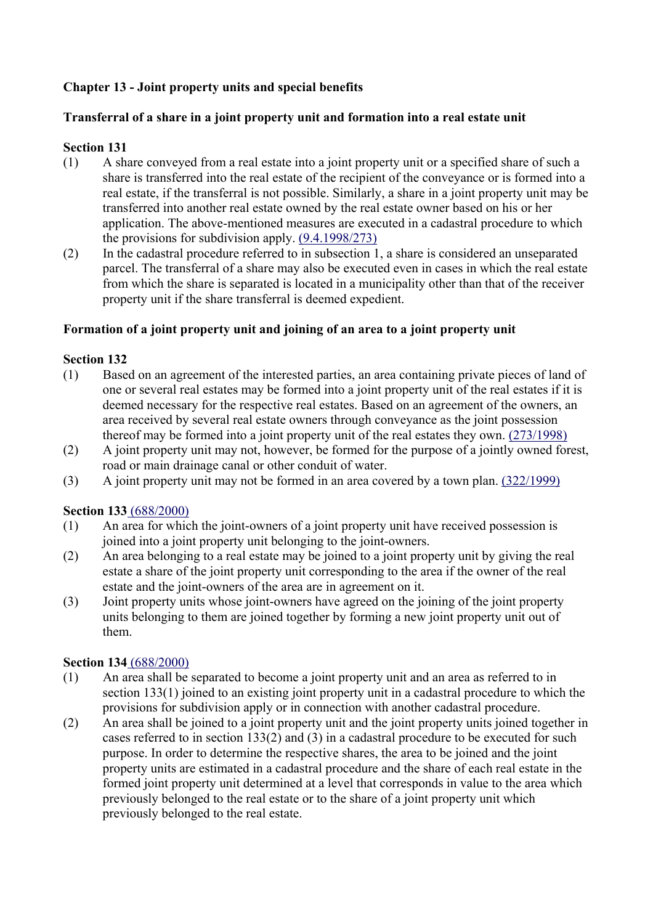# **Chapter 13 - Joint property units and special benefits**

# **Transferral of a share in a joint property unit and formation into a real estate unit**

# **Section 131**

- (1) A share conveyed from a real estate into a joint property unit or a specified share of such a share is transferred into the real estate of the recipient of the conveyance or is formed into a real estate, if the transferral is not possible. Similarly, a share in a joint property unit may be transferred into another real estate owned by the real estate owner based on his or her application. The above-mentioned measures are executed in a cadastral procedure to which the provisions for subdivision apply. (9.4.1998/273)
- (2) In the cadastral procedure referred to in subsection 1, a share is considered an unseparated parcel. The transferral of a share may also be executed even in cases in which the real estate from which the share is separated is located in a municipality other than that of the receiver property unit if the share transferral is deemed expedient.

## **Formation of a joint property unit and joining of an area to a joint property unit**

## **Section 132**

- (1) Based on an agreement of the interested parties, an area containing private pieces of land of one or several real estates may be formed into a joint property unit of the real estates if it is deemed necessary for the respective real estates. Based on an agreement of the owners, an area received by several real estate owners through conveyance as the joint possession thereof may be formed into a joint property unit of the real estates they own. (273/1998)
- (2) A joint property unit may not, however, be formed for the purpose of a jointly owned forest, road or main drainage canal or other conduit of water.
- (3) A joint property unit may not be formed in an area covered by a town plan. (322/1999)

## **Section 133** (688/2000)

- (1) An area for which the joint-owners of a joint property unit have received possession is joined into a joint property unit belonging to the joint-owners.
- (2) An area belonging to a real estate may be joined to a joint property unit by giving the real estate a share of the joint property unit corresponding to the area if the owner of the real estate and the joint-owners of the area are in agreement on it.
- (3) Joint property units whose joint-owners have agreed on the joining of the joint property units belonging to them are joined together by forming a new joint property unit out of them.

## **Section 134** (688/2000)

- (1) An area shall be separated to become a joint property unit and an area as referred to in section 133(1) joined to an existing joint property unit in a cadastral procedure to which the provisions for subdivision apply or in connection with another cadastral procedure.
- (2) An area shall be joined to a joint property unit and the joint property units joined together in cases referred to in section 133(2) and (3) in a cadastral procedure to be executed for such purpose. In order to determine the respective shares, the area to be joined and the joint property units are estimated in a cadastral procedure and the share of each real estate in the formed joint property unit determined at a level that corresponds in value to the area which previously belonged to the real estate or to the share of a joint property unit which previously belonged to the real estate.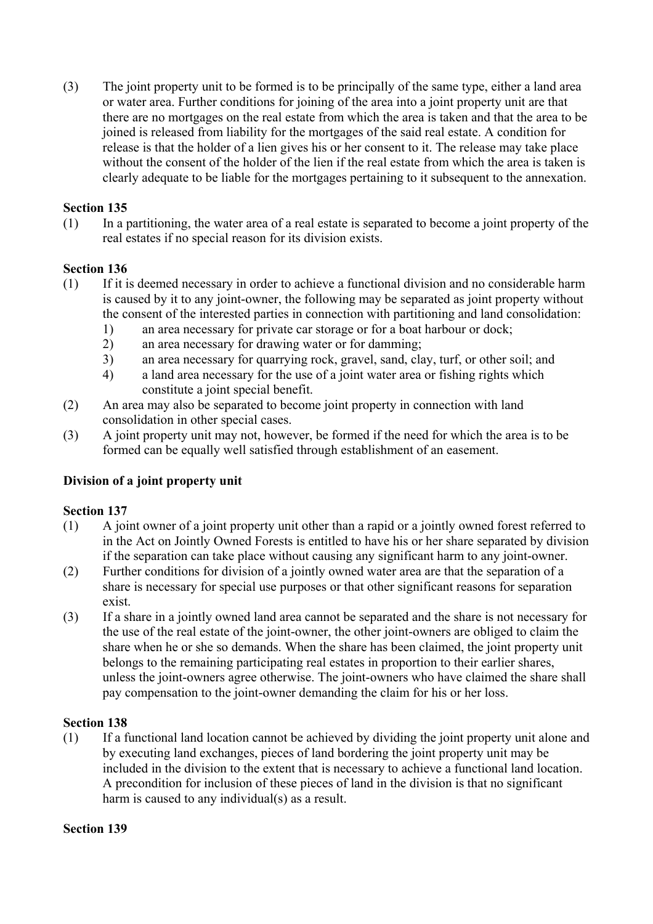(3) The joint property unit to be formed is to be principally of the same type, either a land area or water area. Further conditions for joining of the area into a joint property unit are that there are no mortgages on the real estate from which the area is taken and that the area to be joined is released from liability for the mortgages of the said real estate. A condition for release is that the holder of a lien gives his or her consent to it. The release may take place without the consent of the holder of the lien if the real estate from which the area is taken is clearly adequate to be liable for the mortgages pertaining to it subsequent to the annexation.

# **Section 135**

(1) In a partitioning, the water area of a real estate is separated to become a joint property of the real estates if no special reason for its division exists.

# **Section 136**

- (1) If it is deemed necessary in order to achieve a functional division and no considerable harm is caused by it to any joint-owner, the following may be separated as joint property without the consent of the interested parties in connection with partitioning and land consolidation:
	- 1) an area necessary for private car storage or for a boat harbour or dock;
	- 2) an area necessary for drawing water or for damming;
	- 3) an area necessary for quarrying rock, gravel, sand, clay, turf, or other soil; and
	- 4) a land area necessary for the use of a joint water area or fishing rights which constitute a joint special benefit.
- (2) An area may also be separated to become joint property in connection with land consolidation in other special cases.
- (3) A joint property unit may not, however, be formed if the need for which the area is to be formed can be equally well satisfied through establishment of an easement.

# **Division of a joint property unit**

## **Section 137**

- (1) A joint owner of a joint property unit other than a rapid or a jointly owned forest referred to in the Act on Jointly Owned Forests is entitled to have his or her share separated by division if the separation can take place without causing any significant harm to any joint-owner.
- (2) Further conditions for division of a jointly owned water area are that the separation of a share is necessary for special use purposes or that other significant reasons for separation exist.
- (3) If a share in a jointly owned land area cannot be separated and the share is not necessary for the use of the real estate of the joint-owner, the other joint-owners are obliged to claim the share when he or she so demands. When the share has been claimed, the joint property unit belongs to the remaining participating real estates in proportion to their earlier shares, unless the joint-owners agree otherwise. The joint-owners who have claimed the share shall pay compensation to the joint-owner demanding the claim for his or her loss.

## **Section 138**

(1) If a functional land location cannot be achieved by dividing the joint property unit alone and by executing land exchanges, pieces of land bordering the joint property unit may be included in the division to the extent that is necessary to achieve a functional land location. A precondition for inclusion of these pieces of land in the division is that no significant harm is caused to any individual(s) as a result.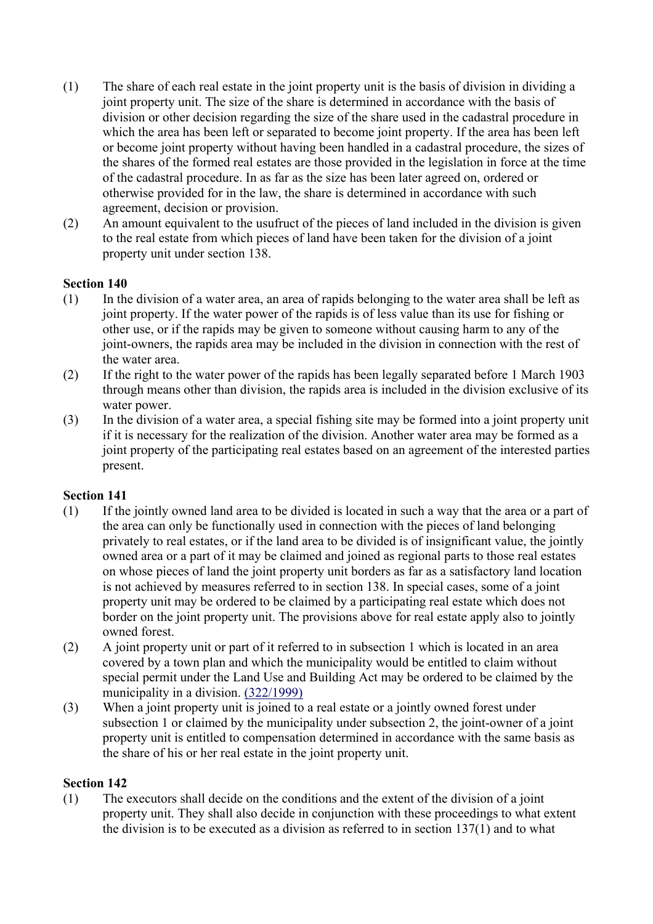- (1) The share of each real estate in the joint property unit is the basis of division in dividing a joint property unit. The size of the share is determined in accordance with the basis of division or other decision regarding the size of the share used in the cadastral procedure in which the area has been left or separated to become joint property. If the area has been left or become joint property without having been handled in a cadastral procedure, the sizes of the shares of the formed real estates are those provided in the legislation in force at the time of the cadastral procedure. In as far as the size has been later agreed on, ordered or otherwise provided for in the law, the share is determined in accordance with such agreement, decision or provision.
- (2) An amount equivalent to the usufruct of the pieces of land included in the division is given to the real estate from which pieces of land have been taken for the division of a joint property unit under section 138.

- (1) In the division of a water area, an area of rapids belonging to the water area shall be left as joint property. If the water power of the rapids is of less value than its use for fishing or other use, or if the rapids may be given to someone without causing harm to any of the joint-owners, the rapids area may be included in the division in connection with the rest of the water area.
- (2) If the right to the water power of the rapids has been legally separated before 1 March 1903 through means other than division, the rapids area is included in the division exclusive of its water power.
- (3) In the division of a water area, a special fishing site may be formed into a joint property unit if it is necessary for the realization of the division. Another water area may be formed as a joint property of the participating real estates based on an agreement of the interested parties present.

#### **Section 141**

- (1) If the jointly owned land area to be divided is located in such a way that the area or a part of the area can only be functionally used in connection with the pieces of land belonging privately to real estates, or if the land area to be divided is of insignificant value, the jointly owned area or a part of it may be claimed and joined as regional parts to those real estates on whose pieces of land the joint property unit borders as far as a satisfactory land location is not achieved by measures referred to in section 138. In special cases, some of a joint property unit may be ordered to be claimed by a participating real estate which does not border on the joint property unit. The provisions above for real estate apply also to jointly owned forest.
- (2) A joint property unit or part of it referred to in subsection 1 which is located in an area covered by a town plan and which the municipality would be entitled to claim without special permit under the Land Use and Building Act may be ordered to be claimed by the municipality in a division. (322/1999)
- (3) When a joint property unit is joined to a real estate or a jointly owned forest under subsection 1 or claimed by the municipality under subsection 2, the joint-owner of a joint property unit is entitled to compensation determined in accordance with the same basis as the share of his or her real estate in the joint property unit.

#### **Section 142**

(1) The executors shall decide on the conditions and the extent of the division of a joint property unit. They shall also decide in conjunction with these proceedings to what extent the division is to be executed as a division as referred to in section 137(1) and to what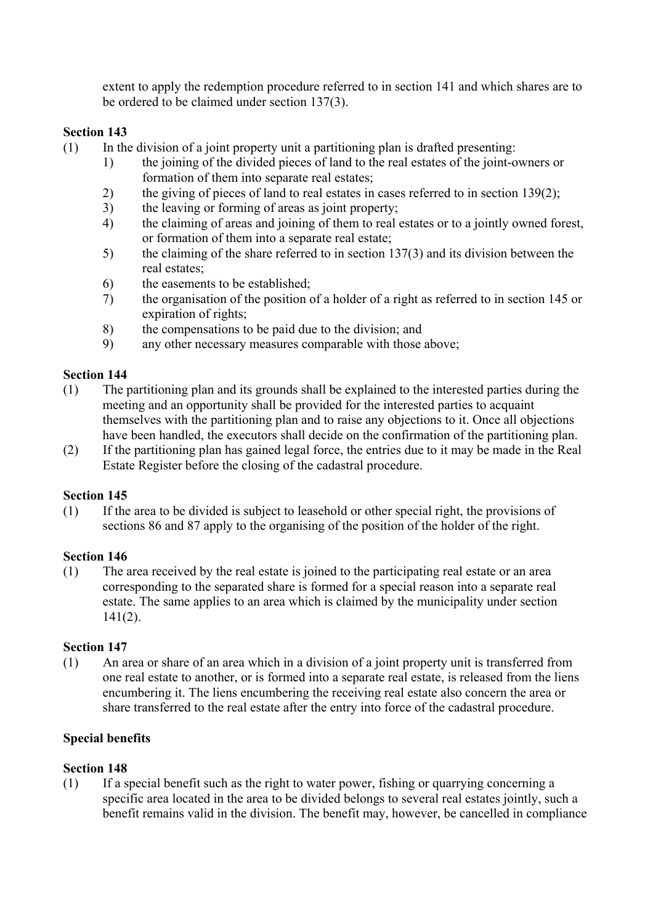extent to apply the redemption procedure referred to in section 141 and which shares are to be ordered to be claimed under section 137(3).

# **Section 143**

- (1) In the division of a joint property unit a partitioning plan is drafted presenting:
	- 1) the joining of the divided pieces of land to the real estates of the joint-owners or formation of them into separate real estates;
	- 2) the giving of pieces of land to real estates in cases referred to in section 139(2);
	- 3) the leaving or forming of areas as joint property;
	- 4) the claiming of areas and joining of them to real estates or to a jointly owned forest, or formation of them into a separate real estate;
	- 5) the claiming of the share referred to in section 137(3) and its division between the real estates;
	- 6) the easements to be established;
	- 7) the organisation of the position of a holder of a right as referred to in section 145 or expiration of rights;
	- 8) the compensations to be paid due to the division; and
	- 9) any other necessary measures comparable with those above;

# **Section 144**

- (1) The partitioning plan and its grounds shall be explained to the interested parties during the meeting and an opportunity shall be provided for the interested parties to acquaint themselves with the partitioning plan and to raise any objections to it. Once all objections have been handled, the executors shall decide on the confirmation of the partitioning plan.
- (2) If the partitioning plan has gained legal force, the entries due to it may be made in the Real Estate Register before the closing of the cadastral procedure.

## **Section 145**

(1) If the area to be divided is subject to leasehold or other special right, the provisions of sections 86 and 87 apply to the organising of the position of the holder of the right.

## **Section 146**

(1) The area received by the real estate is joined to the participating real estate or an area corresponding to the separated share is formed for a special reason into a separate real estate. The same applies to an area which is claimed by the municipality under section  $141(2)$ .

## **Section 147**

(1) An area or share of an area which in a division of a joint property unit is transferred from one real estate to another, or is formed into a separate real estate, is released from the liens encumbering it. The liens encumbering the receiving real estate also concern the area or share transferred to the real estate after the entry into force of the cadastral procedure.

## **Special benefits**

## **Section 148**

(1) If a special benefit such as the right to water power, fishing or quarrying concerning a specific area located in the area to be divided belongs to several real estates jointly, such a benefit remains valid in the division. The benefit may, however, be cancelled in compliance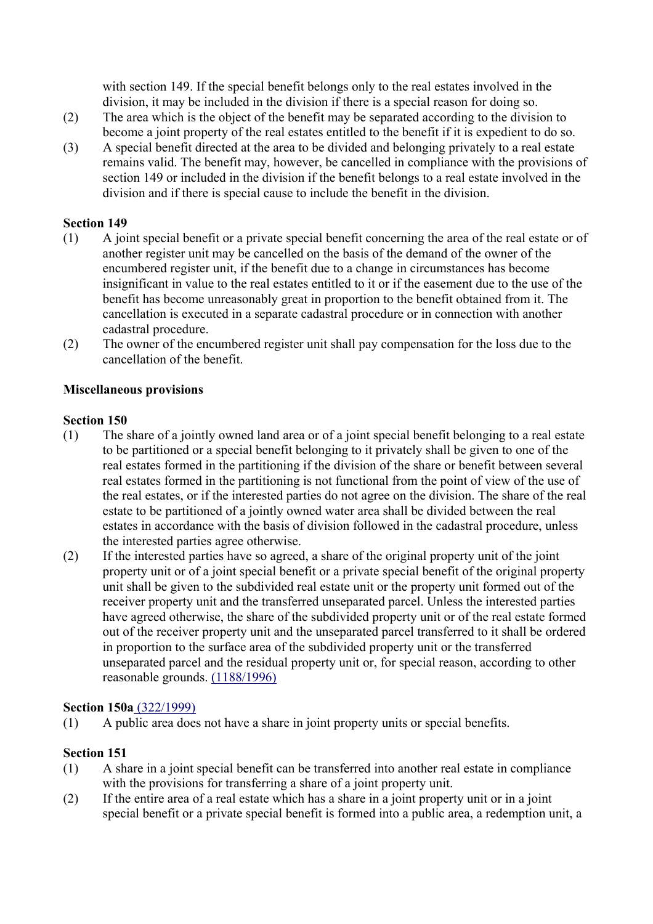with section 149. If the special benefit belongs only to the real estates involved in the division, it may be included in the division if there is a special reason for doing so.

- (2) The area which is the object of the benefit may be separated according to the division to become a joint property of the real estates entitled to the benefit if it is expedient to do so.
- (3) A special benefit directed at the area to be divided and belonging privately to a real estate remains valid. The benefit may, however, be cancelled in compliance with the provisions of section 149 or included in the division if the benefit belongs to a real estate involved in the division and if there is special cause to include the benefit in the division.

#### **Section 149**

- (1) A joint special benefit or a private special benefit concerning the area of the real estate or of another register unit may be cancelled on the basis of the demand of the owner of the encumbered register unit, if the benefit due to a change in circumstances has become insignificant in value to the real estates entitled to it or if the easement due to the use of the benefit has become unreasonably great in proportion to the benefit obtained from it. The cancellation is executed in a separate cadastral procedure or in connection with another cadastral procedure.
- (2) The owner of the encumbered register unit shall pay compensation for the loss due to the cancellation of the benefit.

#### **Miscellaneous provisions**

#### **Section 150**

- (1) The share of a jointly owned land area or of a joint special benefit belonging to a real estate to be partitioned or a special benefit belonging to it privately shall be given to one of the real estates formed in the partitioning if the division of the share or benefit between several real estates formed in the partitioning is not functional from the point of view of the use of the real estates, or if the interested parties do not agree on the division. The share of the real estate to be partitioned of a jointly owned water area shall be divided between the real estates in accordance with the basis of division followed in the cadastral procedure, unless the interested parties agree otherwise.
- (2) If the interested parties have so agreed, a share of the original property unit of the joint property unit or of a joint special benefit or a private special benefit of the original property unit shall be given to the subdivided real estate unit or the property unit formed out of the receiver property unit and the transferred unseparated parcel. Unless the interested parties have agreed otherwise, the share of the subdivided property unit or of the real estate formed out of the receiver property unit and the unseparated parcel transferred to it shall be ordered in proportion to the surface area of the subdivided property unit or the transferred unseparated parcel and the residual property unit or, for special reason, according to other reasonable grounds. (1188/1996)

#### **Section 150a** (322/1999)

(1) A public area does not have a share in joint property units or special benefits.

- (1) A share in a joint special benefit can be transferred into another real estate in compliance with the provisions for transferring a share of a joint property unit.
- (2) If the entire area of a real estate which has a share in a joint property unit or in a joint special benefit or a private special benefit is formed into a public area, a redemption unit, a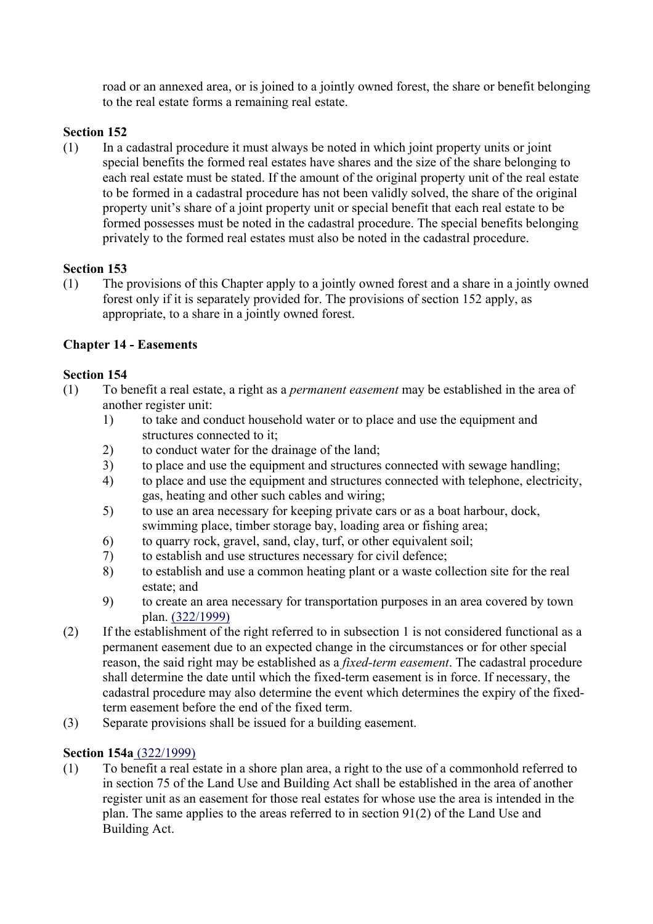road or an annexed area, or is joined to a jointly owned forest, the share or benefit belonging to the real estate forms a remaining real estate.

# **Section 152**

(1) In a cadastral procedure it must always be noted in which joint property units or joint special benefits the formed real estates have shares and the size of the share belonging to each real estate must be stated. If the amount of the original property unit of the real estate to be formed in a cadastral procedure has not been validly solved, the share of the original property unit's share of a joint property unit or special benefit that each real estate to be formed possesses must be noted in the cadastral procedure. The special benefits belonging privately to the formed real estates must also be noted in the cadastral procedure.

## **Section 153**

(1) The provisions of this Chapter apply to a jointly owned forest and a share in a jointly owned forest only if it is separately provided for. The provisions of section 152 apply, as appropriate, to a share in a jointly owned forest.

# **Chapter 14 - Easements**

#### **Section 154**

- (1) To benefit a real estate, a right as a *permanent easement* may be established in the area of another register unit:
	- 1) to take and conduct household water or to place and use the equipment and structures connected to it;
	- 2) to conduct water for the drainage of the land;
	- 3) to place and use the equipment and structures connected with sewage handling;
	- 4) to place and use the equipment and structures connected with telephone, electricity, gas, heating and other such cables and wiring;
	- 5) to use an area necessary for keeping private cars or as a boat harbour, dock, swimming place, timber storage bay, loading area or fishing area;
	- 6) to quarry rock, gravel, sand, clay, turf, or other equivalent soil;
	- 7) to establish and use structures necessary for civil defence;
	- 8) to establish and use a common heating plant or a waste collection site for the real estate; and
	- 9) to create an area necessary for transportation purposes in an area covered by town plan. (322/1999)
- (2) If the establishment of the right referred to in subsection 1 is not considered functional as a permanent easement due to an expected change in the circumstances or for other special reason, the said right may be established as a *fixed-term easement*. The cadastral procedure shall determine the date until which the fixed-term easement is in force. If necessary, the cadastral procedure may also determine the event which determines the expiry of the fixedterm easement before the end of the fixed term.
- (3) Separate provisions shall be issued for a building easement.

#### **Section 154a** (322/1999)

(1) To benefit a real estate in a shore plan area, a right to the use of a commonhold referred to in section 75 of the Land Use and Building Act shall be established in the area of another register unit as an easement for those real estates for whose use the area is intended in the plan. The same applies to the areas referred to in section 91(2) of the Land Use and Building Act.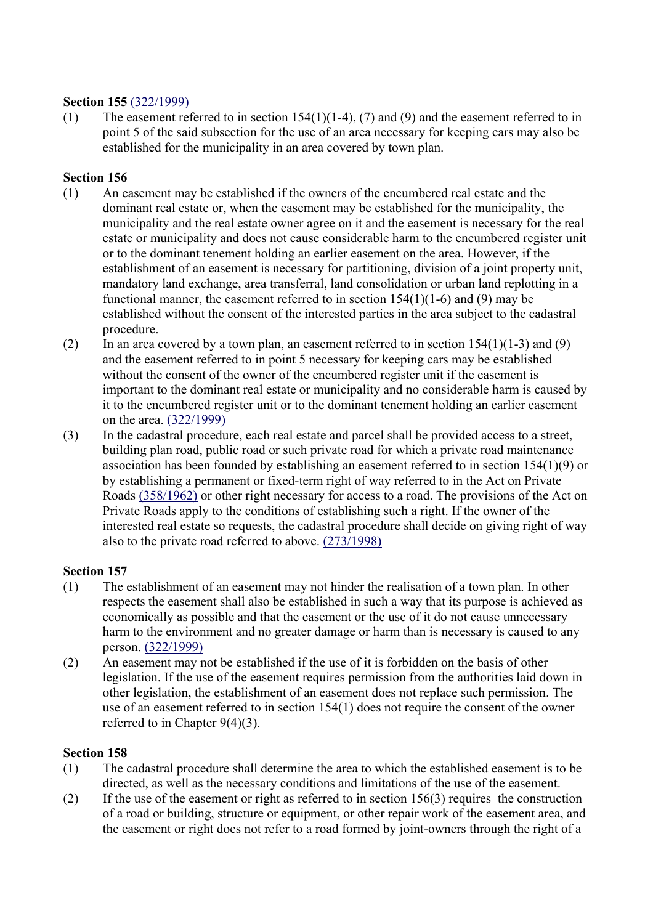#### **Section 155** (322/1999)

(1) The easement referred to in section 154(1)(1-4), (7) and (9) and the easement referred to in point 5 of the said subsection for the use of an area necessary for keeping cars may also be established for the municipality in an area covered by town plan.

#### **Section 156**

- (1) An easement may be established if the owners of the encumbered real estate and the dominant real estate or, when the easement may be established for the municipality, the municipality and the real estate owner agree on it and the easement is necessary for the real estate or municipality and does not cause considerable harm to the encumbered register unit or to the dominant tenement holding an earlier easement on the area. However, if the establishment of an easement is necessary for partitioning, division of a joint property unit, mandatory land exchange, area transferral, land consolidation or urban land replotting in a functional manner, the easement referred to in section  $154(1)(1-6)$  and (9) may be established without the consent of the interested parties in the area subject to the cadastral procedure.
- (2) In an area covered by a town plan, an easement referred to in section  $154(1)(1-3)$  and (9) and the easement referred to in point 5 necessary for keeping cars may be established without the consent of the owner of the encumbered register unit if the easement is important to the dominant real estate or municipality and no considerable harm is caused by it to the encumbered register unit or to the dominant tenement holding an earlier easement on the area. (322/1999)
- (3) In the cadastral procedure, each real estate and parcel shall be provided access to a street, building plan road, public road or such private road for which a private road maintenance association has been founded by establishing an easement referred to in section 154(1)(9) or by establishing a permanent or fixed-term right of way referred to in the Act on Private Roads (358/1962) or other right necessary for access to a road. The provisions of the Act on Private Roads apply to the conditions of establishing such a right. If the owner of the interested real estate so requests, the cadastral procedure shall decide on giving right of way also to the private road referred to above. (273/1998)

## **Section 157**

- (1) The establishment of an easement may not hinder the realisation of a town plan. In other respects the easement shall also be established in such a way that its purpose is achieved as economically as possible and that the easement or the use of it do not cause unnecessary harm to the environment and no greater damage or harm than is necessary is caused to any person. (322/1999)
- (2) An easement may not be established if the use of it is forbidden on the basis of other legislation. If the use of the easement requires permission from the authorities laid down in other legislation, the establishment of an easement does not replace such permission. The use of an easement referred to in section 154(1) does not require the consent of the owner referred to in Chapter 9(4)(3).

- (1) The cadastral procedure shall determine the area to which the established easement is to be directed, as well as the necessary conditions and limitations of the use of the easement.
- (2) If the use of the easement or right as referred to in section 156(3) requires the construction of a road or building, structure or equipment, or other repair work of the easement area, and the easement or right does not refer to a road formed by joint-owners through the right of a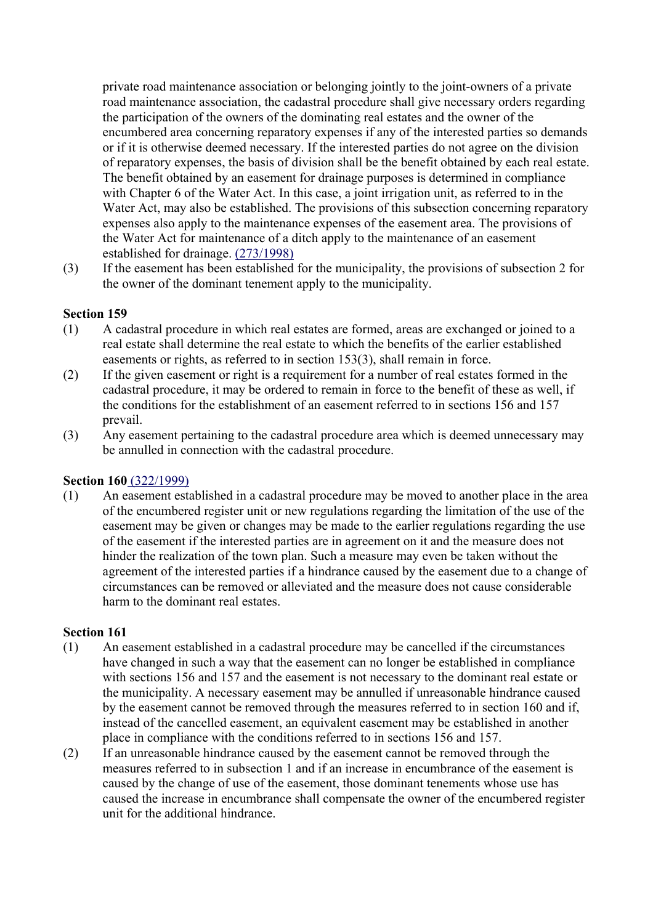private road maintenance association or belonging jointly to the joint-owners of a private road maintenance association, the cadastral procedure shall give necessary orders regarding the participation of the owners of the dominating real estates and the owner of the encumbered area concerning reparatory expenses if any of the interested parties so demands or if it is otherwise deemed necessary. If the interested parties do not agree on the division of reparatory expenses, the basis of division shall be the benefit obtained by each real estate. The benefit obtained by an easement for drainage purposes is determined in compliance with Chapter 6 of the Water Act. In this case, a joint irrigation unit, as referred to in the Water Act, may also be established. The provisions of this subsection concerning reparatory expenses also apply to the maintenance expenses of the easement area. The provisions of the Water Act for maintenance of a ditch apply to the maintenance of an easement established for drainage. (273/1998)

(3) If the easement has been established for the municipality, the provisions of subsection 2 for the owner of the dominant tenement apply to the municipality.

#### **Section 159**

- (1) A cadastral procedure in which real estates are formed, areas are exchanged or joined to a real estate shall determine the real estate to which the benefits of the earlier established easements or rights, as referred to in section 153(3), shall remain in force.
- (2) If the given easement or right is a requirement for a number of real estates formed in the cadastral procedure, it may be ordered to remain in force to the benefit of these as well, if the conditions for the establishment of an easement referred to in sections 156 and 157 prevail.
- (3) Any easement pertaining to the cadastral procedure area which is deemed unnecessary may be annulled in connection with the cadastral procedure.

## **Section 160** (322/1999)

(1) An easement established in a cadastral procedure may be moved to another place in the area of the encumbered register unit or new regulations regarding the limitation of the use of the easement may be given or changes may be made to the earlier regulations regarding the use of the easement if the interested parties are in agreement on it and the measure does not hinder the realization of the town plan. Such a measure may even be taken without the agreement of the interested parties if a hindrance caused by the easement due to a change of circumstances can be removed or alleviated and the measure does not cause considerable harm to the dominant real estates.

- (1) An easement established in a cadastral procedure may be cancelled if the circumstances have changed in such a way that the easement can no longer be established in compliance with sections 156 and 157 and the easement is not necessary to the dominant real estate or the municipality. A necessary easement may be annulled if unreasonable hindrance caused by the easement cannot be removed through the measures referred to in section 160 and if, instead of the cancelled easement, an equivalent easement may be established in another place in compliance with the conditions referred to in sections 156 and 157.
- (2) If an unreasonable hindrance caused by the easement cannot be removed through the measures referred to in subsection 1 and if an increase in encumbrance of the easement is caused by the change of use of the easement, those dominant tenements whose use has caused the increase in encumbrance shall compensate the owner of the encumbered register unit for the additional hindrance.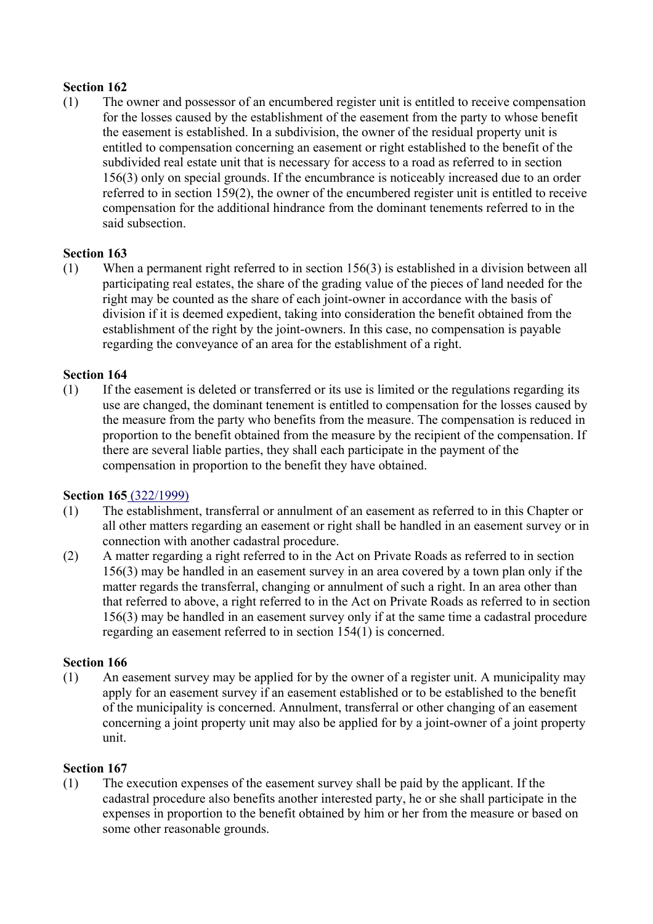(1) The owner and possessor of an encumbered register unit is entitled to receive compensation for the losses caused by the establishment of the easement from the party to whose benefit the easement is established. In a subdivision, the owner of the residual property unit is entitled to compensation concerning an easement or right established to the benefit of the subdivided real estate unit that is necessary for access to a road as referred to in section 156(3) only on special grounds. If the encumbrance is noticeably increased due to an order referred to in section 159(2), the owner of the encumbered register unit is entitled to receive compensation for the additional hindrance from the dominant tenements referred to in the said subsection.

## **Section 163**

(1) When a permanent right referred to in section 156(3) is established in a division between all participating real estates, the share of the grading value of the pieces of land needed for the right may be counted as the share of each joint-owner in accordance with the basis of division if it is deemed expedient, taking into consideration the benefit obtained from the establishment of the right by the joint-owners. In this case, no compensation is payable regarding the conveyance of an area for the establishment of a right.

## **Section 164**

(1) If the easement is deleted or transferred or its use is limited or the regulations regarding its use are changed, the dominant tenement is entitled to compensation for the losses caused by the measure from the party who benefits from the measure. The compensation is reduced in proportion to the benefit obtained from the measure by the recipient of the compensation. If there are several liable parties, they shall each participate in the payment of the compensation in proportion to the benefit they have obtained.

#### **Section 165** (322/1999)

- (1) The establishment, transferral or annulment of an easement as referred to in this Chapter or all other matters regarding an easement or right shall be handled in an easement survey or in connection with another cadastral procedure.
- (2) A matter regarding a right referred to in the Act on Private Roads as referred to in section 156(3) may be handled in an easement survey in an area covered by a town plan only if the matter regards the transferral, changing or annulment of such a right. In an area other than that referred to above, a right referred to in the Act on Private Roads as referred to in section 156(3) may be handled in an easement survey only if at the same time a cadastral procedure regarding an easement referred to in section 154(1) is concerned.

## **Section 166**

(1) An easement survey may be applied for by the owner of a register unit. A municipality may apply for an easement survey if an easement established or to be established to the benefit of the municipality is concerned. Annulment, transferral or other changing of an easement concerning a joint property unit may also be applied for by a joint-owner of a joint property unit.

#### **Section 167**

(1) The execution expenses of the easement survey shall be paid by the applicant. If the cadastral procedure also benefits another interested party, he or she shall participate in the expenses in proportion to the benefit obtained by him or her from the measure or based on some other reasonable grounds.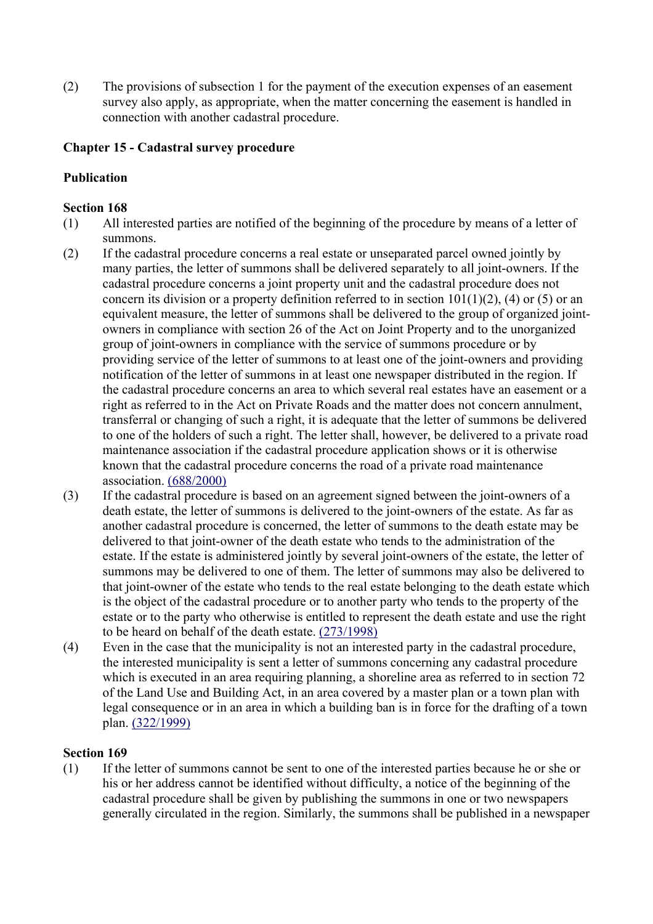(2) The provisions of subsection 1 for the payment of the execution expenses of an easement survey also apply, as appropriate, when the matter concerning the easement is handled in connection with another cadastral procedure.

# **Chapter 15 - Cadastral survey procedure**

# **Publication**

# **Section 168**

- (1) All interested parties are notified of the beginning of the procedure by means of a letter of summons.
- (2) If the cadastral procedure concerns a real estate or unseparated parcel owned jointly by many parties, the letter of summons shall be delivered separately to all joint-owners. If the cadastral procedure concerns a joint property unit and the cadastral procedure does not concern its division or a property definition referred to in section  $101(1)(2)$ , (4) or (5) or an equivalent measure, the letter of summons shall be delivered to the group of organized jointowners in compliance with section 26 of the Act on Joint Property and to the unorganized group of joint-owners in compliance with the service of summons procedure or by providing service of the letter of summons to at least one of the joint-owners and providing notification of the letter of summons in at least one newspaper distributed in the region. If the cadastral procedure concerns an area to which several real estates have an easement or a right as referred to in the Act on Private Roads and the matter does not concern annulment, transferral or changing of such a right, it is adequate that the letter of summons be delivered to one of the holders of such a right. The letter shall, however, be delivered to a private road maintenance association if the cadastral procedure application shows or it is otherwise known that the cadastral procedure concerns the road of a private road maintenance association. (688/2000)
- (3) If the cadastral procedure is based on an agreement signed between the joint-owners of a death estate, the letter of summons is delivered to the joint-owners of the estate. As far as another cadastral procedure is concerned, the letter of summons to the death estate may be delivered to that joint-owner of the death estate who tends to the administration of the estate. If the estate is administered jointly by several joint-owners of the estate, the letter of summons may be delivered to one of them. The letter of summons may also be delivered to that joint-owner of the estate who tends to the real estate belonging to the death estate which is the object of the cadastral procedure or to another party who tends to the property of the estate or to the party who otherwise is entitled to represent the death estate and use the right to be heard on behalf of the death estate. (273/1998)
- (4) Even in the case that the municipality is not an interested party in the cadastral procedure, the interested municipality is sent a letter of summons concerning any cadastral procedure which is executed in an area requiring planning, a shoreline area as referred to in section 72 of the Land Use and Building Act, in an area covered by a master plan or a town plan with legal consequence or in an area in which a building ban is in force for the drafting of a town plan. (322/1999)

## **Section 169**

(1) If the letter of summons cannot be sent to one of the interested parties because he or she or his or her address cannot be identified without difficulty, a notice of the beginning of the cadastral procedure shall be given by publishing the summons in one or two newspapers generally circulated in the region. Similarly, the summons shall be published in a newspaper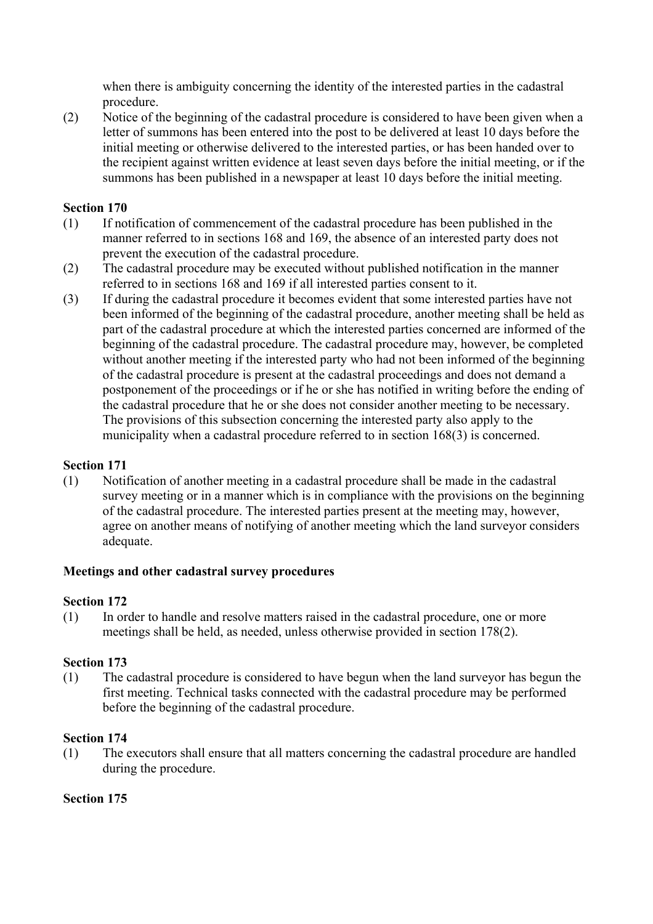when there is ambiguity concerning the identity of the interested parties in the cadastral procedure.

(2) Notice of the beginning of the cadastral procedure is considered to have been given when a letter of summons has been entered into the post to be delivered at least 10 days before the initial meeting or otherwise delivered to the interested parties, or has been handed over to the recipient against written evidence at least seven days before the initial meeting, or if the summons has been published in a newspaper at least 10 days before the initial meeting.

## **Section 170**

- (1) If notification of commencement of the cadastral procedure has been published in the manner referred to in sections 168 and 169, the absence of an interested party does not prevent the execution of the cadastral procedure.
- (2) The cadastral procedure may be executed without published notification in the manner referred to in sections 168 and 169 if all interested parties consent to it.
- (3) If during the cadastral procedure it becomes evident that some interested parties have not been informed of the beginning of the cadastral procedure, another meeting shall be held as part of the cadastral procedure at which the interested parties concerned are informed of the beginning of the cadastral procedure. The cadastral procedure may, however, be completed without another meeting if the interested party who had not been informed of the beginning of the cadastral procedure is present at the cadastral proceedings and does not demand a postponement of the proceedings or if he or she has notified in writing before the ending of the cadastral procedure that he or she does not consider another meeting to be necessary. The provisions of this subsection concerning the interested party also apply to the municipality when a cadastral procedure referred to in section 168(3) is concerned.

#### **Section 171**

(1) Notification of another meeting in a cadastral procedure shall be made in the cadastral survey meeting or in a manner which is in compliance with the provisions on the beginning of the cadastral procedure. The interested parties present at the meeting may, however, agree on another means of notifying of another meeting which the land surveyor considers adequate.

#### **Meetings and other cadastral survey procedures**

#### **Section 172**

(1) In order to handle and resolve matters raised in the cadastral procedure, one or more meetings shall be held, as needed, unless otherwise provided in section 178(2).

#### **Section 173**

(1) The cadastral procedure is considered to have begun when the land surveyor has begun the first meeting. Technical tasks connected with the cadastral procedure may be performed before the beginning of the cadastral procedure.

#### **Section 174**

(1) The executors shall ensure that all matters concerning the cadastral procedure are handled during the procedure.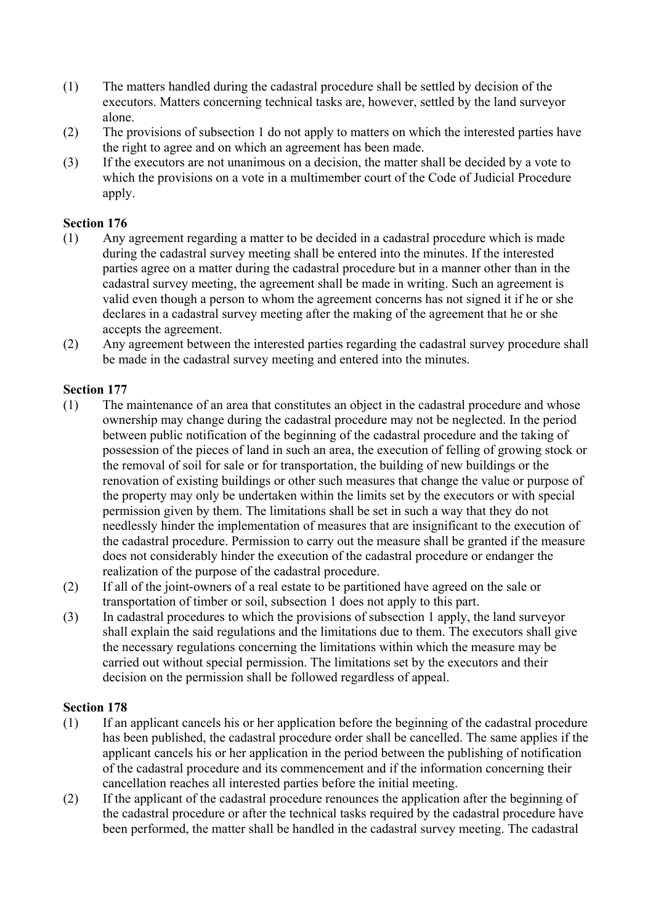- (1) The matters handled during the cadastral procedure shall be settled by decision of the executors. Matters concerning technical tasks are, however, settled by the land surveyor alone.
- (2) The provisions of subsection 1 do not apply to matters on which the interested parties have the right to agree and on which an agreement has been made.
- (3) If the executors are not unanimous on a decision, the matter shall be decided by a vote to which the provisions on a vote in a multimember court of the Code of Judicial Procedure apply.

- (1) Any agreement regarding a matter to be decided in a cadastral procedure which is made during the cadastral survey meeting shall be entered into the minutes. If the interested parties agree on a matter during the cadastral procedure but in a manner other than in the cadastral survey meeting, the agreement shall be made in writing. Such an agreement is valid even though a person to whom the agreement concerns has not signed it if he or she declares in a cadastral survey meeting after the making of the agreement that he or she accepts the agreement.
- (2) Any agreement between the interested parties regarding the cadastral survey procedure shall be made in the cadastral survey meeting and entered into the minutes.

#### **Section 177**

- (1) The maintenance of an area that constitutes an object in the cadastral procedure and whose ownership may change during the cadastral procedure may not be neglected. In the period between public notification of the beginning of the cadastral procedure and the taking of possession of the pieces of land in such an area, the execution of felling of growing stock or the removal of soil for sale or for transportation, the building of new buildings or the renovation of existing buildings or other such measures that change the value or purpose of the property may only be undertaken within the limits set by the executors or with special permission given by them. The limitations shall be set in such a way that they do not needlessly hinder the implementation of measures that are insignificant to the execution of the cadastral procedure. Permission to carry out the measure shall be granted if the measure does not considerably hinder the execution of the cadastral procedure or endanger the realization of the purpose of the cadastral procedure.
- (2) If all of the joint-owners of a real estate to be partitioned have agreed on the sale or transportation of timber or soil, subsection 1 does not apply to this part.
- (3) In cadastral procedures to which the provisions of subsection 1 apply, the land surveyor shall explain the said regulations and the limitations due to them. The executors shall give the necessary regulations concerning the limitations within which the measure may be carried out without special permission. The limitations set by the executors and their decision on the permission shall be followed regardless of appeal.

- (1) If an applicant cancels his or her application before the beginning of the cadastral procedure has been published, the cadastral procedure order shall be cancelled. The same applies if the applicant cancels his or her application in the period between the publishing of notification of the cadastral procedure and its commencement and if the information concerning their cancellation reaches all interested parties before the initial meeting.
- (2) If the applicant of the cadastral procedure renounces the application after the beginning of the cadastral procedure or after the technical tasks required by the cadastral procedure have been performed, the matter shall be handled in the cadastral survey meeting. The cadastral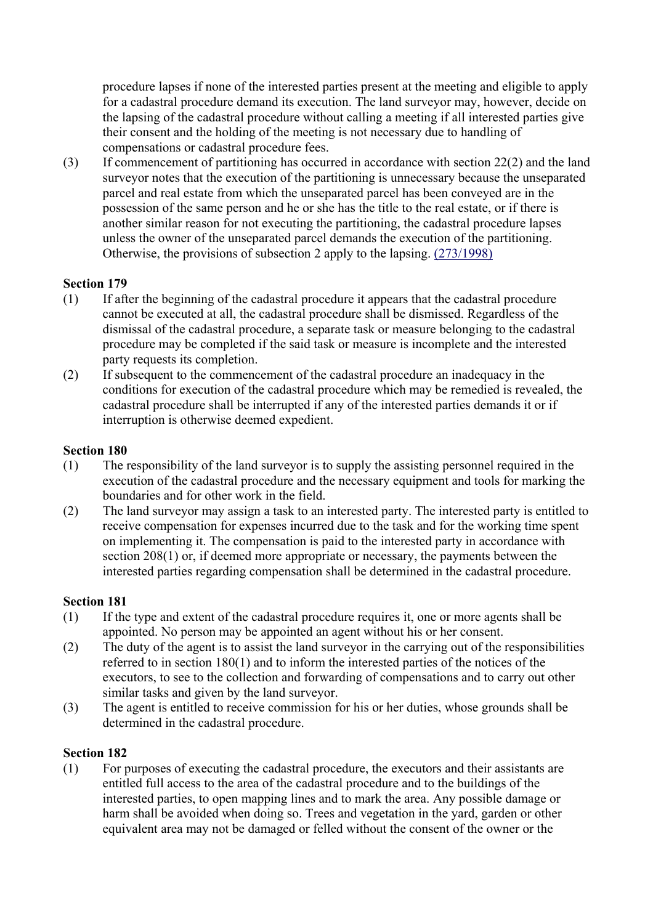procedure lapses if none of the interested parties present at the meeting and eligible to apply for a cadastral procedure demand its execution. The land surveyor may, however, decide on the lapsing of the cadastral procedure without calling a meeting if all interested parties give their consent and the holding of the meeting is not necessary due to handling of compensations or cadastral procedure fees.

(3) If commencement of partitioning has occurred in accordance with section 22(2) and the land surveyor notes that the execution of the partitioning is unnecessary because the unseparated parcel and real estate from which the unseparated parcel has been conveyed are in the possession of the same person and he or she has the title to the real estate, or if there is another similar reason for not executing the partitioning, the cadastral procedure lapses unless the owner of the unseparated parcel demands the execution of the partitioning. Otherwise, the provisions of subsection 2 apply to the lapsing. (273/1998)

## **Section 179**

- (1) If after the beginning of the cadastral procedure it appears that the cadastral procedure cannot be executed at all, the cadastral procedure shall be dismissed. Regardless of the dismissal of the cadastral procedure, a separate task or measure belonging to the cadastral procedure may be completed if the said task or measure is incomplete and the interested party requests its completion.
- (2) If subsequent to the commencement of the cadastral procedure an inadequacy in the conditions for execution of the cadastral procedure which may be remedied is revealed, the cadastral procedure shall be interrupted if any of the interested parties demands it or if interruption is otherwise deemed expedient.

#### **Section 180**

- (1) The responsibility of the land surveyor is to supply the assisting personnel required in the execution of the cadastral procedure and the necessary equipment and tools for marking the boundaries and for other work in the field.
- (2) The land surveyor may assign a task to an interested party. The interested party is entitled to receive compensation for expenses incurred due to the task and for the working time spent on implementing it. The compensation is paid to the interested party in accordance with section 208(1) or, if deemed more appropriate or necessary, the payments between the interested parties regarding compensation shall be determined in the cadastral procedure.

#### **Section 181**

- (1) If the type and extent of the cadastral procedure requires it, one or more agents shall be appointed. No person may be appointed an agent without his or her consent.
- (2) The duty of the agent is to assist the land surveyor in the carrying out of the responsibilities referred to in section 180(1) and to inform the interested parties of the notices of the executors, to see to the collection and forwarding of compensations and to carry out other similar tasks and given by the land surveyor.
- (3) The agent is entitled to receive commission for his or her duties, whose grounds shall be determined in the cadastral procedure.

#### **Section 182**

(1) For purposes of executing the cadastral procedure, the executors and their assistants are entitled full access to the area of the cadastral procedure and to the buildings of the interested parties, to open mapping lines and to mark the area. Any possible damage or harm shall be avoided when doing so. Trees and vegetation in the yard, garden or other equivalent area may not be damaged or felled without the consent of the owner or the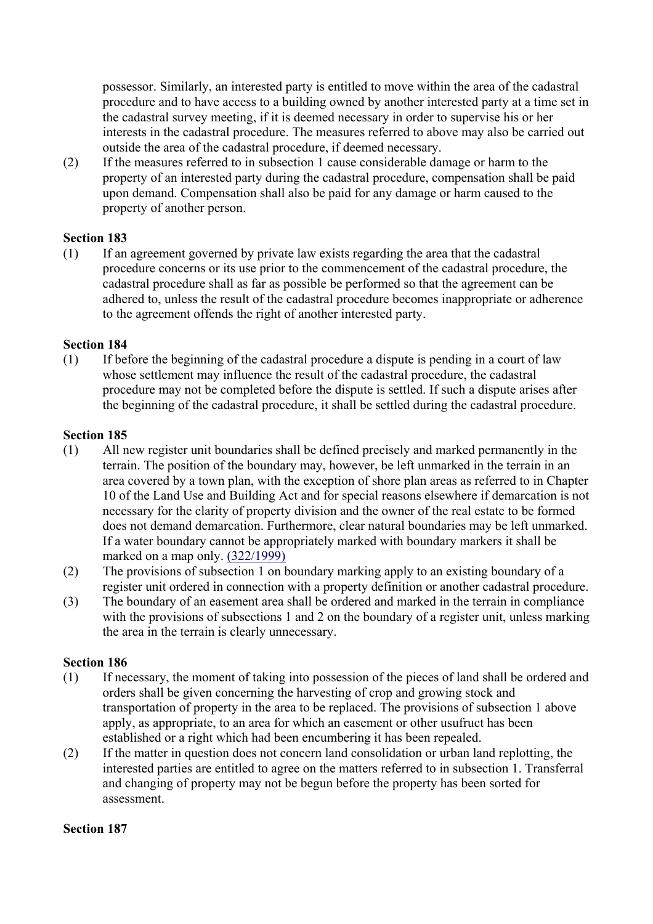possessor. Similarly, an interested party is entitled to move within the area of the cadastral procedure and to have access to a building owned by another interested party at a time set in the cadastral survey meeting, if it is deemed necessary in order to supervise his or her interests in the cadastral procedure. The measures referred to above may also be carried out outside the area of the cadastral procedure, if deemed necessary.

(2) If the measures referred to in subsection 1 cause considerable damage or harm to the property of an interested party during the cadastral procedure, compensation shall be paid upon demand. Compensation shall also be paid for any damage or harm caused to the property of another person.

#### **Section 183**

(1) If an agreement governed by private law exists regarding the area that the cadastral procedure concerns or its use prior to the commencement of the cadastral procedure, the cadastral procedure shall as far as possible be performed so that the agreement can be adhered to, unless the result of the cadastral procedure becomes inappropriate or adherence to the agreement offends the right of another interested party.

#### **Section 184**

(1) If before the beginning of the cadastral procedure a dispute is pending in a court of law whose settlement may influence the result of the cadastral procedure, the cadastral procedure may not be completed before the dispute is settled. If such a dispute arises after the beginning of the cadastral procedure, it shall be settled during the cadastral procedure.

#### **Section 185**

- (1) All new register unit boundaries shall be defined precisely and marked permanently in the terrain. The position of the boundary may, however, be left unmarked in the terrain in an area covered by a town plan, with the exception of shore plan areas as referred to in Chapter 10 of the Land Use and Building Act and for special reasons elsewhere if demarcation is not necessary for the clarity of property division and the owner of the real estate to be formed does not demand demarcation. Furthermore, clear natural boundaries may be left unmarked. If a water boundary cannot be appropriately marked with boundary markers it shall be marked on a map only. (322/1999)
- (2) The provisions of subsection 1 on boundary marking apply to an existing boundary of a register unit ordered in connection with a property definition or another cadastral procedure.
- (3) The boundary of an easement area shall be ordered and marked in the terrain in compliance with the provisions of subsections 1 and 2 on the boundary of a register unit, unless marking the area in the terrain is clearly unnecessary.

#### **Section 186**

- (1) If necessary, the moment of taking into possession of the pieces of land shall be ordered and orders shall be given concerning the harvesting of crop and growing stock and transportation of property in the area to be replaced. The provisions of subsection 1 above apply, as appropriate, to an area for which an easement or other usufruct has been established or a right which had been encumbering it has been repealed.
- (2) If the matter in question does not concern land consolidation or urban land replotting, the interested parties are entitled to agree on the matters referred to in subsection 1. Transferral and changing of property may not be begun before the property has been sorted for assessment.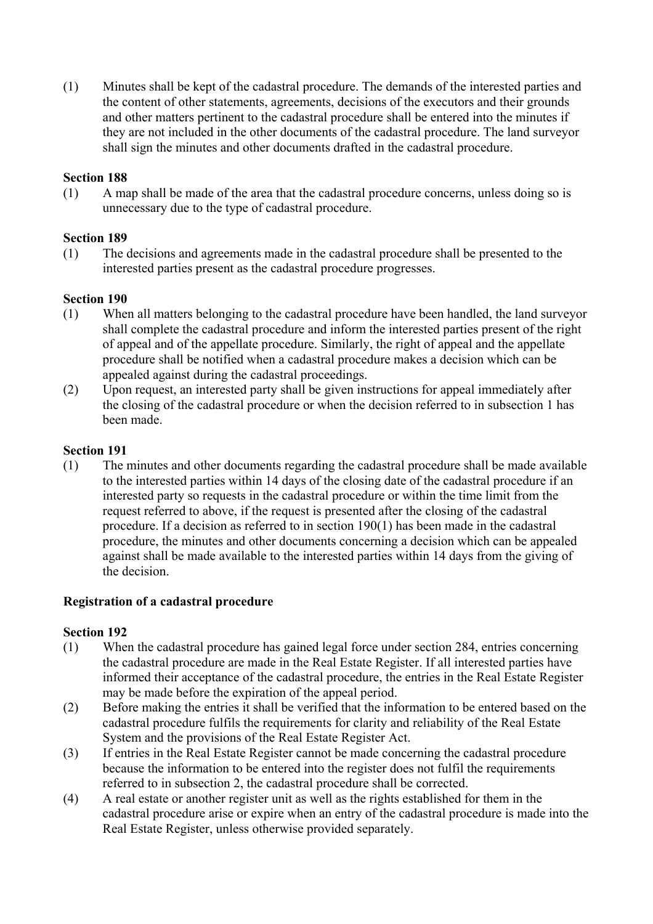(1) Minutes shall be kept of the cadastral procedure. The demands of the interested parties and the content of other statements, agreements, decisions of the executors and their grounds and other matters pertinent to the cadastral procedure shall be entered into the minutes if they are not included in the other documents of the cadastral procedure. The land surveyor shall sign the minutes and other documents drafted in the cadastral procedure.

#### **Section 188**

(1) A map shall be made of the area that the cadastral procedure concerns, unless doing so is unnecessary due to the type of cadastral procedure.

#### **Section 189**

(1) The decisions and agreements made in the cadastral procedure shall be presented to the interested parties present as the cadastral procedure progresses.

#### **Section 190**

- (1) When all matters belonging to the cadastral procedure have been handled, the land surveyor shall complete the cadastral procedure and inform the interested parties present of the right of appeal and of the appellate procedure. Similarly, the right of appeal and the appellate procedure shall be notified when a cadastral procedure makes a decision which can be appealed against during the cadastral proceedings.
- (2) Upon request, an interested party shall be given instructions for appeal immediately after the closing of the cadastral procedure or when the decision referred to in subsection 1 has been made.

#### **Section 191**

(1) The minutes and other documents regarding the cadastral procedure shall be made available to the interested parties within 14 days of the closing date of the cadastral procedure if an interested party so requests in the cadastral procedure or within the time limit from the request referred to above, if the request is presented after the closing of the cadastral procedure. If a decision as referred to in section 190(1) has been made in the cadastral procedure, the minutes and other documents concerning a decision which can be appealed against shall be made available to the interested parties within 14 days from the giving of the decision.

#### **Registration of a cadastral procedure**

- (1) When the cadastral procedure has gained legal force under section 284, entries concerning the cadastral procedure are made in the Real Estate Register. If all interested parties have informed their acceptance of the cadastral procedure, the entries in the Real Estate Register may be made before the expiration of the appeal period.
- (2) Before making the entries it shall be verified that the information to be entered based on the cadastral procedure fulfils the requirements for clarity and reliability of the Real Estate System and the provisions of the Real Estate Register Act.
- (3) If entries in the Real Estate Register cannot be made concerning the cadastral procedure because the information to be entered into the register does not fulfil the requirements referred to in subsection 2, the cadastral procedure shall be corrected.
- (4) A real estate or another register unit as well as the rights established for them in the cadastral procedure arise or expire when an entry of the cadastral procedure is made into the Real Estate Register, unless otherwise provided separately.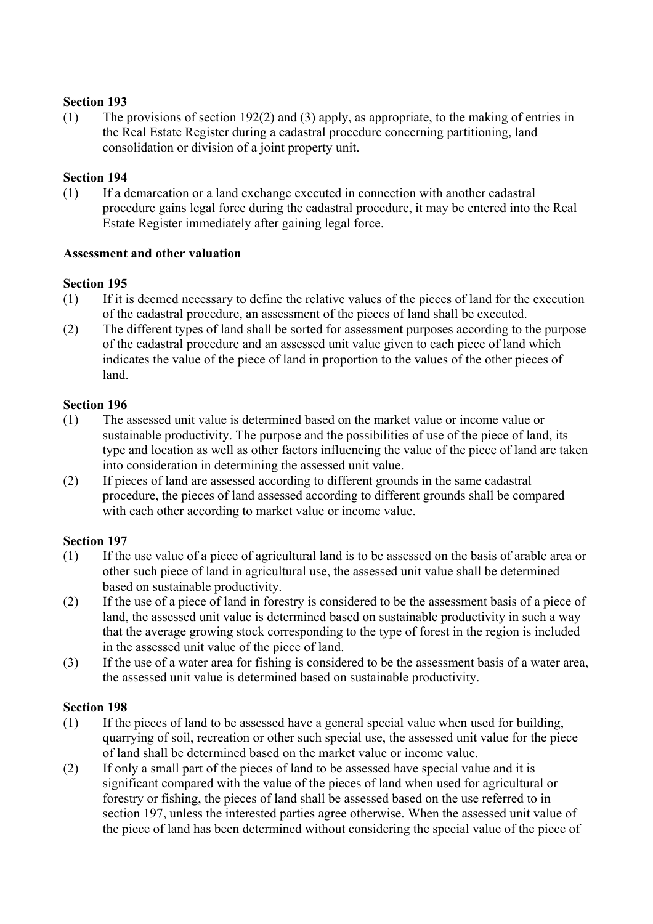(1) The provisions of section 192(2) and (3) apply, as appropriate, to the making of entries in the Real Estate Register during a cadastral procedure concerning partitioning, land consolidation or division of a joint property unit.

#### **Section 194**

(1) If a demarcation or a land exchange executed in connection with another cadastral procedure gains legal force during the cadastral procedure, it may be entered into the Real Estate Register immediately after gaining legal force.

#### **Assessment and other valuation**

#### **Section 195**

- (1) If it is deemed necessary to define the relative values of the pieces of land for the execution of the cadastral procedure, an assessment of the pieces of land shall be executed.
- (2) The different types of land shall be sorted for assessment purposes according to the purpose of the cadastral procedure and an assessed unit value given to each piece of land which indicates the value of the piece of land in proportion to the values of the other pieces of land.

#### **Section 196**

- (1) The assessed unit value is determined based on the market value or income value or sustainable productivity. The purpose and the possibilities of use of the piece of land, its type and location as well as other factors influencing the value of the piece of land are taken into consideration in determining the assessed unit value.
- (2) If pieces of land are assessed according to different grounds in the same cadastral procedure, the pieces of land assessed according to different grounds shall be compared with each other according to market value or income value.

## **Section 197**

- (1) If the use value of a piece of agricultural land is to be assessed on the basis of arable area or other such piece of land in agricultural use, the assessed unit value shall be determined based on sustainable productivity.
- (2) If the use of a piece of land in forestry is considered to be the assessment basis of a piece of land, the assessed unit value is determined based on sustainable productivity in such a way that the average growing stock corresponding to the type of forest in the region is included in the assessed unit value of the piece of land.
- (3) If the use of a water area for fishing is considered to be the assessment basis of a water area, the assessed unit value is determined based on sustainable productivity.

- (1) If the pieces of land to be assessed have a general special value when used for building, quarrying of soil, recreation or other such special use, the assessed unit value for the piece of land shall be determined based on the market value or income value.
- (2) If only a small part of the pieces of land to be assessed have special value and it is significant compared with the value of the pieces of land when used for agricultural or forestry or fishing, the pieces of land shall be assessed based on the use referred to in section 197, unless the interested parties agree otherwise. When the assessed unit value of the piece of land has been determined without considering the special value of the piece of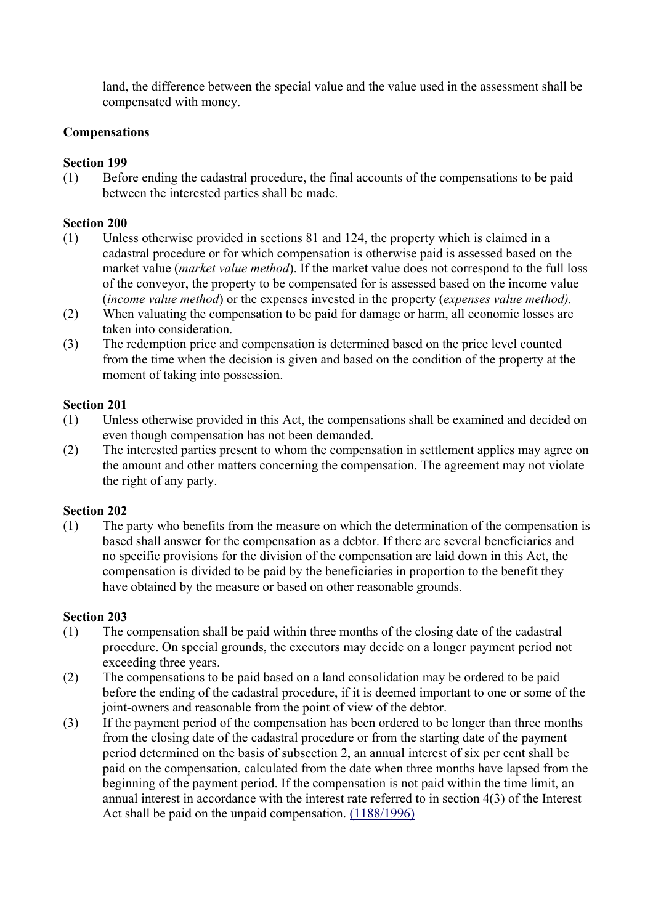land, the difference between the special value and the value used in the assessment shall be compensated with money.

## **Compensations**

#### **Section 199**

(1) Before ending the cadastral procedure, the final accounts of the compensations to be paid between the interested parties shall be made.

#### **Section 200**

- (1) Unless otherwise provided in sections 81 and 124, the property which is claimed in a cadastral procedure or for which compensation is otherwise paid is assessed based on the market value (*market value method*). If the market value does not correspond to the full loss of the conveyor, the property to be compensated for is assessed based on the income value (*income value method*) or the expenses invested in the property (*expenses value method).*
- (2) When valuating the compensation to be paid for damage or harm, all economic losses are taken into consideration.
- (3) The redemption price and compensation is determined based on the price level counted from the time when the decision is given and based on the condition of the property at the moment of taking into possession.

#### **Section 201**

- (1) Unless otherwise provided in this Act, the compensations shall be examined and decided on even though compensation has not been demanded.
- (2) The interested parties present to whom the compensation in settlement applies may agree on the amount and other matters concerning the compensation. The agreement may not violate the right of any party.

#### **Section 202**

(1) The party who benefits from the measure on which the determination of the compensation is based shall answer for the compensation as a debtor. If there are several beneficiaries and no specific provisions for the division of the compensation are laid down in this Act, the compensation is divided to be paid by the beneficiaries in proportion to the benefit they have obtained by the measure or based on other reasonable grounds.

- (1) The compensation shall be paid within three months of the closing date of the cadastral procedure. On special grounds, the executors may decide on a longer payment period not exceeding three years.
- (2) The compensations to be paid based on a land consolidation may be ordered to be paid before the ending of the cadastral procedure, if it is deemed important to one or some of the joint-owners and reasonable from the point of view of the debtor.
- (3) If the payment period of the compensation has been ordered to be longer than three months from the closing date of the cadastral procedure or from the starting date of the payment period determined on the basis of subsection 2, an annual interest of six per cent shall be paid on the compensation, calculated from the date when three months have lapsed from the beginning of the payment period. If the compensation is not paid within the time limit, an annual interest in accordance with the interest rate referred to in section 4(3) of the Interest Act shall be paid on the unpaid compensation. (1188/1996)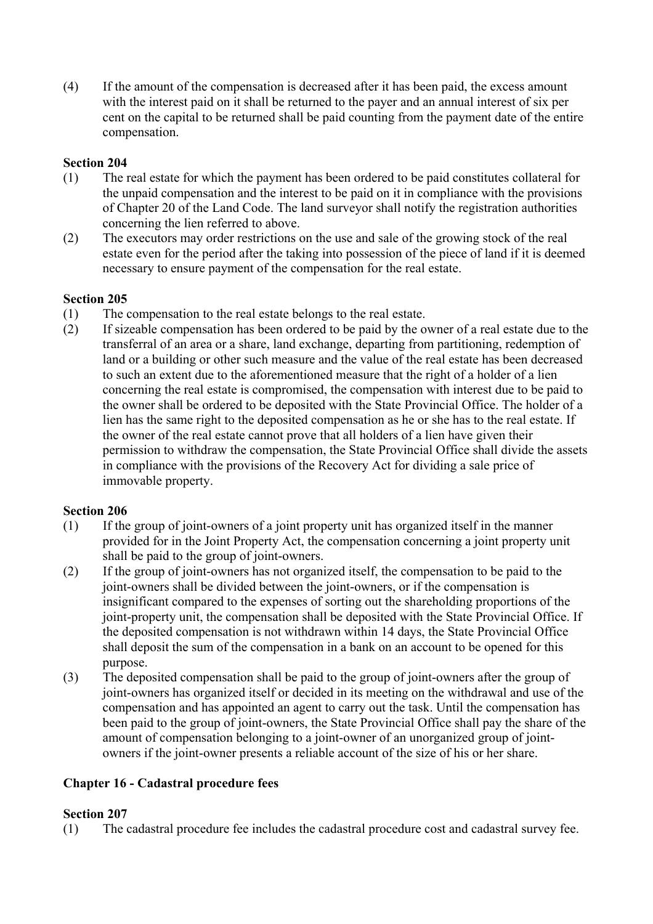(4) If the amount of the compensation is decreased after it has been paid, the excess amount with the interest paid on it shall be returned to the payer and an annual interest of six per cent on the capital to be returned shall be paid counting from the payment date of the entire compensation.

# **Section 204**

- (1) The real estate for which the payment has been ordered to be paid constitutes collateral for the unpaid compensation and the interest to be paid on it in compliance with the provisions of Chapter 20 of the Land Code. The land surveyor shall notify the registration authorities concerning the lien referred to above.
- (2) The executors may order restrictions on the use and sale of the growing stock of the real estate even for the period after the taking into possession of the piece of land if it is deemed necessary to ensure payment of the compensation for the real estate.

## **Section 205**

- (1) The compensation to the real estate belongs to the real estate.
- (2) If sizeable compensation has been ordered to be paid by the owner of a real estate due to the transferral of an area or a share, land exchange, departing from partitioning, redemption of land or a building or other such measure and the value of the real estate has been decreased to such an extent due to the aforementioned measure that the right of a holder of a lien concerning the real estate is compromised, the compensation with interest due to be paid to the owner shall be ordered to be deposited with the State Provincial Office. The holder of a lien has the same right to the deposited compensation as he or she has to the real estate. If the owner of the real estate cannot prove that all holders of a lien have given their permission to withdraw the compensation, the State Provincial Office shall divide the assets in compliance with the provisions of the Recovery Act for dividing a sale price of immovable property.

## **Section 206**

- (1) If the group of joint-owners of a joint property unit has organized itself in the manner provided for in the Joint Property Act, the compensation concerning a joint property unit shall be paid to the group of joint-owners.
- (2) If the group of joint-owners has not organized itself, the compensation to be paid to the joint-owners shall be divided between the joint-owners, or if the compensation is insignificant compared to the expenses of sorting out the shareholding proportions of the joint-property unit, the compensation shall be deposited with the State Provincial Office. If the deposited compensation is not withdrawn within 14 days, the State Provincial Office shall deposit the sum of the compensation in a bank on an account to be opened for this purpose.
- (3) The deposited compensation shall be paid to the group of joint-owners after the group of joint-owners has organized itself or decided in its meeting on the withdrawal and use of the compensation and has appointed an agent to carry out the task. Until the compensation has been paid to the group of joint-owners, the State Provincial Office shall pay the share of the amount of compensation belonging to a joint-owner of an unorganized group of jointowners if the joint-owner presents a reliable account of the size of his or her share.

# **Chapter 16 - Cadastral procedure fees**

## **Section 207**

(1) The cadastral procedure fee includes the cadastral procedure cost and cadastral survey fee.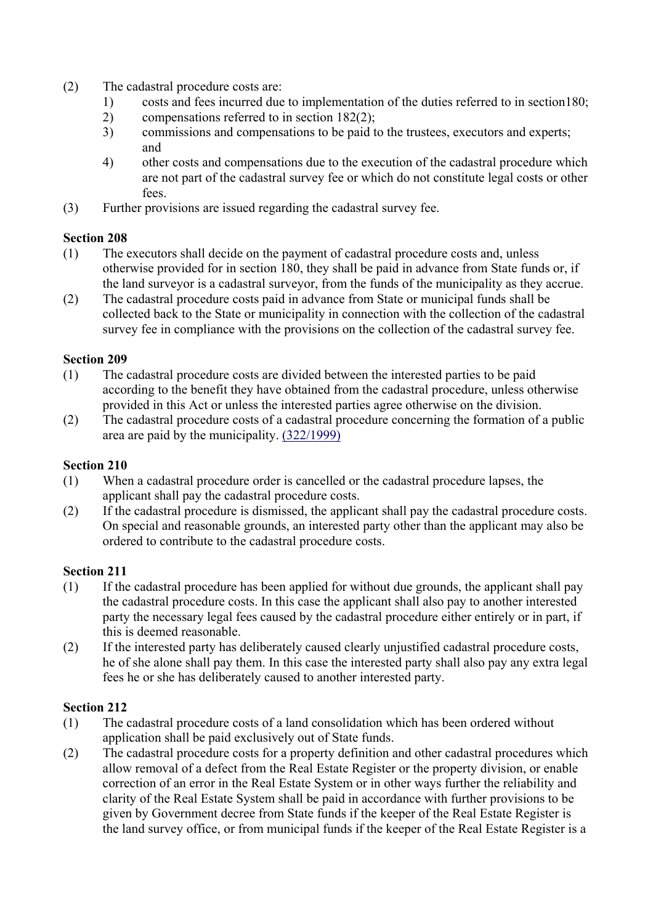- (2) The cadastral procedure costs are:
	- 1) costs and fees incurred due to implementation of the duties referred to in section180;
	- 2) compensations referred to in section 182(2);
	- 3) commissions and compensations to be paid to the trustees, executors and experts; and
	- 4) other costs and compensations due to the execution of the cadastral procedure which are not part of the cadastral survey fee or which do not constitute legal costs or other fees.
- (3) Further provisions are issued regarding the cadastral survey fee.

- (1) The executors shall decide on the payment of cadastral procedure costs and, unless otherwise provided for in section 180, they shall be paid in advance from State funds or, if the land surveyor is a cadastral surveyor, from the funds of the municipality as they accrue.
- (2) The cadastral procedure costs paid in advance from State or municipal funds shall be collected back to the State or municipality in connection with the collection of the cadastral survey fee in compliance with the provisions on the collection of the cadastral survey fee.

# **Section 209**

- (1) The cadastral procedure costs are divided between the interested parties to be paid according to the benefit they have obtained from the cadastral procedure, unless otherwise provided in this Act or unless the interested parties agree otherwise on the division.
- (2) The cadastral procedure costs of a cadastral procedure concerning the formation of a public area are paid by the municipality. (322/1999)

# **Section 210**

- (1) When a cadastral procedure order is cancelled or the cadastral procedure lapses, the applicant shall pay the cadastral procedure costs.
- (2) If the cadastral procedure is dismissed, the applicant shall pay the cadastral procedure costs. On special and reasonable grounds, an interested party other than the applicant may also be ordered to contribute to the cadastral procedure costs.

# **Section 211**

- (1) If the cadastral procedure has been applied for without due grounds, the applicant shall pay the cadastral procedure costs. In this case the applicant shall also pay to another interested party the necessary legal fees caused by the cadastral procedure either entirely or in part, if this is deemed reasonable.
- (2) If the interested party has deliberately caused clearly unjustified cadastral procedure costs, he of she alone shall pay them. In this case the interested party shall also pay any extra legal fees he or she has deliberately caused to another interested party.

- (1) The cadastral procedure costs of a land consolidation which has been ordered without application shall be paid exclusively out of State funds.
- (2) The cadastral procedure costs for a property definition and other cadastral procedures which allow removal of a defect from the Real Estate Register or the property division, or enable correction of an error in the Real Estate System or in other ways further the reliability and clarity of the Real Estate System shall be paid in accordance with further provisions to be given by Government decree from State funds if the keeper of the Real Estate Register is the land survey office, or from municipal funds if the keeper of the Real Estate Register is a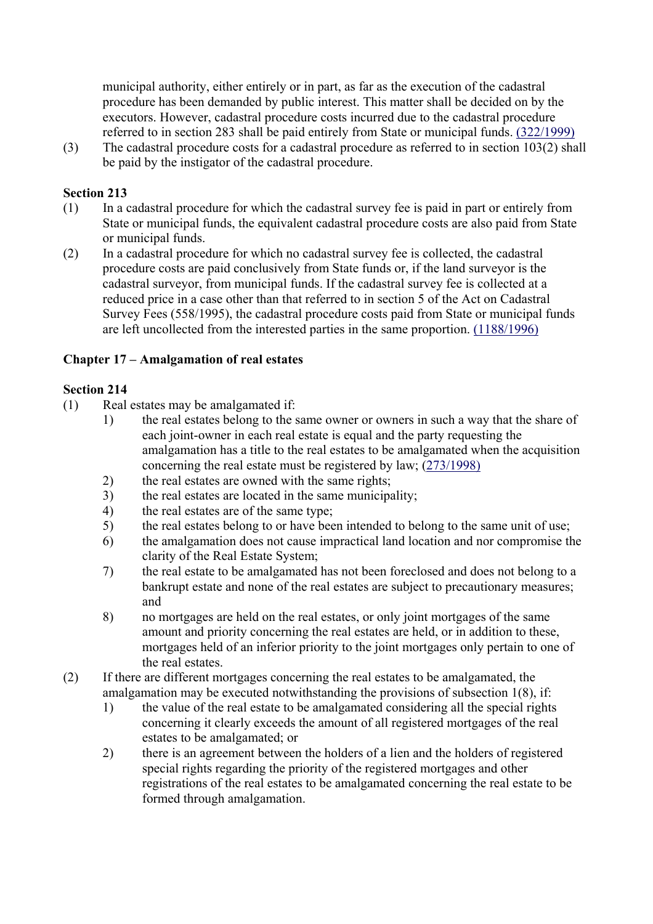municipal authority, either entirely or in part, as far as the execution of the cadastral procedure has been demanded by public interest. This matter shall be decided on by the executors. However, cadastral procedure costs incurred due to the cadastral procedure referred to in section 283 shall be paid entirely from State or municipal funds. (322/1999)

(3) The cadastral procedure costs for a cadastral procedure as referred to in section 103(2) shall be paid by the instigator of the cadastral procedure.

#### **Section 213**

- (1) In a cadastral procedure for which the cadastral survey fee is paid in part or entirely from State or municipal funds, the equivalent cadastral procedure costs are also paid from State or municipal funds.
- (2) In a cadastral procedure for which no cadastral survey fee is collected, the cadastral procedure costs are paid conclusively from State funds or, if the land surveyor is the cadastral surveyor, from municipal funds. If the cadastral survey fee is collected at a reduced price in a case other than that referred to in section 5 of the Act on Cadastral Survey Fees (558/1995), the cadastral procedure costs paid from State or municipal funds are left uncollected from the interested parties in the same proportion. (1188/1996)

## **Chapter 17 – Amalgamation of real estates**

- (1) Real estates may be amalgamated if:
	- 1) the real estates belong to the same owner or owners in such a way that the share of each joint-owner in each real estate is equal and the party requesting the amalgamation has a title to the real estates to be amalgamated when the acquisition concerning the real estate must be registered by law; (273/1998)
	- 2) the real estates are owned with the same rights;
	- 3) the real estates are located in the same municipality;
	- 4) the real estates are of the same type;
	- 5) the real estates belong to or have been intended to belong to the same unit of use;
	- 6) the amalgamation does not cause impractical land location and nor compromise the clarity of the Real Estate System;
	- 7) the real estate to be amalgamated has not been foreclosed and does not belong to a bankrupt estate and none of the real estates are subject to precautionary measures; and
	- 8) no mortgages are held on the real estates, or only joint mortgages of the same amount and priority concerning the real estates are held, or in addition to these, mortgages held of an inferior priority to the joint mortgages only pertain to one of the real estates.
- (2) If there are different mortgages concerning the real estates to be amalgamated, the amalgamation may be executed notwithstanding the provisions of subsection 1(8), if:
	- 1) the value of the real estate to be amalgamated considering all the special rights concerning it clearly exceeds the amount of all registered mortgages of the real estates to be amalgamated; or
	- 2) there is an agreement between the holders of a lien and the holders of registered special rights regarding the priority of the registered mortgages and other registrations of the real estates to be amalgamated concerning the real estate to be formed through amalgamation.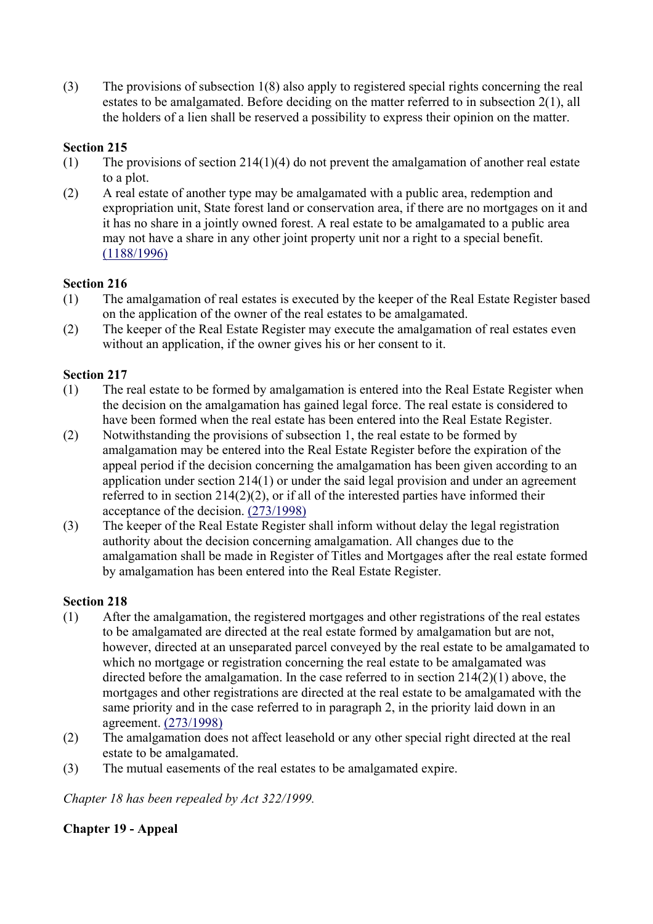(3) The provisions of subsection 1(8) also apply to registered special rights concerning the real estates to be amalgamated. Before deciding on the matter referred to in subsection 2(1), all the holders of a lien shall be reserved a possibility to express their opinion on the matter.

# **Section 215**

- (1) The provisions of section 214(1)(4) do not prevent the amalgamation of another real estate to a plot.
- (2) A real estate of another type may be amalgamated with a public area, redemption and expropriation unit, State forest land or conservation area, if there are no mortgages on it and it has no share in a jointly owned forest. A real estate to be amalgamated to a public area may not have a share in any other joint property unit nor a right to a special benefit. (1188/1996)

## **Section 216**

- (1) The amalgamation of real estates is executed by the keeper of the Real Estate Register based on the application of the owner of the real estates to be amalgamated.
- (2) The keeper of the Real Estate Register may execute the amalgamation of real estates even without an application, if the owner gives his or her consent to it.

## **Section 217**

- (1) The real estate to be formed by amalgamation is entered into the Real Estate Register when the decision on the amalgamation has gained legal force. The real estate is considered to have been formed when the real estate has been entered into the Real Estate Register.
- (2) Notwithstanding the provisions of subsection 1, the real estate to be formed by amalgamation may be entered into the Real Estate Register before the expiration of the appeal period if the decision concerning the amalgamation has been given according to an application under section 214(1) or under the said legal provision and under an agreement referred to in section 214(2)(2), or if all of the interested parties have informed their acceptance of the decision. (273/1998)
- (3) The keeper of the Real Estate Register shall inform without delay the legal registration authority about the decision concerning amalgamation. All changes due to the amalgamation shall be made in Register of Titles and Mortgages after the real estate formed by amalgamation has been entered into the Real Estate Register.

# **Section 218**

- (1) After the amalgamation, the registered mortgages and other registrations of the real estates to be amalgamated are directed at the real estate formed by amalgamation but are not, however, directed at an unseparated parcel conveyed by the real estate to be amalgamated to which no mortgage or registration concerning the real estate to be amalgamated was directed before the amalgamation. In the case referred to in section 214(2)(1) above, the mortgages and other registrations are directed at the real estate to be amalgamated with the same priority and in the case referred to in paragraph 2, in the priority laid down in an agreement. (273/1998)
- (2) The amalgamation does not affect leasehold or any other special right directed at the real estate to be amalgamated.
- (3) The mutual easements of the real estates to be amalgamated expire.

*Chapter 18 has been repealed by Act 322/1999.*

## **Chapter 19 - Appeal**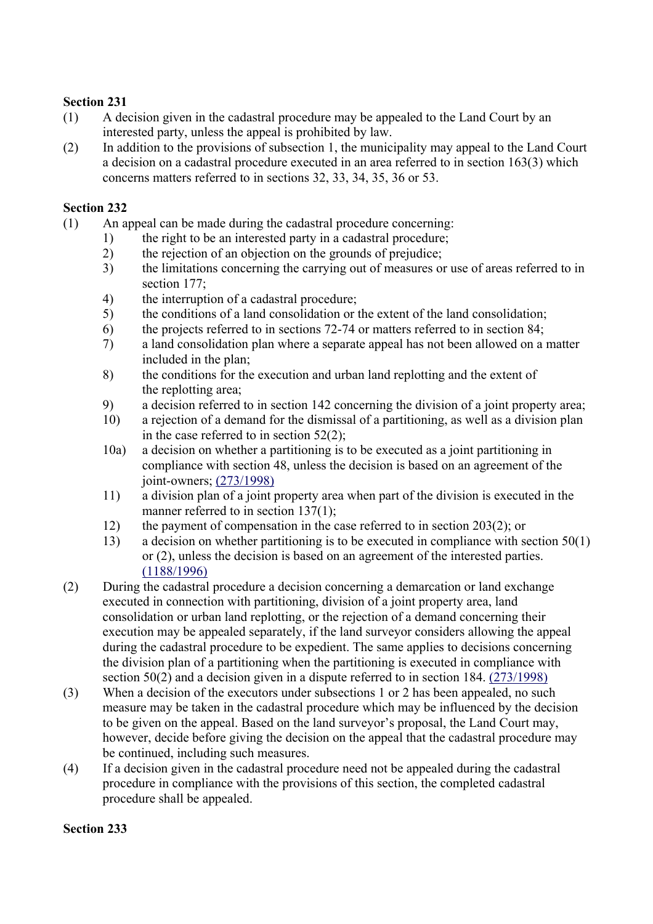- (1) A decision given in the cadastral procedure may be appealed to the Land Court by an interested party, unless the appeal is prohibited by law.
- (2) In addition to the provisions of subsection 1, the municipality may appeal to the Land Court a decision on a cadastral procedure executed in an area referred to in section 163(3) which concerns matters referred to in sections 32, 33, 34, 35, 36 or 53.

#### **Section 232**

- (1) An appeal can be made during the cadastral procedure concerning:
	- 1) the right to be an interested party in a cadastral procedure;
	- 2) the rejection of an objection on the grounds of prejudice;
	- 3) the limitations concerning the carrying out of measures or use of areas referred to in section 177;
	- 4) the interruption of a cadastral procedure;
	- 5) the conditions of a land consolidation or the extent of the land consolidation;
	- 6) the projects referred to in sections 72-74 or matters referred to in section 84;
	- 7) a land consolidation plan where a separate appeal has not been allowed on a matter included in the plan;
	- 8) the conditions for the execution and urban land replotting and the extent of the replotting area;
	- 9) a decision referred to in section 142 concerning the division of a joint property area;
	- 10) a rejection of a demand for the dismissal of a partitioning, as well as a division plan in the case referred to in section 52(2);
	- 10a) a decision on whether a partitioning is to be executed as a joint partitioning in compliance with section 48, unless the decision is based on an agreement of the joint-owners; (273/1998)
	- 11) a division plan of a joint property area when part of the division is executed in the manner referred to in section 137(1);
	- 12) the payment of compensation in the case referred to in section 203(2); or
	- 13) a decision on whether partitioning is to be executed in compliance with section 50(1) or (2), unless the decision is based on an agreement of the interested parties. (1188/1996)
- (2) During the cadastral procedure a decision concerning a demarcation or land exchange executed in connection with partitioning, division of a joint property area, land consolidation or urban land replotting, or the rejection of a demand concerning their execution may be appealed separately, if the land surveyor considers allowing the appeal during the cadastral procedure to be expedient. The same applies to decisions concerning the division plan of a partitioning when the partitioning is executed in compliance with section 50(2) and a decision given in a dispute referred to in section 184. (273/1998)
- (3) When a decision of the executors under subsections 1 or 2 has been appealed, no such measure may be taken in the cadastral procedure which may be influenced by the decision to be given on the appeal. Based on the land surveyor's proposal, the Land Court may, however, decide before giving the decision on the appeal that the cadastral procedure may be continued, including such measures.
- (4) If a decision given in the cadastral procedure need not be appealed during the cadastral procedure in compliance with the provisions of this section, the completed cadastral procedure shall be appealed.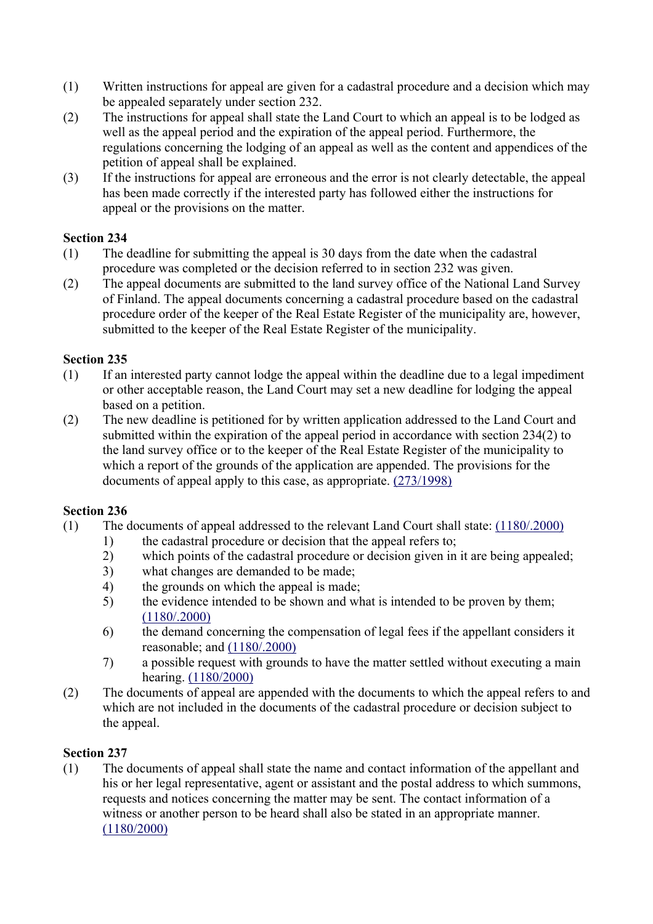- (1) Written instructions for appeal are given for a cadastral procedure and a decision which may be appealed separately under section 232.
- (2) The instructions for appeal shall state the Land Court to which an appeal is to be lodged as well as the appeal period and the expiration of the appeal period. Furthermore, the regulations concerning the lodging of an appeal as well as the content and appendices of the petition of appeal shall be explained.
- (3) If the instructions for appeal are erroneous and the error is not clearly detectable, the appeal has been made correctly if the interested party has followed either the instructions for appeal or the provisions on the matter.

- (1) The deadline for submitting the appeal is 30 days from the date when the cadastral procedure was completed or the decision referred to in section 232 was given.
- (2) The appeal documents are submitted to the land survey office of the National Land Survey of Finland. The appeal documents concerning a cadastral procedure based on the cadastral procedure order of the keeper of the Real Estate Register of the municipality are, however, submitted to the keeper of the Real Estate Register of the municipality.

# **Section 235**

- (1) If an interested party cannot lodge the appeal within the deadline due to a legal impediment or other acceptable reason, the Land Court may set a new deadline for lodging the appeal based on a petition.
- (2) The new deadline is petitioned for by written application addressed to the Land Court and submitted within the expiration of the appeal period in accordance with section 234(2) to the land survey office or to the keeper of the Real Estate Register of the municipality to which a report of the grounds of the application are appended. The provisions for the documents of appeal apply to this case, as appropriate. (273/1998)

# **Section 236**

- (1) The documents of appeal addressed to the relevant Land Court shall state: (1180/.2000)
	- 1) the cadastral procedure or decision that the appeal refers to;
	- 2) which points of the cadastral procedure or decision given in it are being appealed;
	- 3) what changes are demanded to be made;
	- 4) the grounds on which the appeal is made;
	- 5) the evidence intended to be shown and what is intended to be proven by them; (1180/.2000)
	- 6) the demand concerning the compensation of legal fees if the appellant considers it reasonable; and (1180/.2000)
	- 7) a possible request with grounds to have the matter settled without executing a main hearing. (1180/2000)
- (2) The documents of appeal are appended with the documents to which the appeal refers to and which are not included in the documents of the cadastral procedure or decision subject to the appeal.

# **Section 237**

(1) The documents of appeal shall state the name and contact information of the appellant and his or her legal representative, agent or assistant and the postal address to which summons, requests and notices concerning the matter may be sent. The contact information of a witness or another person to be heard shall also be stated in an appropriate manner. (1180/2000)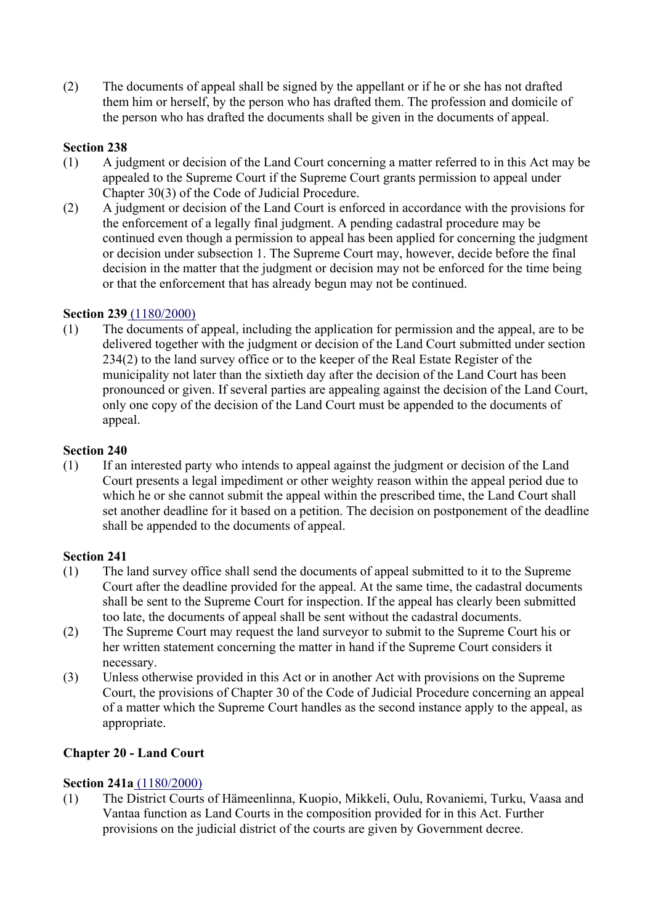(2) The documents of appeal shall be signed by the appellant or if he or she has not drafted them him or herself, by the person who has drafted them. The profession and domicile of the person who has drafted the documents shall be given in the documents of appeal.

# **Section 238**

- (1) A judgment or decision of the Land Court concerning a matter referred to in this Act may be appealed to the Supreme Court if the Supreme Court grants permission to appeal under Chapter 30(3) of the Code of Judicial Procedure.
- (2) A judgment or decision of the Land Court is enforced in accordance with the provisions for the enforcement of a legally final judgment. A pending cadastral procedure may be continued even though a permission to appeal has been applied for concerning the judgment or decision under subsection 1. The Supreme Court may, however, decide before the final decision in the matter that the judgment or decision may not be enforced for the time being or that the enforcement that has already begun may not be continued.

## **Section 239** (1180/2000)

(1) The documents of appeal, including the application for permission and the appeal, are to be delivered together with the judgment or decision of the Land Court submitted under section 234(2) to the land survey office or to the keeper of the Real Estate Register of the municipality not later than the sixtieth day after the decision of the Land Court has been pronounced or given. If several parties are appealing against the decision of the Land Court, only one copy of the decision of the Land Court must be appended to the documents of appeal.

## **Section 240**

(1) If an interested party who intends to appeal against the judgment or decision of the Land Court presents a legal impediment or other weighty reason within the appeal period due to which he or she cannot submit the appeal within the prescribed time, the Land Court shall set another deadline for it based on a petition. The decision on postponement of the deadline shall be appended to the documents of appeal.

## **Section 241**

- (1) The land survey office shall send the documents of appeal submitted to it to the Supreme Court after the deadline provided for the appeal. At the same time, the cadastral documents shall be sent to the Supreme Court for inspection. If the appeal has clearly been submitted too late, the documents of appeal shall be sent without the cadastral documents.
- (2) The Supreme Court may request the land surveyor to submit to the Supreme Court his or her written statement concerning the matter in hand if the Supreme Court considers it necessary.
- (3) Unless otherwise provided in this Act or in another Act with provisions on the Supreme Court, the provisions of Chapter 30 of the Code of Judicial Procedure concerning an appeal of a matter which the Supreme Court handles as the second instance apply to the appeal, as appropriate.

## **Chapter 20 - Land Court**

## **Section 241a** (1180/2000)

(1) The District Courts of Hämeenlinna, Kuopio, Mikkeli, Oulu, Rovaniemi, Turku, Vaasa and Vantaa function as Land Courts in the composition provided for in this Act. Further provisions on the judicial district of the courts are given by Government decree.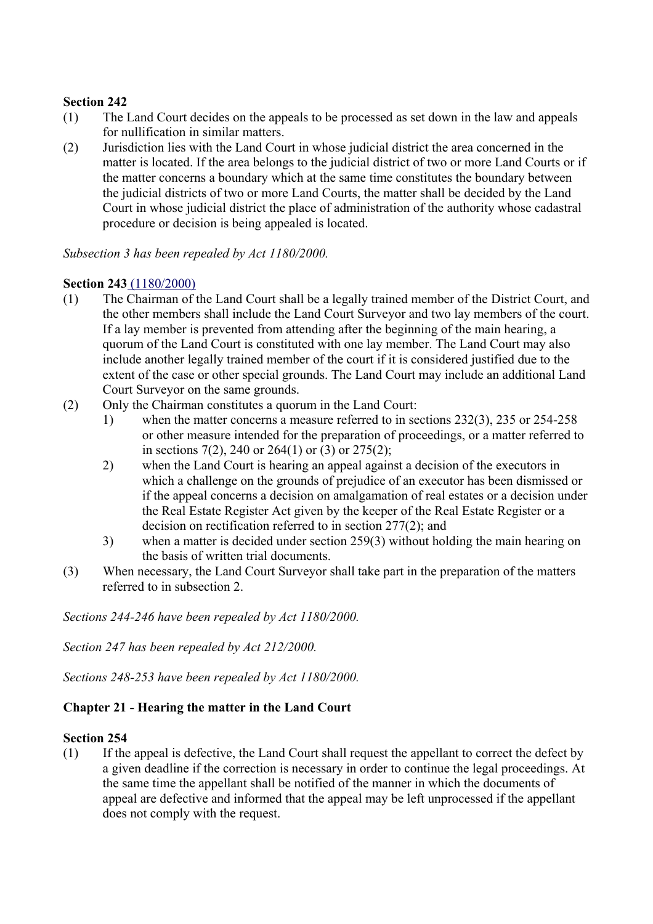- (1) The Land Court decides on the appeals to be processed as set down in the law and appeals for nullification in similar matters.
- (2) Jurisdiction lies with the Land Court in whose judicial district the area concerned in the matter is located. If the area belongs to the judicial district of two or more Land Courts or if the matter concerns a boundary which at the same time constitutes the boundary between the judicial districts of two or more Land Courts, the matter shall be decided by the Land Court in whose judicial district the place of administration of the authority whose cadastral procedure or decision is being appealed is located.

*Subsection 3 has been repealed by Act 1180/2000.*

#### **Section 243** (1180/2000)

- (1) The Chairman of the Land Court shall be a legally trained member of the District Court, and the other members shall include the Land Court Surveyor and two lay members of the court. If a lay member is prevented from attending after the beginning of the main hearing, a quorum of the Land Court is constituted with one lay member. The Land Court may also include another legally trained member of the court if it is considered justified due to the extent of the case or other special grounds. The Land Court may include an additional Land Court Surveyor on the same grounds.
- (2) Only the Chairman constitutes a quorum in the Land Court:
	- 1) when the matter concerns a measure referred to in sections 232(3), 235 or 254-258 or other measure intended for the preparation of proceedings, or a matter referred to in sections 7(2), 240 or 264(1) or (3) or 275(2);
	- 2) when the Land Court is hearing an appeal against a decision of the executors in which a challenge on the grounds of prejudice of an executor has been dismissed or if the appeal concerns a decision on amalgamation of real estates or a decision under the Real Estate Register Act given by the keeper of the Real Estate Register or a decision on rectification referred to in section 277(2); and
	- 3) when a matter is decided under section 259(3) without holding the main hearing on the basis of written trial documents.
- (3) When necessary, the Land Court Surveyor shall take part in the preparation of the matters referred to in subsection 2.

*Sections 244-246 have been repealed by Act 1180/2000.*

*Section 247 has been repealed by Act 212/2000.*

*Sections 248-253 have been repealed by Act 1180/2000.*

## **Chapter 21 - Hearing the matter in the Land Court**

#### **Section 254**

(1) If the appeal is defective, the Land Court shall request the appellant to correct the defect by a given deadline if the correction is necessary in order to continue the legal proceedings. At the same time the appellant shall be notified of the manner in which the documents of appeal are defective and informed that the appeal may be left unprocessed if the appellant does not comply with the request.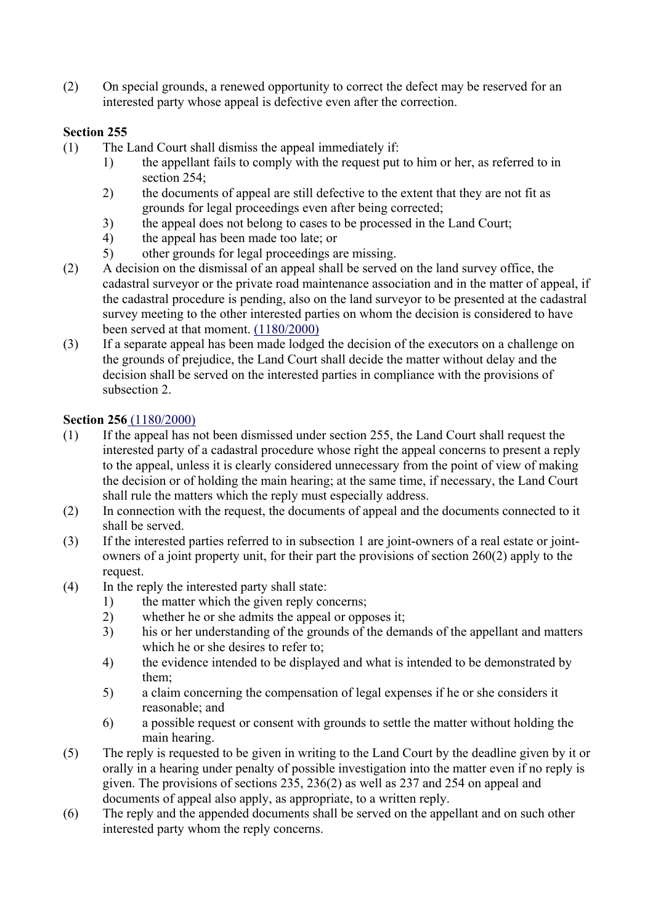(2) On special grounds, a renewed opportunity to correct the defect may be reserved for an interested party whose appeal is defective even after the correction.

# **Section 255**

- (1) The Land Court shall dismiss the appeal immediately if:
	- 1) the appellant fails to comply with the request put to him or her, as referred to in section 254;
	- 2) the documents of appeal are still defective to the extent that they are not fit as grounds for legal proceedings even after being corrected;
	- 3) the appeal does not belong to cases to be processed in the Land Court;
	- 4) the appeal has been made too late; or
	- 5) other grounds for legal proceedings are missing.
- (2) A decision on the dismissal of an appeal shall be served on the land survey office, the cadastral surveyor or the private road maintenance association and in the matter of appeal, if the cadastral procedure is pending, also on the land surveyor to be presented at the cadastral survey meeting to the other interested parties on whom the decision is considered to have been served at that moment. (1180/2000)
- (3) If a separate appeal has been made lodged the decision of the executors on a challenge on the grounds of prejudice, the Land Court shall decide the matter without delay and the decision shall be served on the interested parties in compliance with the provisions of subsection 2.

## **Section 256** (1180/2000)

- (1) If the appeal has not been dismissed under section 255, the Land Court shall request the interested party of a cadastral procedure whose right the appeal concerns to present a reply to the appeal, unless it is clearly considered unnecessary from the point of view of making the decision or of holding the main hearing; at the same time, if necessary, the Land Court shall rule the matters which the reply must especially address.
- (2) In connection with the request, the documents of appeal and the documents connected to it shall be served.
- (3) If the interested parties referred to in subsection 1 are joint-owners of a real estate or jointowners of a joint property unit, for their part the provisions of section 260(2) apply to the request.
- (4) In the reply the interested party shall state:
	- 1) the matter which the given reply concerns;
	- 2) whether he or she admits the appeal or opposes it;
	- 3) his or her understanding of the grounds of the demands of the appellant and matters which he or she desires to refer to:
	- 4) the evidence intended to be displayed and what is intended to be demonstrated by them;
	- 5) a claim concerning the compensation of legal expenses if he or she considers it reasonable; and
	- 6) a possible request or consent with grounds to settle the matter without holding the main hearing.
- (5) The reply is requested to be given in writing to the Land Court by the deadline given by it or orally in a hearing under penalty of possible investigation into the matter even if no reply is given. The provisions of sections 235, 236(2) as well as 237 and 254 on appeal and documents of appeal also apply, as appropriate, to a written reply.
- (6) The reply and the appended documents shall be served on the appellant and on such other interested party whom the reply concerns.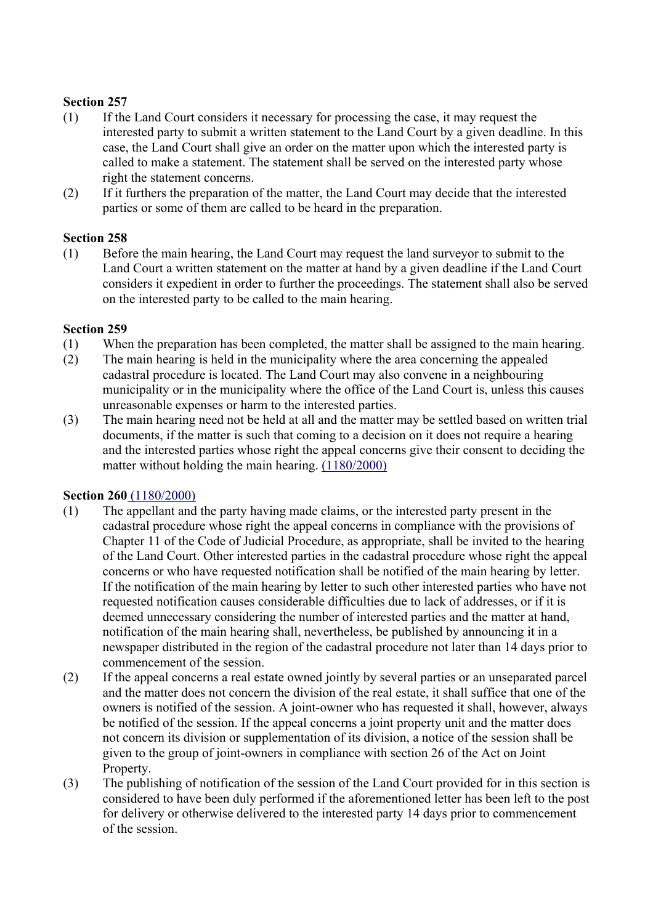- (1) If the Land Court considers it necessary for processing the case, it may request the interested party to submit a written statement to the Land Court by a given deadline. In this case, the Land Court shall give an order on the matter upon which the interested party is called to make a statement. The statement shall be served on the interested party whose right the statement concerns.
- (2) If it furthers the preparation of the matter, the Land Court may decide that the interested parties or some of them are called to be heard in the preparation.

#### **Section 258**

(1) Before the main hearing, the Land Court may request the land surveyor to submit to the Land Court a written statement on the matter at hand by a given deadline if the Land Court considers it expedient in order to further the proceedings. The statement shall also be served on the interested party to be called to the main hearing.

#### **Section 259**

- (1) When the preparation has been completed, the matter shall be assigned to the main hearing.
- (2) The main hearing is held in the municipality where the area concerning the appealed cadastral procedure is located. The Land Court may also convene in a neighbouring municipality or in the municipality where the office of the Land Court is, unless this causes unreasonable expenses or harm to the interested parties.
- (3) The main hearing need not be held at all and the matter may be settled based on written trial documents, if the matter is such that coming to a decision on it does not require a hearing and the interested parties whose right the appeal concerns give their consent to deciding the matter without holding the main hearing. (1180/2000)

## **Section 260** (1180/2000)

- (1) The appellant and the party having made claims, or the interested party present in the cadastral procedure whose right the appeal concerns in compliance with the provisions of Chapter 11 of the Code of Judicial Procedure, as appropriate, shall be invited to the hearing of the Land Court. Other interested parties in the cadastral procedure whose right the appeal concerns or who have requested notification shall be notified of the main hearing by letter. If the notification of the main hearing by letter to such other interested parties who have not requested notification causes considerable difficulties due to lack of addresses, or if it is deemed unnecessary considering the number of interested parties and the matter at hand, notification of the main hearing shall, nevertheless, be published by announcing it in a newspaper distributed in the region of the cadastral procedure not later than 14 days prior to commencement of the session.
- (2) If the appeal concerns a real estate owned jointly by several parties or an unseparated parcel and the matter does not concern the division of the real estate, it shall suffice that one of the owners is notified of the session. A joint-owner who has requested it shall, however, always be notified of the session. If the appeal concerns a joint property unit and the matter does not concern its division or supplementation of its division, a notice of the session shall be given to the group of joint-owners in compliance with section 26 of the Act on Joint Property.
- (3) The publishing of notification of the session of the Land Court provided for in this section is considered to have been duly performed if the aforementioned letter has been left to the post for delivery or otherwise delivered to the interested party 14 days prior to commencement of the session.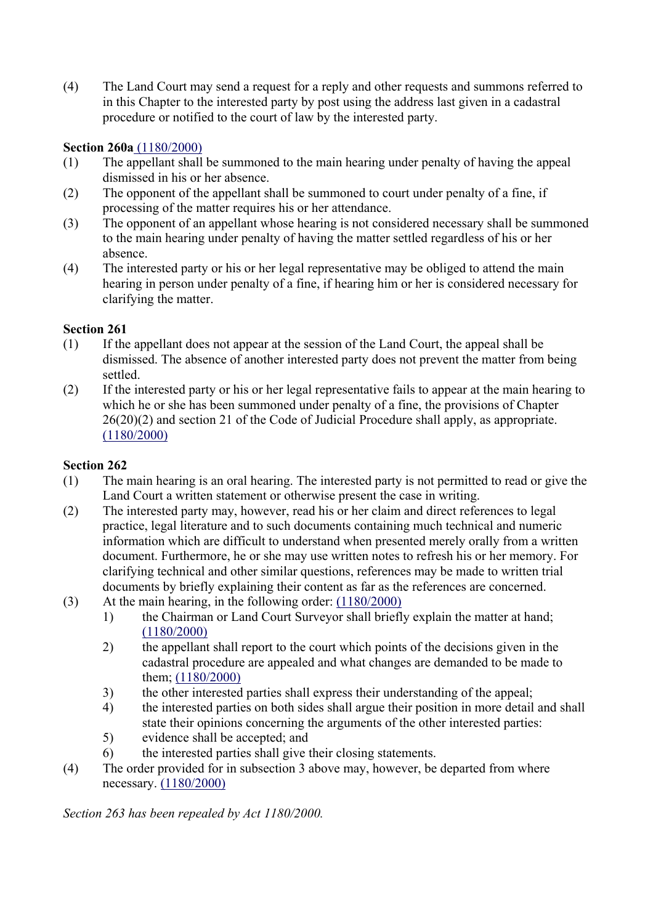(4) The Land Court may send a request for a reply and other requests and summons referred to in this Chapter to the interested party by post using the address last given in a cadastral procedure or notified to the court of law by the interested party.

# **Section 260a** (1180/2000)

- (1) The appellant shall be summoned to the main hearing under penalty of having the appeal dismissed in his or her absence.
- (2) The opponent of the appellant shall be summoned to court under penalty of a fine, if processing of the matter requires his or her attendance.
- (3) The opponent of an appellant whose hearing is not considered necessary shall be summoned to the main hearing under penalty of having the matter settled regardless of his or her absence.
- (4) The interested party or his or her legal representative may be obliged to attend the main hearing in person under penalty of a fine, if hearing him or her is considered necessary for clarifying the matter.

## **Section 261**

- (1) If the appellant does not appear at the session of the Land Court, the appeal shall be dismissed. The absence of another interested party does not prevent the matter from being settled.
- (2) If the interested party or his or her legal representative fails to appear at the main hearing to which he or she has been summoned under penalty of a fine, the provisions of Chapter 26(20)(2) and section 21 of the Code of Judicial Procedure shall apply, as appropriate. (1180/2000)

## **Section 262**

- (1) The main hearing is an oral hearing. The interested party is not permitted to read or give the Land Court a written statement or otherwise present the case in writing.
- (2) The interested party may, however, read his or her claim and direct references to legal practice, legal literature and to such documents containing much technical and numeric information which are difficult to understand when presented merely orally from a written document. Furthermore, he or she may use written notes to refresh his or her memory. For clarifying technical and other similar questions, references may be made to written trial documents by briefly explaining their content as far as the references are concerned.
- (3) At the main hearing, in the following order: (1180/2000)
	- 1) the Chairman or Land Court Surveyor shall briefly explain the matter at hand; (1180/2000)
	- 2) the appellant shall report to the court which points of the decisions given in the cadastral procedure are appealed and what changes are demanded to be made to them; (1180/2000)
	- 3) the other interested parties shall express their understanding of the appeal;
	- 4) the interested parties on both sides shall argue their position in more detail and shall state their opinions concerning the arguments of the other interested parties:
	- 5) evidence shall be accepted; and
	- 6) the interested parties shall give their closing statements.
- (4) The order provided for in subsection 3 above may, however, be departed from where necessary. (1180/2000)

*Section 263 has been repealed by Act 1180/2000.*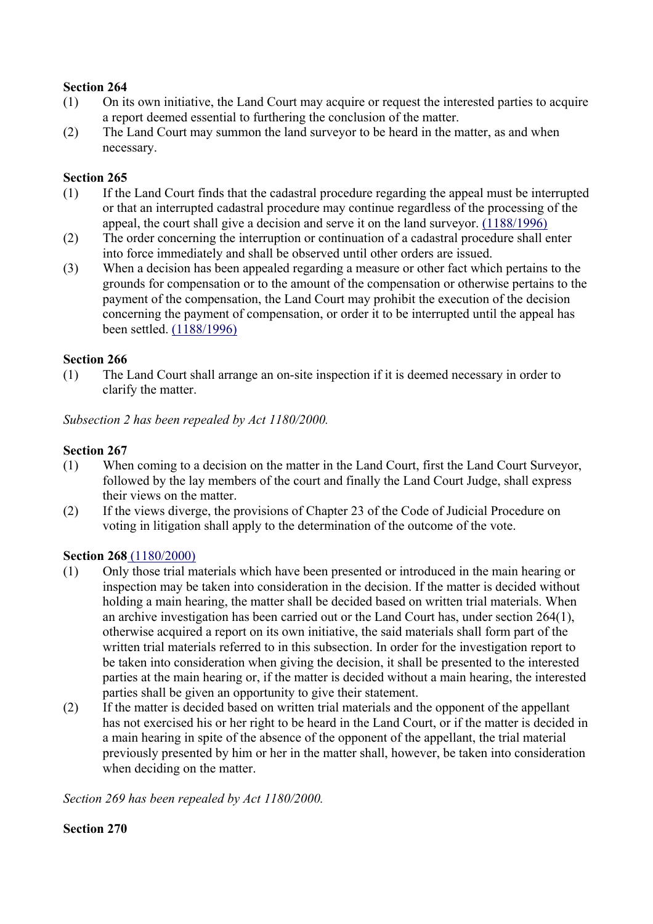- (1) On its own initiative, the Land Court may acquire or request the interested parties to acquire a report deemed essential to furthering the conclusion of the matter.
- (2) The Land Court may summon the land surveyor to be heard in the matter, as and when necessary.

#### **Section 265**

- (1) If the Land Court finds that the cadastral procedure regarding the appeal must be interrupted or that an interrupted cadastral procedure may continue regardless of the processing of the appeal, the court shall give a decision and serve it on the land surveyor. (1188/1996)
- (2) The order concerning the interruption or continuation of a cadastral procedure shall enter into force immediately and shall be observed until other orders are issued.
- (3) When a decision has been appealed regarding a measure or other fact which pertains to the grounds for compensation or to the amount of the compensation or otherwise pertains to the payment of the compensation, the Land Court may prohibit the execution of the decision concerning the payment of compensation, or order it to be interrupted until the appeal has been settled. (1188/1996)

## **Section 266**

(1) The Land Court shall arrange an on-site inspection if it is deemed necessary in order to clarify the matter.

*Subsection 2 has been repealed by Act 1180/2000.*

## **Section 267**

- (1) When coming to a decision on the matter in the Land Court, first the Land Court Surveyor, followed by the lay members of the court and finally the Land Court Judge, shall express their views on the matter.
- (2) If the views diverge, the provisions of Chapter 23 of the Code of Judicial Procedure on voting in litigation shall apply to the determination of the outcome of the vote.

## **Section 268** (1180/2000)

- (1) Only those trial materials which have been presented or introduced in the main hearing or inspection may be taken into consideration in the decision. If the matter is decided without holding a main hearing, the matter shall be decided based on written trial materials. When an archive investigation has been carried out or the Land Court has, under section 264(1), otherwise acquired a report on its own initiative, the said materials shall form part of the written trial materials referred to in this subsection. In order for the investigation report to be taken into consideration when giving the decision, it shall be presented to the interested parties at the main hearing or, if the matter is decided without a main hearing, the interested parties shall be given an opportunity to give their statement.
- (2) If the matter is decided based on written trial materials and the opponent of the appellant has not exercised his or her right to be heard in the Land Court, or if the matter is decided in a main hearing in spite of the absence of the opponent of the appellant, the trial material previously presented by him or her in the matter shall, however, be taken into consideration when deciding on the matter.

*Section 269 has been repealed by Act 1180/2000.*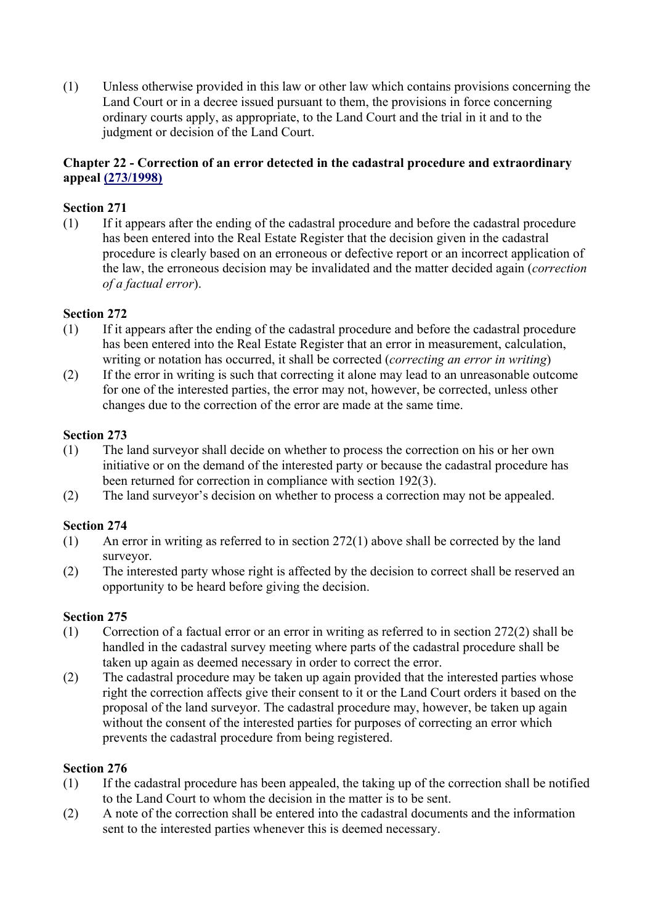(1) Unless otherwise provided in this law or other law which contains provisions concerning the Land Court or in a decree issued pursuant to them, the provisions in force concerning ordinary courts apply, as appropriate, to the Land Court and the trial in it and to the judgment or decision of the Land Court.

# **Chapter 22 - Correction of an error detected in the cadastral procedure and extraordinary appeal (273/1998)**

# **Section 271**

(1) If it appears after the ending of the cadastral procedure and before the cadastral procedure has been entered into the Real Estate Register that the decision given in the cadastral procedure is clearly based on an erroneous or defective report or an incorrect application of the law, the erroneous decision may be invalidated and the matter decided again (*correction of a factual error*).

# **Section 272**

- (1) If it appears after the ending of the cadastral procedure and before the cadastral procedure has been entered into the Real Estate Register that an error in measurement, calculation, writing or notation has occurred, it shall be corrected (*correcting an error in writing*)
- (2) If the error in writing is such that correcting it alone may lead to an unreasonable outcome for one of the interested parties, the error may not, however, be corrected, unless other changes due to the correction of the error are made at the same time.

## **Section 273**

- (1) The land surveyor shall decide on whether to process the correction on his or her own initiative or on the demand of the interested party or because the cadastral procedure has been returned for correction in compliance with section 192(3).
- (2) The land surveyor's decision on whether to process a correction may not be appealed.

# **Section 274**

- (1) An error in writing as referred to in section 272(1) above shall be corrected by the land surveyor.
- (2) The interested party whose right is affected by the decision to correct shall be reserved an opportunity to be heard before giving the decision.

## **Section 275**

- (1) Correction of a factual error or an error in writing as referred to in section 272(2) shall be handled in the cadastral survey meeting where parts of the cadastral procedure shall be taken up again as deemed necessary in order to correct the error.
- (2) The cadastral procedure may be taken up again provided that the interested parties whose right the correction affects give their consent to it or the Land Court orders it based on the proposal of the land surveyor. The cadastral procedure may, however, be taken up again without the consent of the interested parties for purposes of correcting an error which prevents the cadastral procedure from being registered.

- (1) If the cadastral procedure has been appealed, the taking up of the correction shall be notified to the Land Court to whom the decision in the matter is to be sent.
- (2) A note of the correction shall be entered into the cadastral documents and the information sent to the interested parties whenever this is deemed necessary.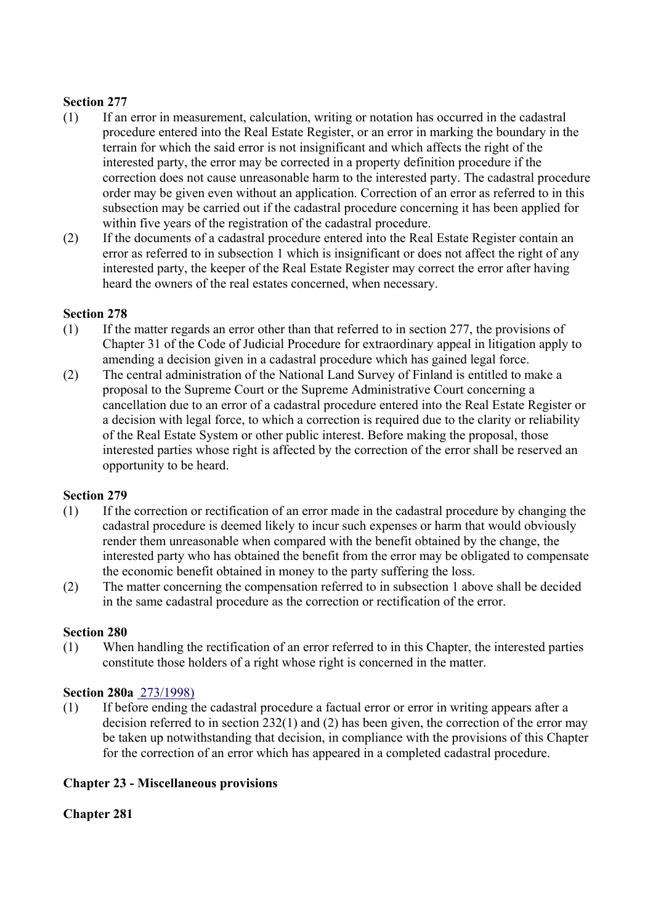- (1) If an error in measurement, calculation, writing or notation has occurred in the cadastral procedure entered into the Real Estate Register, or an error in marking the boundary in the terrain for which the said error is not insignificant and which affects the right of the interested party, the error may be corrected in a property definition procedure if the correction does not cause unreasonable harm to the interested party. The cadastral procedure order may be given even without an application. Correction of an error as referred to in this subsection may be carried out if the cadastral procedure concerning it has been applied for within five years of the registration of the cadastral procedure.
- (2) If the documents of a cadastral procedure entered into the Real Estate Register contain an error as referred to in subsection 1 which is insignificant or does not affect the right of any interested party, the keeper of the Real Estate Register may correct the error after having heard the owners of the real estates concerned, when necessary.

#### **Section 278**

- (1) If the matter regards an error other than that referred to in section 277, the provisions of Chapter 31 of the Code of Judicial Procedure for extraordinary appeal in litigation apply to amending a decision given in a cadastral procedure which has gained legal force.
- (2) The central administration of the National Land Survey of Finland is entitled to make a proposal to the Supreme Court or the Supreme Administrative Court concerning a cancellation due to an error of a cadastral procedure entered into the Real Estate Register or a decision with legal force, to which a correction is required due to the clarity or reliability of the Real Estate System or other public interest. Before making the proposal, those interested parties whose right is affected by the correction of the error shall be reserved an opportunity to be heard.

#### **Section 279**

- (1) If the correction or rectification of an error made in the cadastral procedure by changing the cadastral procedure is deemed likely to incur such expenses or harm that would obviously render them unreasonable when compared with the benefit obtained by the change, the interested party who has obtained the benefit from the error may be obligated to compensate the economic benefit obtained in money to the party suffering the loss.
- (2) The matter concerning the compensation referred to in subsection 1 above shall be decided in the same cadastral procedure as the correction or rectification of the error.

#### **Section 280**

(1) When handling the rectification of an error referred to in this Chapter, the interested parties constitute those holders of a right whose right is concerned in the matter.

#### **Section 280a** 273/1998)

(1) If before ending the cadastral procedure a factual error or error in writing appears after a decision referred to in section 232(1) and (2) has been given, the correction of the error may be taken up notwithstanding that decision, in compliance with the provisions of this Chapter for the correction of an error which has appeared in a completed cadastral procedure.

## **Chapter 23 - Miscellaneous provisions**

## **Chapter 281**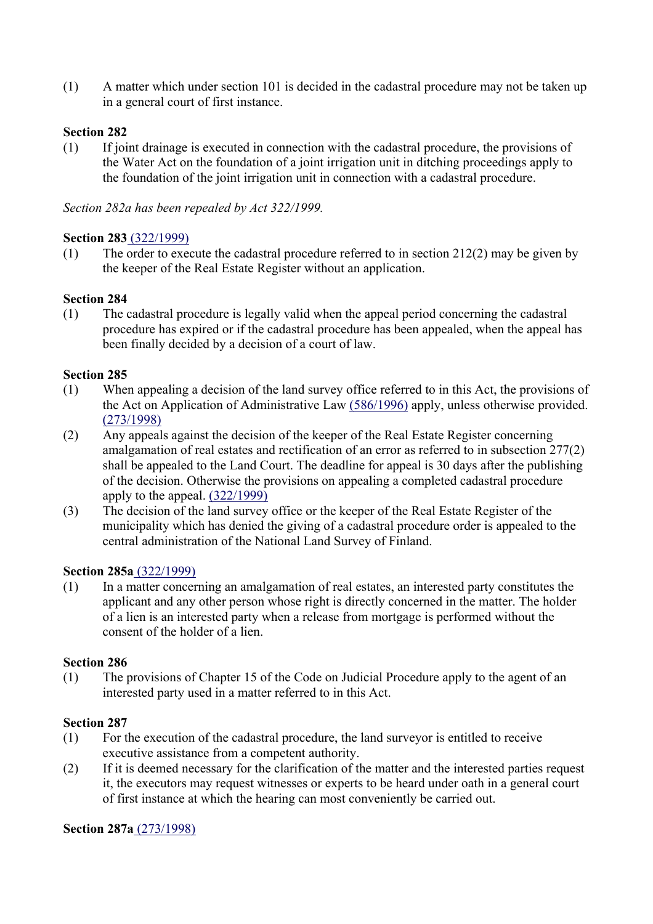(1) A matter which under section 101 is decided in the cadastral procedure may not be taken up in a general court of first instance.

#### **Section 282**

(1) If joint drainage is executed in connection with the cadastral procedure, the provisions of the Water Act on the foundation of a joint irrigation unit in ditching proceedings apply to the foundation of the joint irrigation unit in connection with a cadastral procedure.

*Section 282a has been repealed by Act 322/1999.*

#### **Section 283** (322/1999)

(1) The order to execute the cadastral procedure referred to in section 212(2) may be given by the keeper of the Real Estate Register without an application.

#### **Section 284**

(1) The cadastral procedure is legally valid when the appeal period concerning the cadastral procedure has expired or if the cadastral procedure has been appealed, when the appeal has been finally decided by a decision of a court of law.

#### **Section 285**

- (1) When appealing a decision of the land survey office referred to in this Act, the provisions of the Act on Application of Administrative Law (586/1996) apply, unless otherwise provided. (273/1998)
- (2) Any appeals against the decision of the keeper of the Real Estate Register concerning amalgamation of real estates and rectification of an error as referred to in subsection 277(2) shall be appealed to the Land Court. The deadline for appeal is 30 days after the publishing of the decision. Otherwise the provisions on appealing a completed cadastral procedure apply to the appeal. (322/1999)
- (3) The decision of the land survey office or the keeper of the Real Estate Register of the municipality which has denied the giving of a cadastral procedure order is appealed to the central administration of the National Land Survey of Finland.

#### **Section 285a** (322/1999)

(1) In a matter concerning an amalgamation of real estates, an interested party constitutes the applicant and any other person whose right is directly concerned in the matter. The holder of a lien is an interested party when a release from mortgage is performed without the consent of the holder of a lien.

#### **Section 286**

(1) The provisions of Chapter 15 of the Code on Judicial Procedure apply to the agent of an interested party used in a matter referred to in this Act.

#### **Section 287**

- (1) For the execution of the cadastral procedure, the land surveyor is entitled to receive executive assistance from a competent authority.
- (2) If it is deemed necessary for the clarification of the matter and the interested parties request it, the executors may request witnesses or experts to be heard under oath in a general court of first instance at which the hearing can most conveniently be carried out.

#### **Section 287a** (273/1998)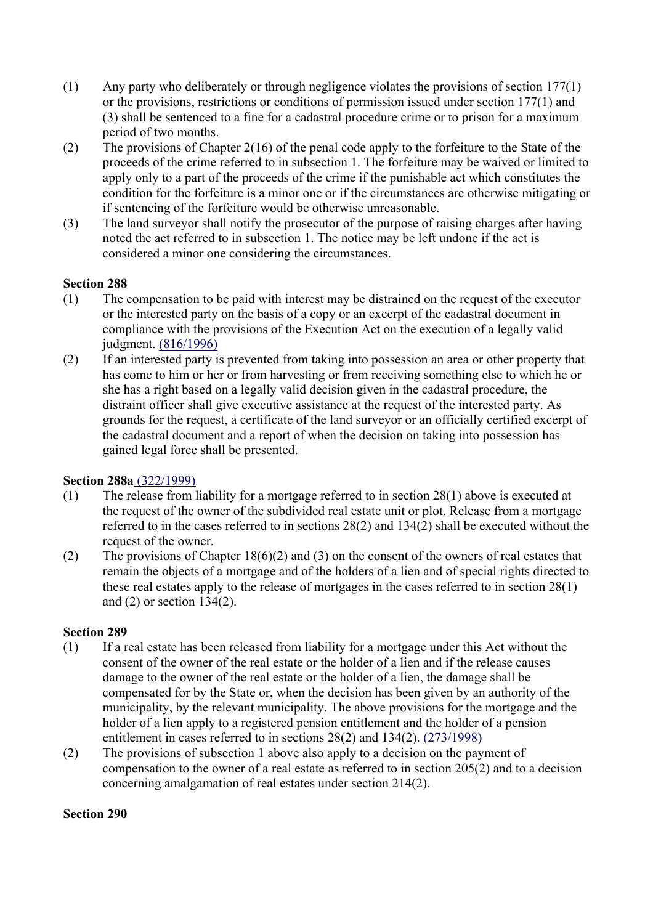- (1) Any party who deliberately or through negligence violates the provisions of section 177(1) or the provisions, restrictions or conditions of permission issued under section 177(1) and (3) shall be sentenced to a fine for a cadastral procedure crime or to prison for a maximum period of two months.
- (2) The provisions of Chapter 2(16) of the penal code apply to the forfeiture to the State of the proceeds of the crime referred to in subsection 1. The forfeiture may be waived or limited to apply only to a part of the proceeds of the crime if the punishable act which constitutes the condition for the forfeiture is a minor one or if the circumstances are otherwise mitigating or if sentencing of the forfeiture would be otherwise unreasonable.
- (3) The land surveyor shall notify the prosecutor of the purpose of raising charges after having noted the act referred to in subsection 1. The notice may be left undone if the act is considered a minor one considering the circumstances.

- (1) The compensation to be paid with interest may be distrained on the request of the executor or the interested party on the basis of a copy or an excerpt of the cadastral document in compliance with the provisions of the Execution Act on the execution of a legally valid judgment. (816/1996)
- (2) If an interested party is prevented from taking into possession an area or other property that has come to him or her or from harvesting or from receiving something else to which he or she has a right based on a legally valid decision given in the cadastral procedure, the distraint officer shall give executive assistance at the request of the interested party. As grounds for the request, a certificate of the land surveyor or an officially certified excerpt of the cadastral document and a report of when the decision on taking into possession has gained legal force shall be presented.

## **Section 288a** (322/1999)

- (1) The release from liability for a mortgage referred to in section 28(1) above is executed at the request of the owner of the subdivided real estate unit or plot. Release from a mortgage referred to in the cases referred to in sections 28(2) and 134(2) shall be executed without the request of the owner.
- (2) The provisions of Chapter 18(6)(2) and (3) on the consent of the owners of real estates that remain the objects of a mortgage and of the holders of a lien and of special rights directed to these real estates apply to the release of mortgages in the cases referred to in section 28(1) and (2) or section 134(2).

## **Section 289**

- (1) If a real estate has been released from liability for a mortgage under this Act without the consent of the owner of the real estate or the holder of a lien and if the release causes damage to the owner of the real estate or the holder of a lien, the damage shall be compensated for by the State or, when the decision has been given by an authority of the municipality, by the relevant municipality. The above provisions for the mortgage and the holder of a lien apply to a registered pension entitlement and the holder of a pension entitlement in cases referred to in sections 28(2) and 134(2). (273/1998)
- (2) The provisions of subsection 1 above also apply to a decision on the payment of compensation to the owner of a real estate as referred to in section 205(2) and to a decision concerning amalgamation of real estates under section 214(2).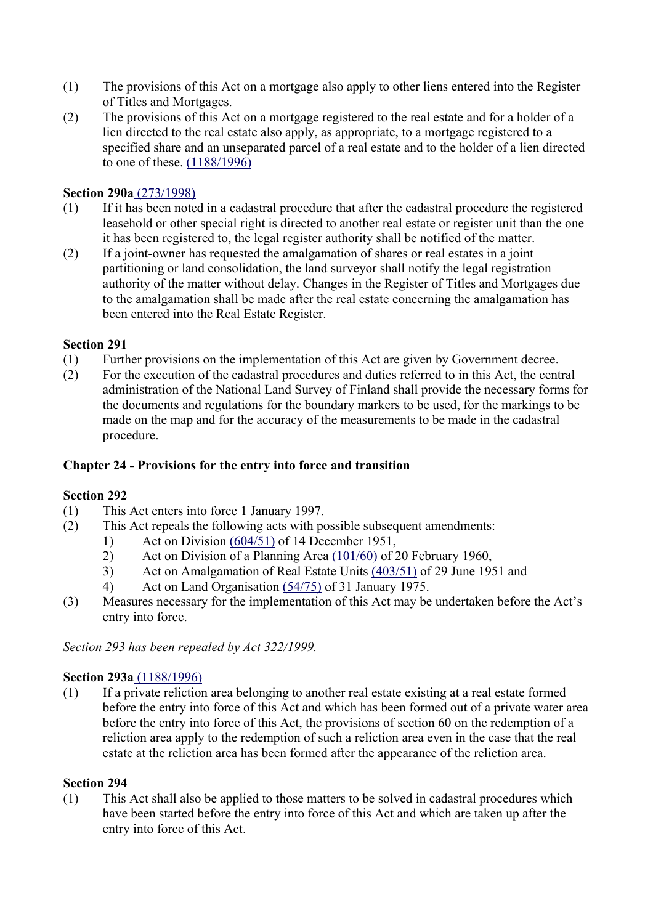- (1) The provisions of this Act on a mortgage also apply to other liens entered into the Register of Titles and Mortgages.
- (2) The provisions of this Act on a mortgage registered to the real estate and for a holder of a lien directed to the real estate also apply, as appropriate, to a mortgage registered to a specified share and an unseparated parcel of a real estate and to the holder of a lien directed to one of these. (1188/1996)

#### **Section 290a** (273/1998)

- (1) If it has been noted in a cadastral procedure that after the cadastral procedure the registered leasehold or other special right is directed to another real estate or register unit than the one it has been registered to, the legal register authority shall be notified of the matter.
- (2) If a joint-owner has requested the amalgamation of shares or real estates in a joint partitioning or land consolidation, the land surveyor shall notify the legal registration authority of the matter without delay. Changes in the Register of Titles and Mortgages due to the amalgamation shall be made after the real estate concerning the amalgamation has been entered into the Real Estate Register.

#### **Section 291**

- (1) Further provisions on the implementation of this Act are given by Government decree.
- (2) For the execution of the cadastral procedures and duties referred to in this Act, the central administration of the National Land Survey of Finland shall provide the necessary forms for the documents and regulations for the boundary markers to be used, for the markings to be made on the map and for the accuracy of the measurements to be made in the cadastral procedure.

#### **Chapter 24 - Provisions for the entry into force and transition**

#### **Section 292**

- (1) This Act enters into force 1 January 1997.
- (2) This Act repeals the following acts with possible subsequent amendments:
	- 1) Act on Division (604/51) of 14 December 1951,
	- 2) Act on Division of a Planning Area (101/60) of 20 February 1960,
	- 3) Act on Amalgamation of Real Estate Units (403/51) of 29 June 1951 and
	- 4) Act on Land Organisation (54/75) of 31 January 1975.
- (3) Measures necessary for the implementation of this Act may be undertaken before the Act's entry into force.

*Section 293 has been repealed by Act 322/1999.*

#### **Section 293a** (1188/1996)

(1) If a private reliction area belonging to another real estate existing at a real estate formed before the entry into force of this Act and which has been formed out of a private water area before the entry into force of this Act, the provisions of section 60 on the redemption of a reliction area apply to the redemption of such a reliction area even in the case that the real estate at the reliction area has been formed after the appearance of the reliction area.

#### **Section 294**

(1) This Act shall also be applied to those matters to be solved in cadastral procedures which have been started before the entry into force of this Act and which are taken up after the entry into force of this Act.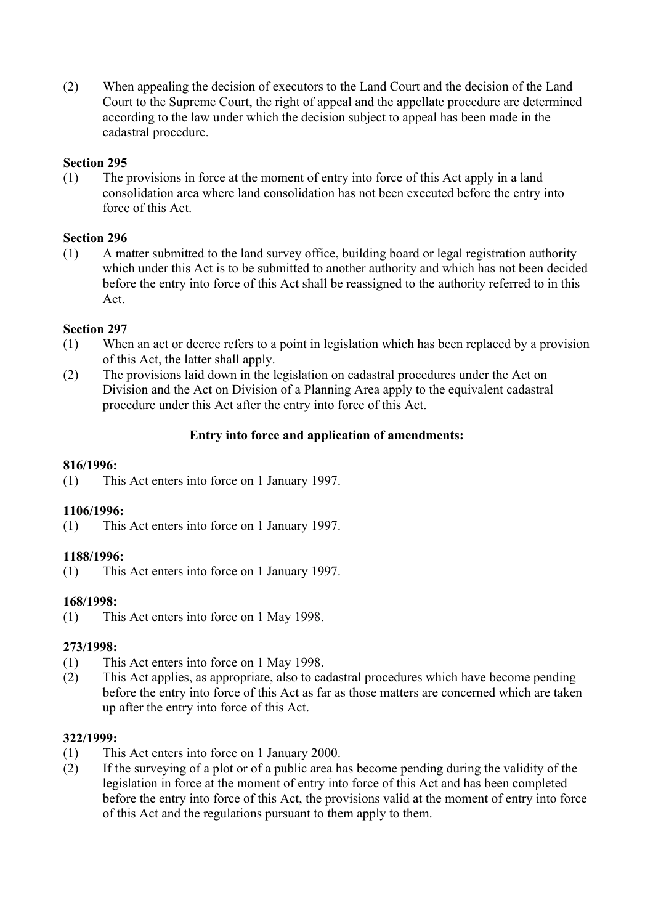(2) When appealing the decision of executors to the Land Court and the decision of the Land Court to the Supreme Court, the right of appeal and the appellate procedure are determined according to the law under which the decision subject to appeal has been made in the cadastral procedure.

# **Section 295**

(1) The provisions in force at the moment of entry into force of this Act apply in a land consolidation area where land consolidation has not been executed before the entry into force of this Act.

# **Section 296**

(1) A matter submitted to the land survey office, building board or legal registration authority which under this Act is to be submitted to another authority and which has not been decided before the entry into force of this Act shall be reassigned to the authority referred to in this Act.

# **Section 297**

- (1) When an act or decree refers to a point in legislation which has been replaced by a provision of this Act, the latter shall apply.
- (2) The provisions laid down in the legislation on cadastral procedures under the Act on Division and the Act on Division of a Planning Area apply to the equivalent cadastral procedure under this Act after the entry into force of this Act.

# **Entry into force and application of amendments:**

## **816/1996:**

(1) This Act enters into force on 1 January 1997.

## **1106/1996:**

(1) This Act enters into force on 1 January 1997.

## **1188/1996:**

(1) This Act enters into force on 1 January 1997.

# **168/1998:**

(1) This Act enters into force on 1 May 1998.

## **273/1998:**

- (1) This Act enters into force on 1 May 1998.
- (2) This Act applies, as appropriate, also to cadastral procedures which have become pending before the entry into force of this Act as far as those matters are concerned which are taken up after the entry into force of this Act.

## **322/1999:**

- (1) This Act enters into force on 1 January 2000.
- (2) If the surveying of a plot or of a public area has become pending during the validity of the legislation in force at the moment of entry into force of this Act and has been completed before the entry into force of this Act, the provisions valid at the moment of entry into force of this Act and the regulations pursuant to them apply to them.